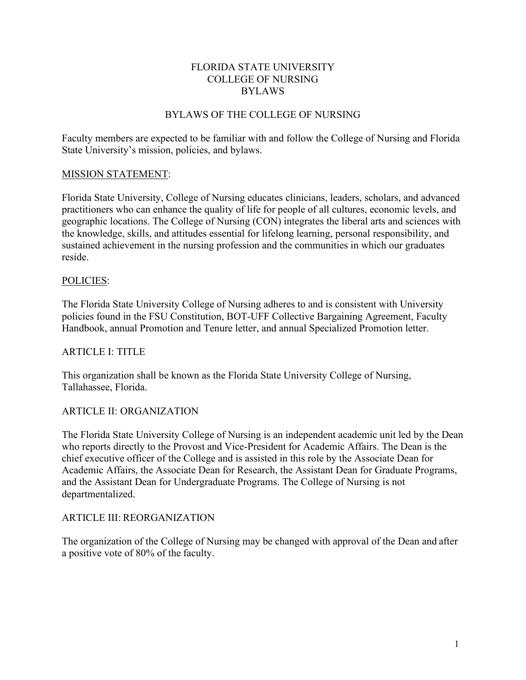### FLORIDA STATE UNIVERSITY COLLEGE OF NURSING BYLAWS

# BYLAWS OF THE COLLEGE OF NURSING

Faculty members are expected to be familiar with and follow the College of Nursing and Florida State University's mission, policies, and bylaws.

# MISSION STATEMENT:

Florida State University, College of Nursing educates clinicians, leaders, scholars, and advanced practitioners who can enhance the quality of life for people of all cultures, economic levels, and geographic locations. The College of Nursing (CON) integrates the liberal arts and sciences with the knowledge, skills, and attitudes essential for lifelong learning, personal responsibility, and sustained achievement in the nursing profession and the communities in which our graduates reside.

### POLICIES:

The Florida State University College of Nursing adheres to and is consistent with University policies found in the FSU Constitution, BOT-UFF Collective Bargaining Agreement, Faculty Handbook, annual Promotion and Tenure letter, and annual Specialized Promotion letter.

# ARTICLE I: TITLE

This organization shall be known as the Florida State University College of Nursing, Tallahassee, Florida.

# ARTICLE II: ORGANIZATION

The Florida State University College of Nursing is an independent academic unit led by the Dean who reports directly to the Provost and Vice-President for Academic Affairs. The Dean is the chief executive officer of the College and is assisted in this role by the Associate Dean for Academic Affairs, the Associate Dean for Research, the Assistant Dean for Graduate Programs, and the Assistant Dean for Undergraduate Programs. The College of Nursing is not departmentalized.

# ARTICLE III: REORGANIZATION

The organization of the College of Nursing may be changed with approval of the Dean and after a positive vote of 80% of the faculty.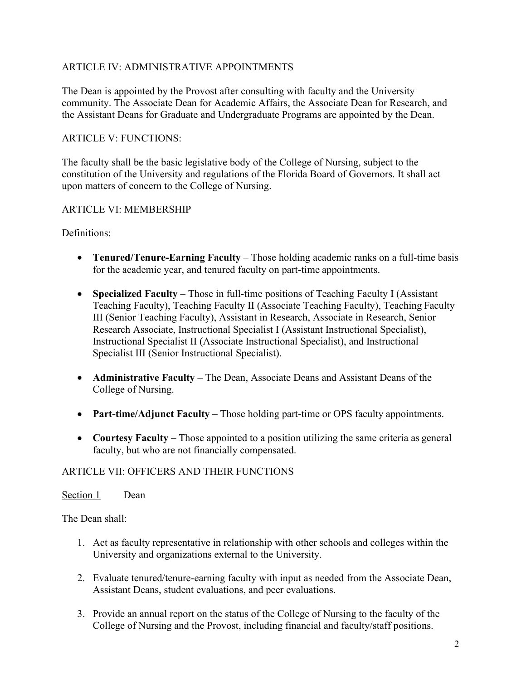# ARTICLE IV: ADMINISTRATIVE APPOINTMENTS

The Dean is appointed by the Provost after consulting with faculty and the University community. The Associate Dean for Academic Affairs, the Associate Dean for Research, and the Assistant Deans for Graduate and Undergraduate Programs are appointed by the Dean.

### ARTICLE V: FUNCTIONS:

The faculty shall be the basic legislative body of the College of Nursing, subject to the constitution of the University and regulations of the Florida Board of Governors. It shall act upon matters of concern to the College of Nursing.

### ARTICLE VI: MEMBERSHIP

Definitions:

- **Tenured/Tenure-Earning Faculty** Those holding academic ranks on a full-time basis for the academic year, and tenured faculty on part-time appointments.
- **Specialized Faculty** Those in full-time positions of Teaching Faculty I (Assistant Teaching Faculty), Teaching Faculty II (Associate Teaching Faculty), Teaching Faculty III (Senior Teaching Faculty), Assistant in Research, Associate in Research, Senior Research Associate, Instructional Specialist I (Assistant Instructional Specialist), Instructional Specialist II (Associate Instructional Specialist), and Instructional Specialist III (Senior Instructional Specialist).
- **Administrative Faculty** The Dean, Associate Deans and Assistant Deans of the College of Nursing.
- **Part-time/Adjunct Faculty** Those holding part-time or OPS faculty appointments.
- **Courtesy Faculty** Those appointed to a position utilizing the same criteria as general faculty, but who are not financially compensated.

### ARTICLE VII: OFFICERS AND THEIR FUNCTIONS

### Section 1 Dean

The Dean shall:

- 1. Act as faculty representative in relationship with other schools and colleges within the University and organizations external to the University.
- 2. Evaluate tenured/tenure-earning faculty with input as needed from the Associate Dean, Assistant Deans, student evaluations, and peer evaluations.
- 3. Provide an annual report on the status of the College of Nursing to the faculty of the College of Nursing and the Provost, including financial and faculty/staff positions.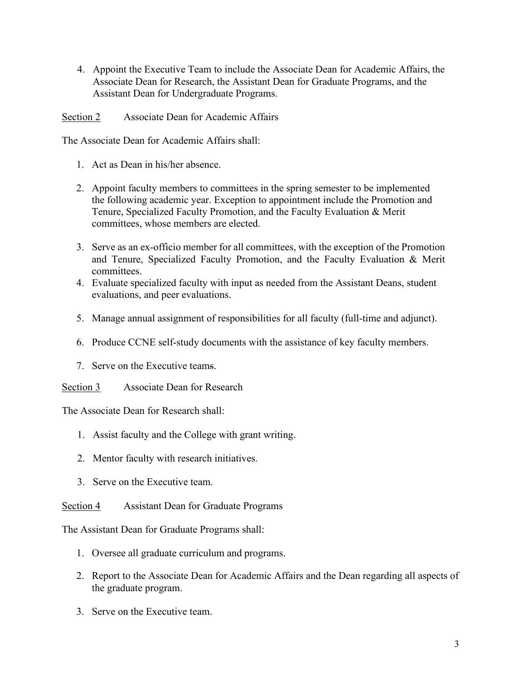4. Appoint the Executive Team to include the Associate Dean for Academic Affairs, the Associate Dean for Research, the Assistant Dean for Graduate Programs, and the Assistant Dean for Undergraduate Programs.

Section 2 Associate Dean for Academic Affairs

The Associate Dean for Academic Affairs shall:

- 1. Act as Dean in his/her absence.
- 2. Appoint faculty members to committees in the spring semester to be implemented the following academic year. Exception to appointment include the Promotion and Tenure, Specialized Faculty Promotion, and the Faculty Evaluation & Merit committees, whose members are elected.
- 3. Serve as an ex-officio member for all committees, with the exception of the Promotion and Tenure, Specialized Faculty Promotion, and the Faculty Evaluation & Merit committees.
- 4. Evaluate specialized faculty with input as needed from the Assistant Deans, student evaluations, and peer evaluations.
- 5. Manage annual assignment of responsibilities for all faculty (full-time and adjunct).
- 6. Produce CCNE self-study documents with the assistance of key faculty members.
- 7. Serve on the Executive teams.
- Section 3 Associate Dean for Research

The Associate Dean for Research shall:

- 1. Assist faculty and the College with grant writing.
- 2. Mentor faculty with research initiatives.
- 3. Serve on the Executive team.
- Section 4 Assistant Dean for Graduate Programs

The Assistant Dean for Graduate Programs shall:

- 1. Oversee all graduate curriculum and programs.
- 2. Report to the Associate Dean for Academic Affairs and the Dean regarding all aspects of the graduate program.
- 3. Serve on the Executive team.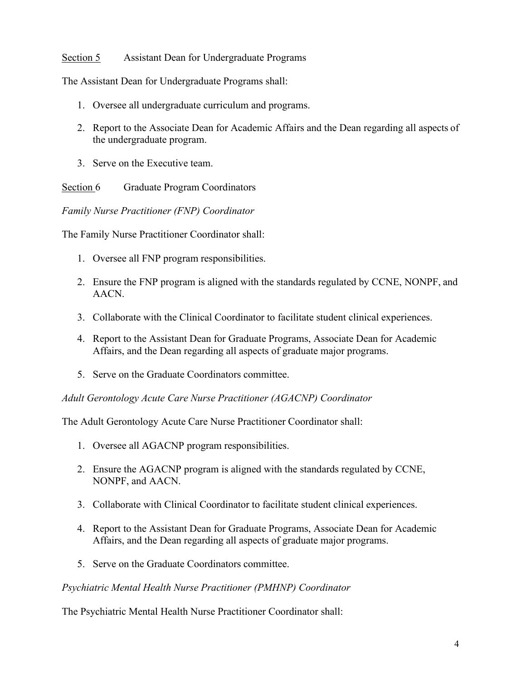### Section 5 Assistant Dean for Undergraduate Programs

The Assistant Dean for Undergraduate Programs shall:

- 1. Oversee all undergraduate curriculum and programs.
- 2. Report to the Associate Dean for Academic Affairs and the Dean regarding all aspects of the undergraduate program.
- 3. Serve on the Executive team.

Section 6 Graduate Program Coordinators

*Family Nurse Practitioner (FNP) Coordinator*

The Family Nurse Practitioner Coordinator shall:

- 1. Oversee all FNP program responsibilities.
- 2. Ensure the FNP program is aligned with the standards regulated by CCNE, NONPF, and AACN.
- 3. Collaborate with the Clinical Coordinator to facilitate student clinical experiences.
- 4. Report to the Assistant Dean for Graduate Programs, Associate Dean for Academic Affairs, and the Dean regarding all aspects of graduate major programs.
- 5. Serve on the Graduate Coordinators committee.

*Adult Gerontology Acute Care Nurse Practitioner (AGACNP) Coordinator*

The Adult Gerontology Acute Care Nurse Practitioner Coordinator shall:

- 1. Oversee all AGACNP program responsibilities.
- 2. Ensure the AGACNP program is aligned with the standards regulated by CCNE, NONPF, and AACN.
- 3. Collaborate with Clinical Coordinator to facilitate student clinical experiences.
- 4. Report to the Assistant Dean for Graduate Programs, Associate Dean for Academic Affairs, and the Dean regarding all aspects of graduate major programs.
- 5. Serve on the Graduate Coordinators committee.

*Psychiatric Mental Health Nurse Practitioner (PMHNP) Coordinator*

The Psychiatric Mental Health Nurse Practitioner Coordinator shall: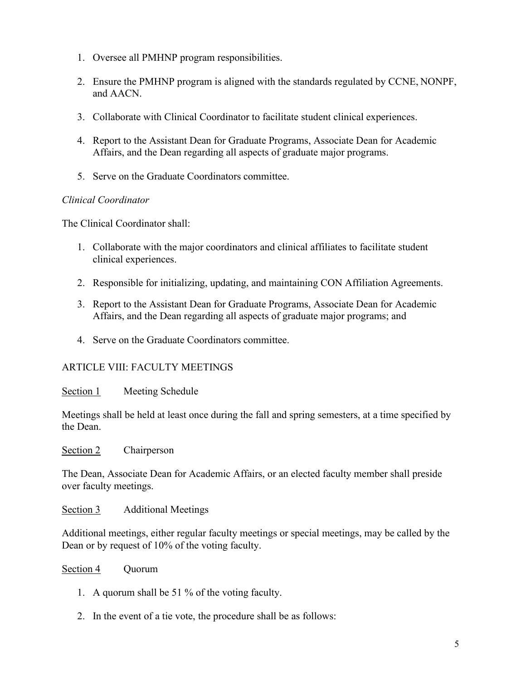- 1. Oversee all PMHNP program responsibilities.
- 2. Ensure the PMHNP program is aligned with the standards regulated by CCNE, NONPF, and AACN.
- 3. Collaborate with Clinical Coordinator to facilitate student clinical experiences.
- 4. Report to the Assistant Dean for Graduate Programs, Associate Dean for Academic Affairs, and the Dean regarding all aspects of graduate major programs.
- 5. Serve on the Graduate Coordinators committee.

# *Clinical Coordinator*

The Clinical Coordinator shall:

- 1. Collaborate with the major coordinators and clinical affiliates to facilitate student clinical experiences.
- 2. Responsible for initializing, updating, and maintaining CON Affiliation Agreements.
- 3. Report to the Assistant Dean for Graduate Programs, Associate Dean for Academic Affairs, and the Dean regarding all aspects of graduate major programs; and
- 4. Serve on the Graduate Coordinators committee.

# ARTICLE VIII: FACULTY MEETINGS

Section 1 Meeting Schedule

Meetings shall be held at least once during the fall and spring semesters, at a time specified by the Dean.

Section 2 Chairperson

The Dean, Associate Dean for Academic Affairs, or an elected faculty member shall preside over faculty meetings.

Section 3 Additional Meetings

Additional meetings, either regular faculty meetings or special meetings, may be called by the Dean or by request of 10% of the voting faculty.

Section 4 Ouorum

- 1. A quorum shall be 51 % of the voting faculty.
- 2. In the event of a tie vote, the procedure shall be as follows: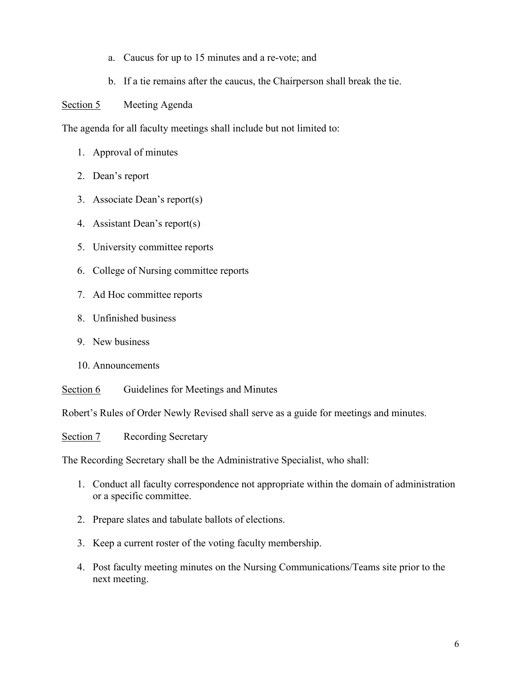- a. Caucus for up to 15 minutes and a re-vote; and
- b. If a tie remains after the caucus, the Chairperson shall break the tie.

Section 5 Meeting Agenda

The agenda for all faculty meetings shall include but not limited to:

- 1. Approval of minutes
- 2. Dean's report
- 3. Associate Dean's report(s)
- 4. Assistant Dean's report(s)
- 5. University committee reports
- 6. College of Nursing committee reports
- 7. Ad Hoc committee reports
- 8. Unfinished business
- 9. New business
- 10. Announcements

Section 6 Guidelines for Meetings and Minutes

Robert's Rules of Order Newly Revised shall serve as a guide for meetings and minutes.

Section 7 Recording Secretary

The Recording Secretary shall be the Administrative Specialist, who shall:

- 1. Conduct all faculty correspondence not appropriate within the domain of administration or a specific committee.
- 2. Prepare slates and tabulate ballots of elections.
- 3. Keep a current roster of the voting faculty membership.
- 4. Post faculty meeting minutes on the Nursing Communications/Teams site prior to the next meeting.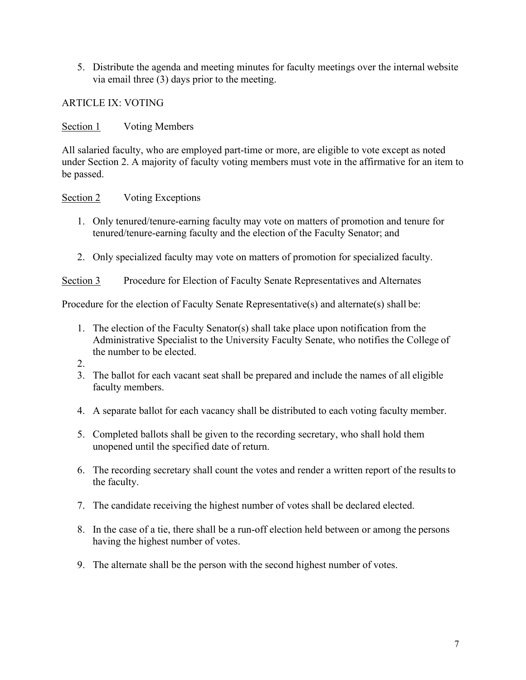5. Distribute the agenda and meeting minutes for faculty meetings over the internal website via email three (3) days prior to the meeting.

ARTICLE IX: VOTING

Section 1 Voting Members

All salaried faculty, who are employed part-time or more, are eligible to vote except as noted under Section 2. A majority of faculty voting members must vote in the affirmative for an item to be passed.

# Section 2 Voting Exceptions

- 1. Only tenured/tenure-earning faculty may vote on matters of promotion and tenure for tenured/tenure-earning faculty and the election of the Faculty Senator; and
- 2. Only specialized faculty may vote on matters of promotion for specialized faculty.

Section 3 Procedure for Election of Faculty Senate Representatives and Alternates

Procedure for the election of Faculty Senate Representative(s) and alternate(s) shall be:

- 1. The election of the Faculty Senator(s) shall take place upon notification from the Administrative Specialist to the University Faculty Senate, who notifies the College of the number to be elected.
- 2.
- 3. The ballot for each vacant seat shall be prepared and include the names of all eligible faculty members.
- 4. A separate ballot for each vacancy shall be distributed to each voting faculty member.
- 5. Completed ballots shall be given to the recording secretary, who shall hold them unopened until the specified date of return.
- 6. The recording secretary shall count the votes and render a written report of the resultsto the faculty.
- 7. The candidate receiving the highest number of votes shall be declared elected.
- 8. In the case of a tie, there shall be a run-off election held between or among the persons having the highest number of votes.
- 9. The alternate shall be the person with the second highest number of votes.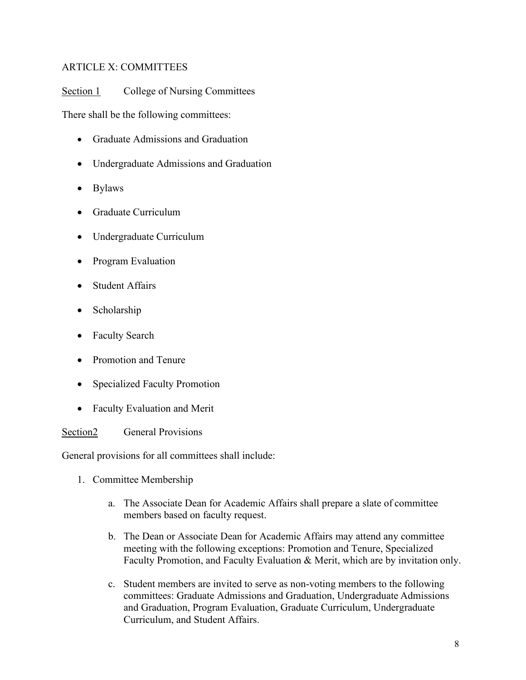# ARTICLE X: COMMITTEES

Section 1 College of Nursing Committees

There shall be the following committees:

- Graduate Admissions and Graduation
- Undergraduate Admissions and Graduation
- Bylaws
- Graduate Curriculum
- Undergraduate Curriculum
- Program Evaluation
- Student Affairs
- Scholarship
- Faculty Search
- Promotion and Tenure
- Specialized Faculty Promotion
- Faculty Evaluation and Merit

Section<sub>2</sub> General Provisions

General provisions for all committees shall include:

- 1. Committee Membership
	- a. The Associate Dean for Academic Affairs shall prepare a slate of committee members based on faculty request.
	- b. The Dean or Associate Dean for Academic Affairs may attend any committee meeting with the following exceptions: Promotion and Tenure, Specialized Faculty Promotion, and Faculty Evaluation & Merit, which are by invitation only.
	- c. Student members are invited to serve as non-voting members to the following committees: Graduate Admissions and Graduation, Undergraduate Admissions and Graduation, Program Evaluation, Graduate Curriculum, Undergraduate Curriculum, and Student Affairs.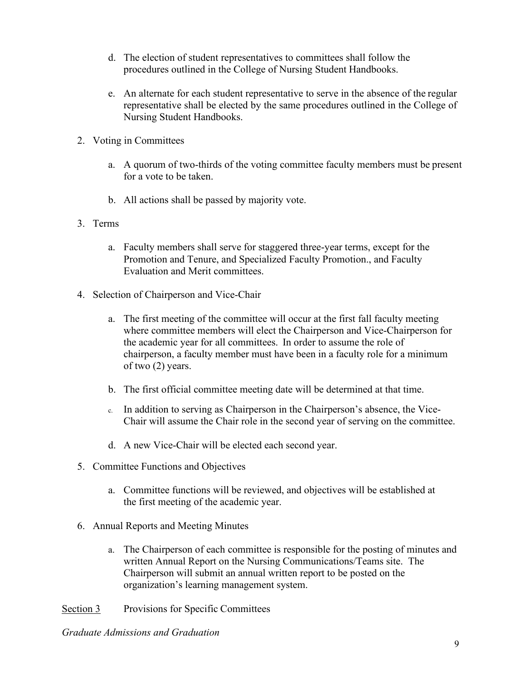- d. The election of student representatives to committees shall follow the procedures outlined in the College of Nursing Student Handbooks.
- e. An alternate for each student representative to serve in the absence of the regular representative shall be elected by the same procedures outlined in the College of Nursing Student Handbooks.
- 2. Voting in Committees
	- a. A quorum of two-thirds of the voting committee faculty members must be present for a vote to be taken.
	- b. All actions shall be passed by majority vote.
- 3. Terms
	- a. Faculty members shall serve for staggered three-year terms, except for the Promotion and Tenure, and Specialized Faculty Promotion., and Faculty Evaluation and Merit committees.
- 4. Selection of Chairperson and Vice-Chair
	- a. The first meeting of the committee will occur at the first fall faculty meeting where committee members will elect the Chairperson and Vice-Chairperson for the academic year for all committees. In order to assume the role of chairperson, a faculty member must have been in a faculty role for a minimum of two (2) years.
	- b. The first official committee meeting date will be determined at that time.
	- c. In addition to serving as Chairperson in the Chairperson's absence, the Vice-Chair will assume the Chair role in the second year of serving on the committee.
	- d. A new Vice-Chair will be elected each second year.
- 5. Committee Functions and Objectives
	- a. Committee functions will be reviewed, and objectives will be established at the first meeting of the academic year.
- 6. Annual Reports and Meeting Minutes
	- a. The Chairperson of each committee is responsible for the posting of minutes and written Annual Report on the Nursing Communications/Teams site. The Chairperson will submit an annual written report to be posted on the organization's learning management system.
- Section 3 Provisions for Specific Committees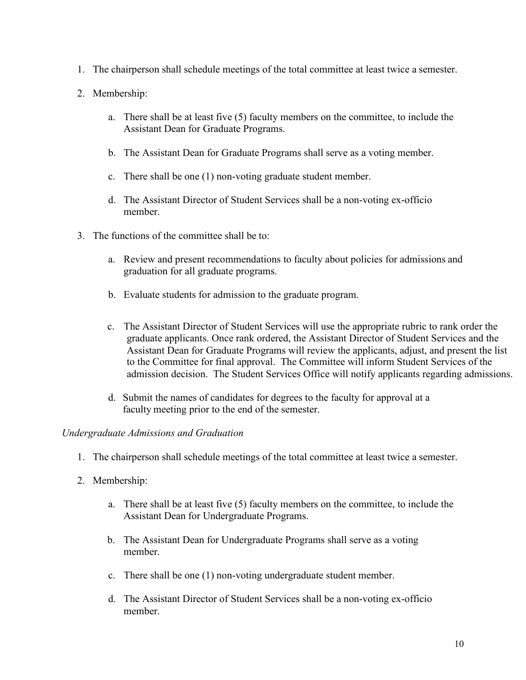- 1. The chairperson shall schedule meetings of the total committee at least twice a semester.
- 2. Membership:
	- a. There shall be at least five (5) faculty members on the committee, to include the Assistant Dean for Graduate Programs.
	- b. The Assistant Dean for Graduate Programs shall serve as a voting member.
	- c. There shall be one (1) non-voting graduate student member.
	- d. The Assistant Director of Student Services shall be a non-voting ex-officio member.
- 3. The functions of the committee shall be to:
	- a. Review and present recommendations to faculty about policies for admissions and graduation for all graduate programs.
	- b. Evaluate students for admission to the graduate program.
	- c. The Assistant Director of Student Services will use the appropriate rubric to rank order the graduate applicants. Once rank ordered, the Assistant Director of Student Services and the Assistant Dean for Graduate Programs will review the applicants, adjust, and present the list to the Committee for final approval. The Committee will inform Student Services of the admission decision. The Student Services Office will notify applicants regarding admissions.
	- d. Submit the names of candidates for degrees to the faculty for approval at a faculty meeting prior to the end of the semester.

#### *Undergraduate Admissions and Graduation*

- 1. The chairperson shall schedule meetings of the total committee at least twice a semester.
- 2. Membership:
	- a. There shall be at least five (5) faculty members on the committee, to include the Assistant Dean for Undergraduate Programs.
	- b. The Assistant Dean for Undergraduate Programs shall serve as a voting member.
	- c. There shall be one (1) non-voting undergraduate student member.
	- d. The Assistant Director of Student Services shall be a non-voting ex-officio member.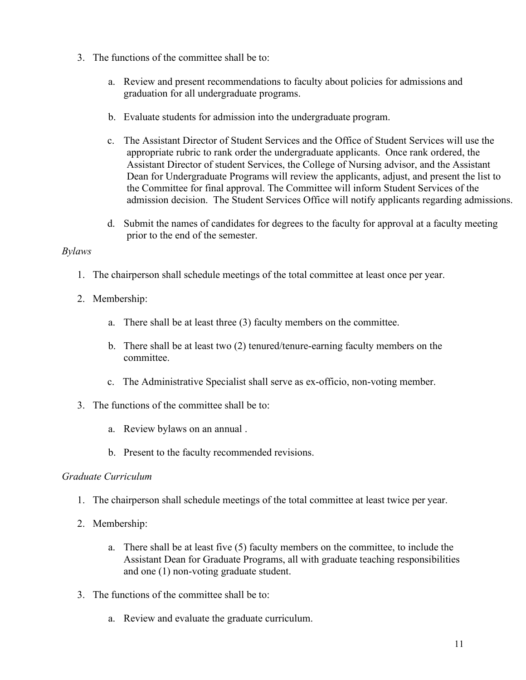- 3. The functions of the committee shall be to:
	- a. Review and present recommendations to faculty about policies for admissions and graduation for all undergraduate programs.
	- b. Evaluate students for admission into the undergraduate program.
	- c. The Assistant Director of Student Services and the Office of Student Services will use the appropriate rubric to rank order the undergraduate applicants. Once rank ordered, the Assistant Director of student Services, the College of Nursing advisor, and the Assistant Dean for Undergraduate Programs will review the applicants, adjust, and present the list to the Committee for final approval. The Committee will inform Student Services of the admission decision. The Student Services Office will notify applicants regarding admissions.
	- d. Submit the names of candidates for degrees to the faculty for approval at a faculty meeting prior to the end of the semester.

### *Bylaws*

- 1. The chairperson shall schedule meetings of the total committee at least once per year.
- 2. Membership:
	- a. There shall be at least three (3) faculty members on the committee.
	- b. There shall be at least two (2) tenured/tenure-earning faculty members on the committee.
	- c. The Administrative Specialist shall serve as ex-officio, non-voting member.
- 3. The functions of the committee shall be to:
	- a. Review bylaws on an annual .
	- b. Present to the faculty recommended revisions.

### *Graduate Curriculum*

- 1. The chairperson shall schedule meetings of the total committee at least twice per year.
- 2. Membership:
	- a. There shall be at least five (5) faculty members on the committee, to include the Assistant Dean for Graduate Programs, all with graduate teaching responsibilities and one (1) non-voting graduate student.
- 3. The functions of the committee shall be to:
	- a. Review and evaluate the graduate curriculum.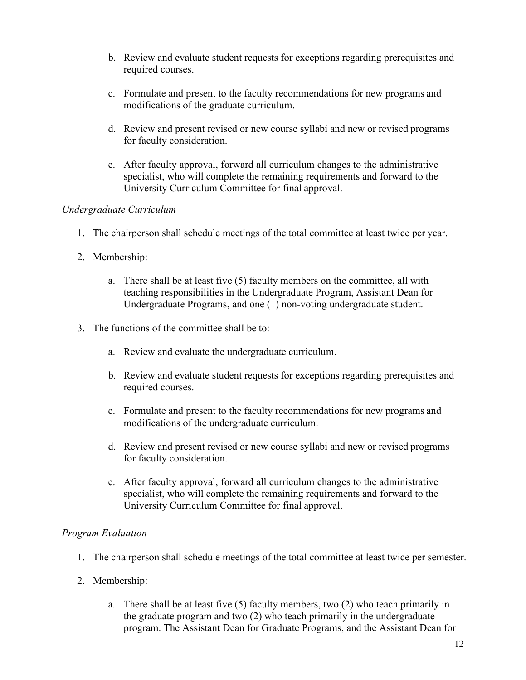- b. Review and evaluate student requests for exceptions regarding prerequisites and required courses.
- c. Formulate and present to the faculty recommendations for new programs and modifications of the graduate curriculum.
- d. Review and present revised or new course syllabi and new or revised programs for faculty consideration.
- e. After faculty approval, forward all curriculum changes to the administrative specialist, who will complete the remaining requirements and forward to the University Curriculum Committee for final approval.

### *Undergraduate Curriculum*

- 1. The chairperson shall schedule meetings of the total committee at least twice per year.
- 2. Membership:
	- a. There shall be at least five (5) faculty members on the committee, all with teaching responsibilities in the Undergraduate Program, Assistant Dean for Undergraduate Programs, and one (1) non-voting undergraduate student.
- 3. The functions of the committee shall be to:
	- a. Review and evaluate the undergraduate curriculum.
	- b. Review and evaluate student requests for exceptions regarding prerequisites and required courses.
	- c. Formulate and present to the faculty recommendations for new programs and modifications of the undergraduate curriculum.
	- d. Review and present revised or new course syllabi and new or revised programs for faculty consideration.
	- e. After faculty approval, forward all curriculum changes to the administrative specialist, who will complete the remaining requirements and forward to the University Curriculum Committee for final approval.

# *Program Evaluation*

- 1. The chairperson shall schedule meetings of the total committee at least twice per semester.
- 2. Membership:
	- a. There shall be at least five (5) faculty members, two (2) who teach primarily in the graduate program and two (2) who teach primarily in the undergraduate program. The Assistant Dean for Graduate Programs, and the Assistant Dean for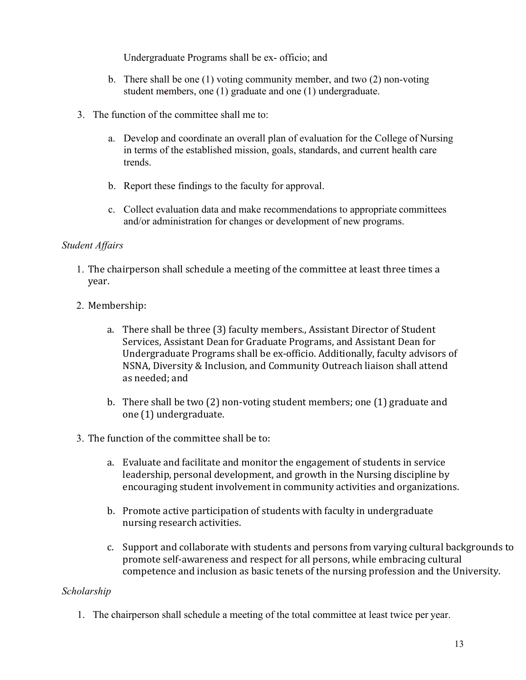Undergraduate Programs shall be ex- officio; and

- b. There shall be one (1) voting community member, and two (2) non-voting student members, one (1) graduate and one (1) undergraduate.
- 3. The function of the committee shall me to:
	- a. Develop and coordinate an overall plan of evaluation for the College of Nursing in terms of the established mission, goals, standards, and current health care trends.
	- b. Report these findings to the faculty for approval.
	- c. Collect evaluation data and make recommendations to appropriate committees and/or administration for changes or development of new programs.

### *Student Affairs*

- 1. The chairperson shall schedule a meeting of the committee at least three times a year.
- 2. Membership:
	- a. There shall be three (3) faculty members., Assistant Director of Student Services, Assistant Dean for Graduate Programs, and Assistant Dean for Undergraduate Programs shall be ex-officio. Additionally, faculty advisors of NSNA, Diversity & Inclusion, and Community Outreach liaison shall attend as needed; and
	- b. There shall be two (2) non-voting student members; one (1) graduate and one (1) undergraduate.
- 3. The function of the committee shall be to:
	- a. Evaluate and facilitate and monitor the engagement of students in service leadership, personal development, and growth in the Nursing discipline by encouraging student involvement in community activities and organizations.
	- b. Promote active participation of students with faculty in undergraduate nursing research activities.
	- c. Support and collaborate with students and persons from varying cultural backgrounds to promote self-awareness and respect for all persons, while embracing cultural competence and inclusion as basic tenets of the nursing profession and the University.

# *Scholarship*

1. The chairperson shall schedule a meeting of the total committee at least twice per year.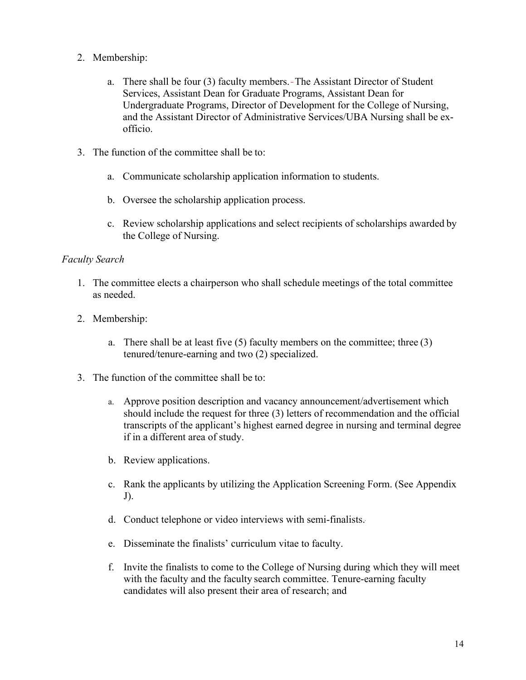- 2. Membership:
	- a. There shall be four (3) faculty members. The Assistant Director of Student Services, Assistant Dean for Graduate Programs, Assistant Dean for Undergraduate Programs, Director of Development for the College of Nursing, and the Assistant Director of Administrative Services/UBA Nursing shall be exofficio.
- 3. The function of the committee shall be to:
	- a. Communicate scholarship application information to students.
	- b. Oversee the scholarship application process.
	- c. Review scholarship applications and select recipients of scholarships awarded by the College of Nursing.

#### *Faculty Search*

- 1. The committee elects a chairperson who shall schedule meetings of the total committee as needed.
- 2. Membership:
	- a. There shall be at least five  $(5)$  faculty members on the committee; three  $(3)$ tenured/tenure-earning and two (2) specialized.
- 3. The function of the committee shall be to:
	- a. Approve position description and vacancy announcement/advertisement which should include the request for three (3) letters of recommendation and the official transcripts of the applicant's highest earned degree in nursing and terminal degree if in a different area of study.
	- b. Review applications.
	- c. Rank the applicants by utilizing the Application Screening Form. (See Appendix J).
	- d. Conduct telephone or video interviews with semi-finalists.
	- e. Disseminate the finalists' curriculum vitae to faculty.
	- f. Invite the finalists to come to the College of Nursing during which they will meet with the faculty and the faculty search committee. Tenure-earning faculty candidates will also present their area of research; and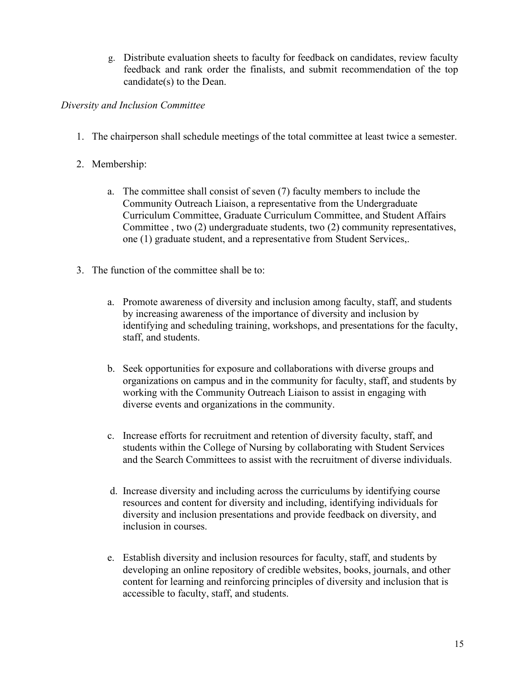g. Distribute evaluation sheets to faculty for feedback on candidates, review faculty feedback and rank order the finalists, and submit recommendation of the top candidate(s) to the Dean.

# *Diversity and Inclusion Committee*

- 1. The chairperson shall schedule meetings of the total committee at least twice a semester.
- 2. Membership:
	- a. The committee shall consist of seven (7) faculty members to include the Community Outreach Liaison, a representative from the Undergraduate Curriculum Committee, Graduate Curriculum Committee, and Student Affairs Committee , two (2) undergraduate students, two (2) community representatives, one (1) graduate student, and a representative from Student Services,.
- 3. The function of the committee shall be to:
	- a. Promote awareness of diversity and inclusion among faculty, staff, and students by increasing awareness of the importance of diversity and inclusion by identifying and scheduling training, workshops, and presentations for the faculty, staff, and students.
	- b. Seek opportunities for exposure and collaborations with diverse groups and organizations on campus and in the community for faculty, staff, and students by working with the Community Outreach Liaison to assist in engaging with diverse events and organizations in the community.
	- c. Increase efforts for recruitment and retention of diversity faculty, staff, and students within the College of Nursing by collaborating with Student Services and the Search Committees to assist with the recruitment of diverse individuals.
	- d. Increase diversity and including across the curriculums by identifying course resources and content for diversity and including, identifying individuals for diversity and inclusion presentations and provide feedback on diversity, and inclusion in courses.
	- e. Establish diversity and inclusion resources for faculty, staff, and students by developing an online repository of credible websites, books, journals, and other content for learning and reinforcing principles of diversity and inclusion that is accessible to faculty, staff, and students.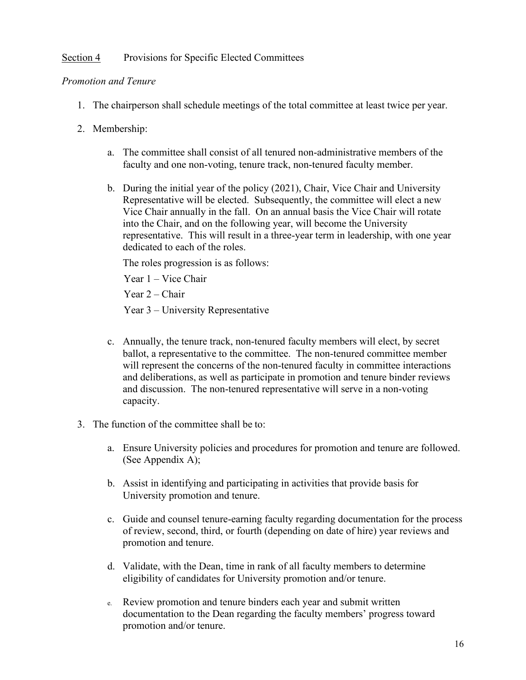# Section 4 Provisions for Specific Elected Committees

#### *Promotion and Tenure*

- 1. The chairperson shall schedule meetings of the total committee at least twice per year.
- 2. Membership:
	- a. The committee shall consist of all tenured non-administrative members of the faculty and one non-voting, tenure track, non-tenured faculty member.
	- b. During the initial year of the policy (2021), Chair, Vice Chair and University Representative will be elected. Subsequently, the committee will elect a new Vice Chair annually in the fall. On an annual basis the Vice Chair will rotate into the Chair, and on the following year, will become the University representative. This will result in a three-year term in leadership, with one year dedicated to each of the roles.

The roles progression is as follows:

Year 1 – Vice Chair

Year 2 – Chair

Year 3 – University Representative

- c. Annually, the tenure track, non-tenured faculty members will elect, by secret ballot, a representative to the committee. The non-tenured committee member will represent the concerns of the non-tenured faculty in committee interactions and deliberations, as well as participate in promotion and tenure binder reviews and discussion. The non-tenured representative will serve in a non-voting capacity.
- 3. The function of the committee shall be to:
	- a. Ensure University policies and procedures for promotion and tenure are followed. (See Appendix A);
	- b. Assist in identifying and participating in activities that provide basis for University promotion and tenure.
	- c. Guide and counsel tenure-earning faculty regarding documentation for the process of review, second, third, or fourth (depending on date of hire) year reviews and promotion and tenure.
	- d. Validate, with the Dean, time in rank of all faculty members to determine eligibility of candidates for University promotion and/or tenure.
	- e. Review promotion and tenure binders each year and submit written documentation to the Dean regarding the faculty members' progress toward promotion and/or tenure.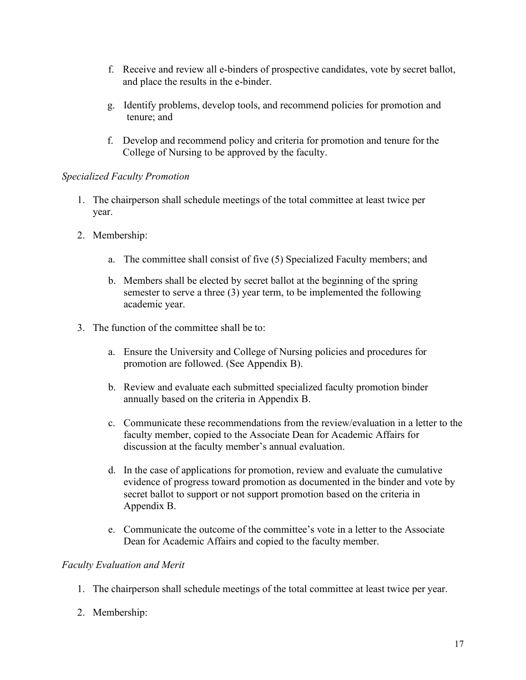- f. Receive and review all e-binders of prospective candidates, vote by secret ballot, and place the results in the e-binder.
- g. Identify problems, develop tools, and recommend policies for promotion and tenure; and
- f. Develop and recommend policy and criteria for promotion and tenure for the College of Nursing to be approved by the faculty.

# *Specialized Faculty Promotion*

- 1. The chairperson shall schedule meetings of the total committee at least twice per year.
- 2. Membership:
	- a. The committee shall consist of five (5) Specialized Faculty members; and
	- b. Members shall be elected by secret ballot at the beginning of the spring semester to serve a three (3) year term, to be implemented the following academic year.
- 3. The function of the committee shall be to:
	- a. Ensure the University and College of Nursing policies and procedures for promotion are followed. (See Appendix B).
	- b. Review and evaluate each submitted specialized faculty promotion binder annually based on the criteria in Appendix B.
	- c. Communicate these recommendations from the review/evaluation in a letter to the faculty member, copied to the Associate Dean for Academic Affairs for discussion at the faculty member's annual evaluation.
	- d. In the case of applications for promotion, review and evaluate the cumulative evidence of progress toward promotion as documented in the binder and vote by secret ballot to support or not support promotion based on the criteria in Appendix B.
	- e. Communicate the outcome of the committee's vote in a letter to the Associate Dean for Academic Affairs and copied to the faculty member.

# *Faculty Evaluation and Merit*

- 1. The chairperson shall schedule meetings of the total committee at least twice per year.
- 2. Membership: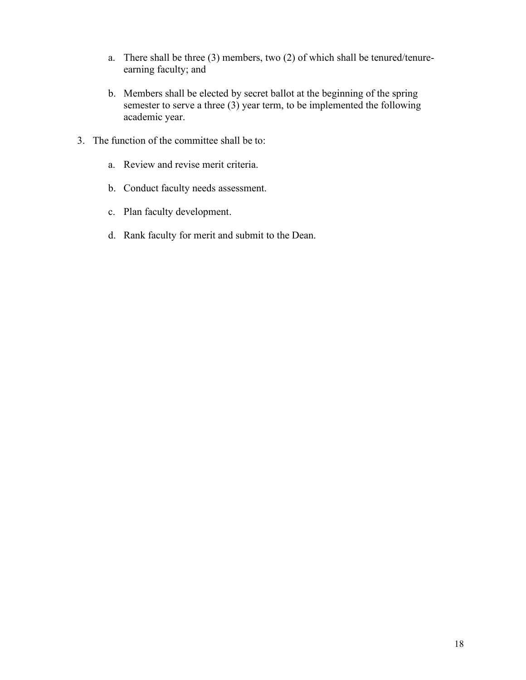- a. There shall be three (3) members, two (2) of which shall be tenured/tenureearning faculty; and
- b. Members shall be elected by secret ballot at the beginning of the spring semester to serve a three (3) year term, to be implemented the following academic year.
- 3. The function of the committee shall be to:
	- a. Review and revise merit criteria.
	- b. Conduct faculty needs assessment.
	- c. Plan faculty development.
	- d. Rank faculty for merit and submit to the Dean.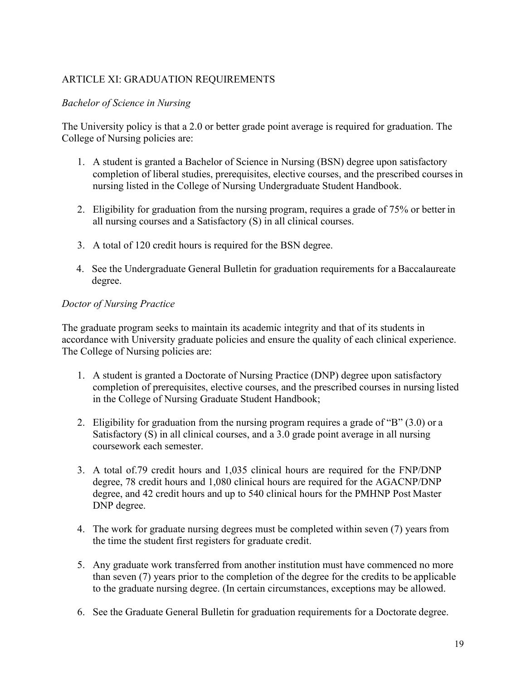# ARTICLE XI: GRADUATION REQUIREMENTS

### *Bachelor of Science in Nursing*

The University policy is that a 2.0 or better grade point average is required for graduation. The College of Nursing policies are:

- 1. A student is granted a Bachelor of Science in Nursing (BSN) degree upon satisfactory completion of liberal studies, prerequisites, elective courses, and the prescribed courses in nursing listed in the College of Nursing Undergraduate Student Handbook.
- 2. Eligibility for graduation from the nursing program, requires a grade of 75% or better in all nursing courses and a Satisfactory (S) in all clinical courses.
- 3. A total of 120 credit hours is required for the BSN degree.
- 4. See the Undergraduate General Bulletin for graduation requirements for a Baccalaureate degree.

### *Doctor of Nursing Practice*

The graduate program seeks to maintain its academic integrity and that of its students in accordance with University graduate policies and ensure the quality of each clinical experience. The College of Nursing policies are:

- 1. A student is granted a Doctorate of Nursing Practice (DNP) degree upon satisfactory completion of prerequisites, elective courses, and the prescribed courses in nursing listed in the College of Nursing Graduate Student Handbook;
- 2. Eligibility for graduation from the nursing program requires a grade of "B" (3.0) or a Satisfactory (S) in all clinical courses, and a 3.0 grade point average in all nursing coursework each semester.
- 3. A total of.79 credit hours and 1,035 clinical hours are required for the FNP/DNP degree, 78 credit hours and 1,080 clinical hours are required for the AGACNP/DNP degree, and 42 credit hours and up to 540 clinical hours for the PMHNP Post Master DNP degree.
- 4. The work for graduate nursing degrees must be completed within seven (7) years from the time the student first registers for graduate credit.
- 5. Any graduate work transferred from another institution must have commenced no more than seven (7) years prior to the completion of the degree for the credits to be applicable to the graduate nursing degree. (In certain circumstances, exceptions may be allowed.
- 6. See the Graduate General Bulletin for graduation requirements for a Doctorate degree.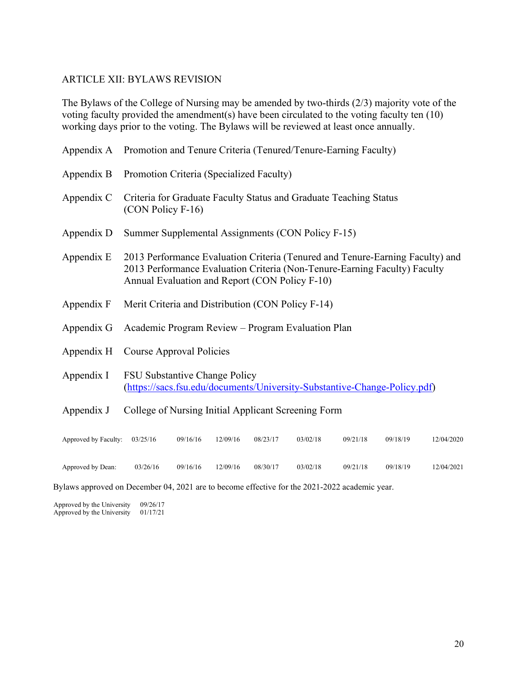#### ARTICLE XII: BYLAWS REVISION

The Bylaws of the College of Nursing may be amended by two-thirds (2/3) majority vote of the voting faculty provided the amendment(s) have been circulated to the voting faculty ten (10) working days prior to the voting. The Bylaws will be reviewed at least once annually.

|                               | Appendix A Promotion and Tenure Criteria (Tenured/Tenure-Earning Faculty)                                                                                                                                    |  |  |  |
|-------------------------------|--------------------------------------------------------------------------------------------------------------------------------------------------------------------------------------------------------------|--|--|--|
| Appendix B                    | Promotion Criteria (Specialized Faculty)                                                                                                                                                                     |  |  |  |
| Appendix C                    | Criteria for Graduate Faculty Status and Graduate Teaching Status<br>$(CON Policy F-16)$                                                                                                                     |  |  |  |
| Appendix D                    | Summer Supplemental Assignments (CON Policy F-15)                                                                                                                                                            |  |  |  |
| Appendix E                    | 2013 Performance Evaluation Criteria (Tenured and Tenure-Earning Faculty) and<br>2013 Performance Evaluation Criteria (Non-Tenure-Earning Faculty) Faculty<br>Annual Evaluation and Report (CON Policy F-10) |  |  |  |
| Appendix F                    | Merit Criteria and Distribution (CON Policy F-14)                                                                                                                                                            |  |  |  |
| Appendix G                    | Academic Program Review – Program Evaluation Plan                                                                                                                                                            |  |  |  |
| Appendix H                    | Course Approval Policies                                                                                                                                                                                     |  |  |  |
| Appendix I                    | <b>FSU Substantive Change Policy</b><br>(https://sacs.fsu.edu/documents/University-Substantive-Change-Policy.pdf)                                                                                            |  |  |  |
| Appendix J                    | College of Nursing Initial Applicant Screening Form                                                                                                                                                          |  |  |  |
| Approved by Faculty: 03/25/16 | 09/16/16<br>12/09/16<br>08/23/17<br>03/02/18<br>09/21/18<br>09/18/19<br>12/04/2020                                                                                                                           |  |  |  |

Approved by Dean: 03/26/16 09/16/16 12/09/16 08/30/17 03/02/18 09/21/18 09/18/19 12/04/2021

Bylaws approved on December 04, 2021 are to become effective for the 2021-2022 academic year.

Approved by the University  $09/26/17$ <br>Approved by the University  $01/17/21$ Approved by the University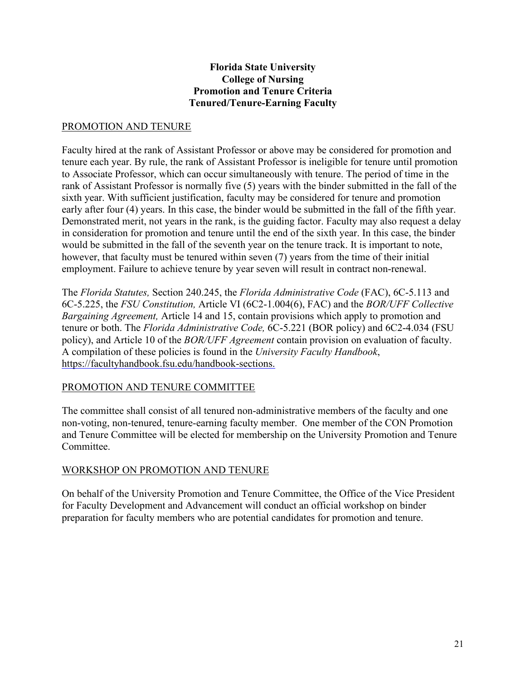## **Florida State University College of Nursing Promotion and Tenure Criteria Tenured/Tenure-Earning Faculty**

# PROMOTION AND TENURE

Faculty hired at the rank of Assistant Professor or above may be considered for promotion and tenure each year. By rule, the rank of Assistant Professor is ineligible for tenure until promotion to Associate Professor, which can occur simultaneously with tenure. The period of time in the rank of Assistant Professor is normally five (5) years with the binder submitted in the fall of the sixth year. With sufficient justification, faculty may be considered for tenure and promotion early after four (4) years. In this case, the binder would be submitted in the fall of the fifth year. Demonstrated merit, not years in the rank, is the guiding factor. Faculty may also request a delay in consideration for promotion and tenure until the end of the sixth year. In this case, the binder would be submitted in the fall of the seventh year on the tenure track. It is important to note, however, that faculty must be tenured within seven (7) years from the time of their initial employment. Failure to achieve tenure by year seven will result in contract non-renewal.

The *Florida Statutes,* Section 240.245, the *Florida Administrative Code* (FAC), 6C-5.113 and 6C-5.225, the *FSU Constitution,* Article VI (6C2-1.004(6), FAC) and the *BOR/UFF Collective Bargaining Agreement,* Article 14 and 15, contain provisions which apply to promotion and tenure or both. The *Florida Administrative Code,* 6C-5.221 (BOR policy) and 6C2-4.034 (FSU policy), and Article 10 of the *BOR/UFF Agreement* contain provision on evaluation of faculty. A compilation of these policies is found in the *University Faculty Handbook*, https://facultyhandbook.fsu.edu/handbook-sections.

# PROMOTION AND TENURE COMMITTEE

The committee shall consist of all tenured non-administrative members of the faculty and one non-voting, non-tenured, tenure-earning faculty member. One member of the CON Promotion and Tenure Committee will be elected for membership on the University Promotion and Tenure Committee.

# WORKSHOP ON PROMOTION AND TENURE

On behalf of the University Promotion and Tenure Committee, the Office of the Vice President for Faculty Development and Advancement will conduct an official workshop on binder preparation for faculty members who are potential candidates for promotion and tenure.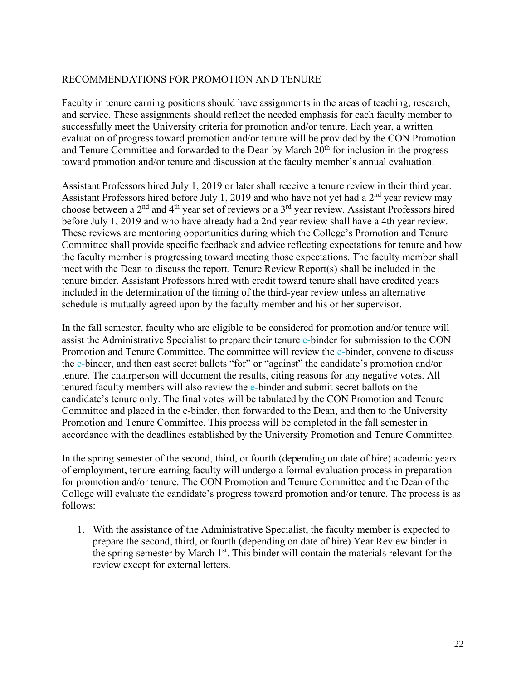# RECOMMENDATIONS FOR PROMOTION AND TENURE

Faculty in tenure earning positions should have assignments in the areas of teaching, research, and service. These assignments should reflect the needed emphasis for each faculty member to successfully meet the University criteria for promotion and/or tenure. Each year, a written evaluation of progress toward promotion and/or tenure will be provided by the CON Promotion and Tenure Committee and forwarded to the Dean by March  $20<sup>th</sup>$  for inclusion in the progress toward promotion and/or tenure and discussion at the faculty member's annual evaluation.

Assistant Professors hired July 1, 2019 or later shall receive a tenure review in their third year. Assistant Professors hired before July 1, 2019 and who have not yet had a  $2<sup>nd</sup>$  year review may choose between a 2nd and 4th year set of reviews or a 3rd year review. Assistant Professors hired before July 1, 2019 and who have already had a 2nd year review shall have a 4th year review. These reviews are mentoring opportunities during which the College's Promotion and Tenure Committee shall provide specific feedback and advice reflecting expectations for tenure and how the faculty member is progressing toward meeting those expectations. The faculty member shall meet with the Dean to discuss the report. Tenure Review Report(s) shall be included in the tenure binder. Assistant Professors hired with credit toward tenure shall have credited years included in the determination of the timing of the third-year review unless an alternative schedule is mutually agreed upon by the faculty member and his or her supervisor.

In the fall semester, faculty who are eligible to be considered for promotion and/or tenure will assist the Administrative Specialist to prepare their tenure e-binder for submission to the CON Promotion and Tenure Committee. The committee will review the e-binder, convene to discuss the e-binder, and then cast secret ballots "for" or "against" the candidate's promotion and/or tenure. The chairperson will document the results, citing reasons for any negative votes. All tenured faculty members will also review the e-binder and submit secret ballots on the candidate's tenure only. The final votes will be tabulated by the CON Promotion and Tenure Committee and placed in the e-binder, then forwarded to the Dean, and then to the University Promotion and Tenure Committee. This process will be completed in the fall semester in accordance with the deadlines established by the University Promotion and Tenure Committee.

In the spring semester of the second, third, or fourth (depending on date of hire) academic year*s*  of employment, tenure-earning faculty will undergo a formal evaluation process in preparation for promotion and/or tenure. The CON Promotion and Tenure Committee and the Dean of the College will evaluate the candidate's progress toward promotion and/or tenure. The process is as follows:

1. With the assistance of the Administrative Specialist, the faculty member is expected to prepare the second, third, or fourth (depending on date of hire) Year Review binder in the spring semester by March  $1<sup>st</sup>$ . This binder will contain the materials relevant for the review except for external letters.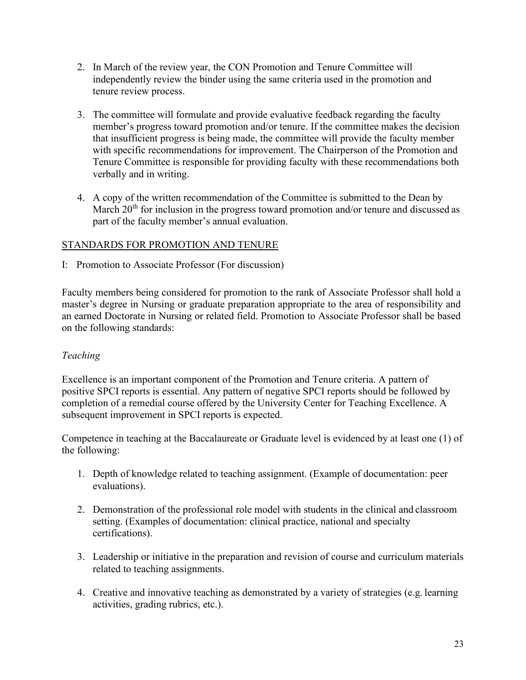- 2. In March of the review year, the CON Promotion and Tenure Committee will independently review the binder using the same criteria used in the promotion and tenure review process.
- 3. The committee will formulate and provide evaluative feedback regarding the faculty member's progress toward promotion and/or tenure. If the committee makes the decision that insufficient progress is being made, the committee will provide the faculty member with specific recommendations for improvement. The Chairperson of the Promotion and Tenure Committee is responsible for providing faculty with these recommendations both verbally and in writing.
- 4. A copy of the written recommendation of the Committee is submitted to the Dean by March  $20<sup>th</sup>$  for inclusion in the progress toward promotion and/or tenure and discussed as part of the faculty member's annual evaluation.

# STANDARDS FOR PROMOTION AND TENURE

I: Promotion to Associate Professor (For discussion)

Faculty members being considered for promotion to the rank of Associate Professor shall hold a master's degree in Nursing or graduate preparation appropriate to the area of responsibility and an earned Doctorate in Nursing or related field. Promotion to Associate Professor shall be based on the following standards:

# *Teaching*

Excellence is an important component of the Promotion and Tenure criteria. A pattern of positive SPCI reports is essential. Any pattern of negative SPCI reports should be followed by completion of a remedial course offered by the University Center for Teaching Excellence. A subsequent improvement in SPCI reports is expected.

Competence in teaching at the Baccalaureate or Graduate level is evidenced by at least one (1) of the following:

- 1. Depth of knowledge related to teaching assignment. (Example of documentation: peer evaluations).
- 2. Demonstration of the professional role model with students in the clinical and classroom setting. (Examples of documentation: clinical practice, national and specialty certifications).
- 3. Leadership or initiative in the preparation and revision of course and curriculum materials related to teaching assignments.
- 4. Creative and innovative teaching as demonstrated by a variety of strategies (e.g. learning activities, grading rubrics, etc.).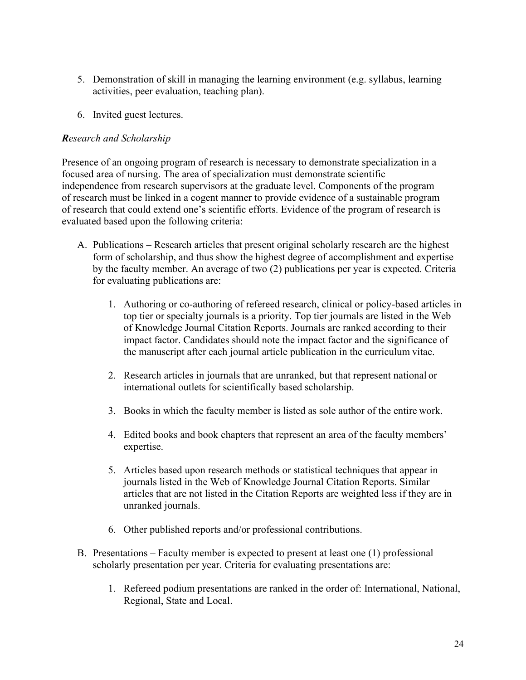- 5. Demonstration of skill in managing the learning environment (e.g. syllabus, learning activities, peer evaluation, teaching plan).
- 6. Invited guest lectures.

# *Research and Scholarship*

Presence of an ongoing program of research is necessary to demonstrate specialization in a focused area of nursing. The area of specialization must demonstrate scientific independence from research supervisors at the graduate level. Components of the program of research must be linked in a cogent manner to provide evidence of a sustainable program of research that could extend one's scientific efforts. Evidence of the program of research is evaluated based upon the following criteria:

- A. Publications Research articles that present original scholarly research are the highest form of scholarship, and thus show the highest degree of accomplishment and expertise by the faculty member. An average of two (2) publications per year is expected. Criteria for evaluating publications are:
	- 1. Authoring or co-authoring of refereed research, clinical or policy-based articles in top tier or specialty journals is a priority. Top tier journals are listed in the Web of Knowledge Journal Citation Reports. Journals are ranked according to their impact factor. Candidates should note the impact factor and the significance of the manuscript after each journal article publication in the curriculum vitae.
	- 2. Research articles in journals that are unranked, but that represent national or international outlets for scientifically based scholarship.
	- 3. Books in which the faculty member is listed as sole author of the entire work.
	- 4. Edited books and book chapters that represent an area of the faculty members' expertise.
	- 5. Articles based upon research methods or statistical techniques that appear in journals listed in the Web of Knowledge Journal Citation Reports. Similar articles that are not listed in the Citation Reports are weighted less if they are in unranked journals.
	- 6. Other published reports and/or professional contributions.
- B. Presentations Faculty member is expected to present at least one (1) professional scholarly presentation per year. Criteria for evaluating presentations are:
	- 1. Refereed podium presentations are ranked in the order of: International, National, Regional, State and Local.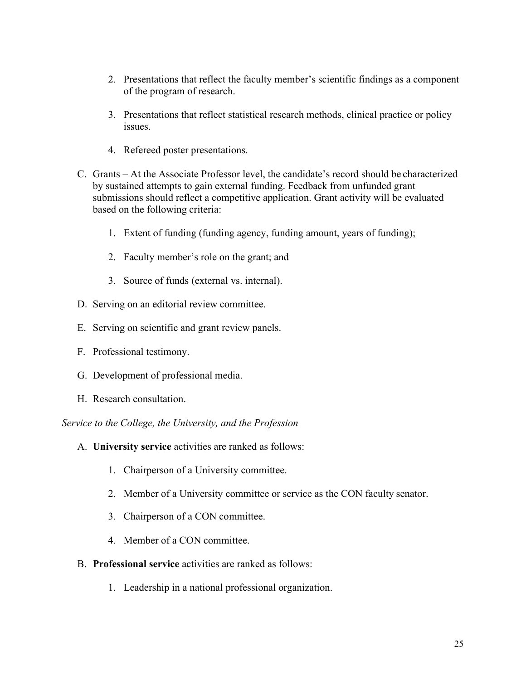- 2. Presentations that reflect the faculty member's scientific findings as a component of the program of research.
- 3. Presentations that reflect statistical research methods, clinical practice or policy issues.
- 4. Refereed poster presentations.
- C. Grants At the Associate Professor level, the candidate's record should be characterized by sustained attempts to gain external funding. Feedback from unfunded grant submissions should reflect a competitive application. Grant activity will be evaluated based on the following criteria:
	- 1. Extent of funding (funding agency, funding amount, years of funding);
	- 2. Faculty member's role on the grant; and
	- 3. Source of funds (external vs. internal).
- D. Serving on an editorial review committee.
- E. Serving on scientific and grant review panels.
- F. Professional testimony.
- G. Development of professional media.
- H. Research consultation.

*Service to the College, the University, and the Profession*

- A. **University service** activities are ranked as follows:
	- 1. Chairperson of a University committee.
	- 2. Member of a University committee or service as the CON faculty senator.
	- 3. Chairperson of a CON committee.
	- 4. Member of a CON committee.
- B. **Professional service** activities are ranked as follows:
	- 1. Leadership in a national professional organization.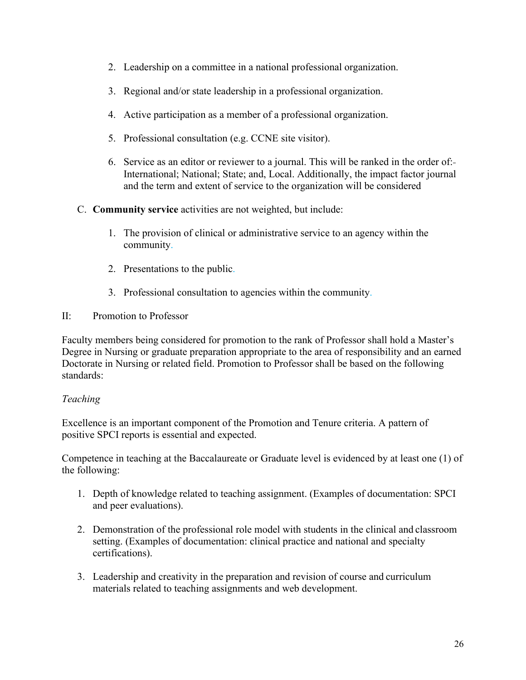- 2. Leadership on a committee in a national professional organization.
- 3. Regional and/or state leadership in a professional organization.
- 4. Active participation as a member of a professional organization.
- 5. Professional consultation (e.g. CCNE site visitor).
- 6. Service as an editor or reviewer to a journal. This will be ranked in the order of: International; National; State; and, Local. Additionally, the impact factor journal and the term and extent of service to the organization will be considered
- C. **Community service** activities are not weighted, but include:
	- 1. The provision of clinical or administrative service to an agency within the community.
	- 2. Presentations to the public.
	- 3. Professional consultation to agencies within the community.
- II: Promotion to Professor

Faculty members being considered for promotion to the rank of Professor shall hold a Master's Degree in Nursing or graduate preparation appropriate to the area of responsibility and an earned Doctorate in Nursing or related field. Promotion to Professor shall be based on the following standards:

# *Teaching*

Excellence is an important component of the Promotion and Tenure criteria. A pattern of positive SPCI reports is essential and expected.

Competence in teaching at the Baccalaureate or Graduate level is evidenced by at least one (1) of the following:

- 1. Depth of knowledge related to teaching assignment. (Examples of documentation: SPCI and peer evaluations).
- 2. Demonstration of the professional role model with students in the clinical and classroom setting. (Examples of documentation: clinical practice and national and specialty certifications).
- 3. Leadership and creativity in the preparation and revision of course and curriculum materials related to teaching assignments and web development.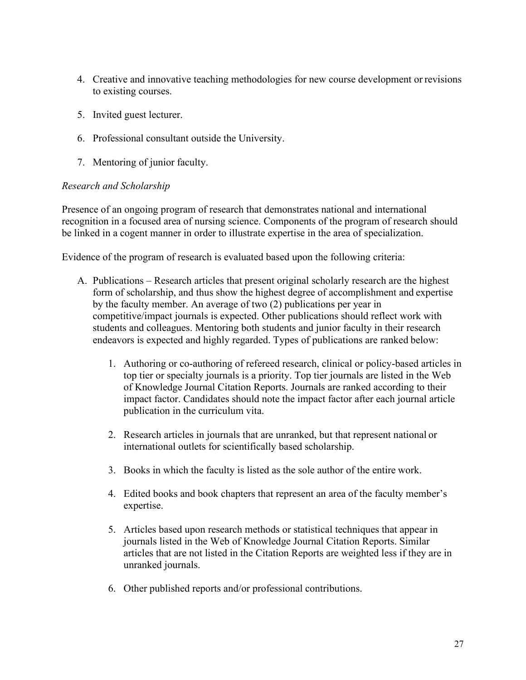- 4. Creative and innovative teaching methodologies for new course development or revisions to existing courses.
- 5. Invited guest lecturer.
- 6. Professional consultant outside the University.
- 7. Mentoring of junior faculty.

# *Research and Scholarship*

Presence of an ongoing program of research that demonstrates national and international recognition in a focused area of nursing science. Components of the program of research should be linked in a cogent manner in order to illustrate expertise in the area of specialization.

Evidence of the program of research is evaluated based upon the following criteria:

- A. Publications Research articles that present original scholarly research are the highest form of scholarship, and thus show the highest degree of accomplishment and expertise by the faculty member. An average of two (2) publications per year in competitive/impact journals is expected. Other publications should reflect work with students and colleagues. Mentoring both students and junior faculty in their research endeavors is expected and highly regarded. Types of publications are ranked below:
	- 1. Authoring or co-authoring of refereed research, clinical or policy-based articles in top tier or specialty journals is a priority. Top tier journals are listed in the Web of Knowledge Journal Citation Reports. Journals are ranked according to their impact factor. Candidates should note the impact factor after each journal article publication in the curriculum vita.
	- 2. Research articles in journals that are unranked, but that represent national or international outlets for scientifically based scholarship.
	- 3. Books in which the faculty is listed as the sole author of the entire work.
	- 4. Edited books and book chapters that represent an area of the faculty member's expertise.
	- 5. Articles based upon research methods or statistical techniques that appear in journals listed in the Web of Knowledge Journal Citation Reports. Similar articles that are not listed in the Citation Reports are weighted less if they are in unranked journals.
	- 6. Other published reports and/or professional contributions.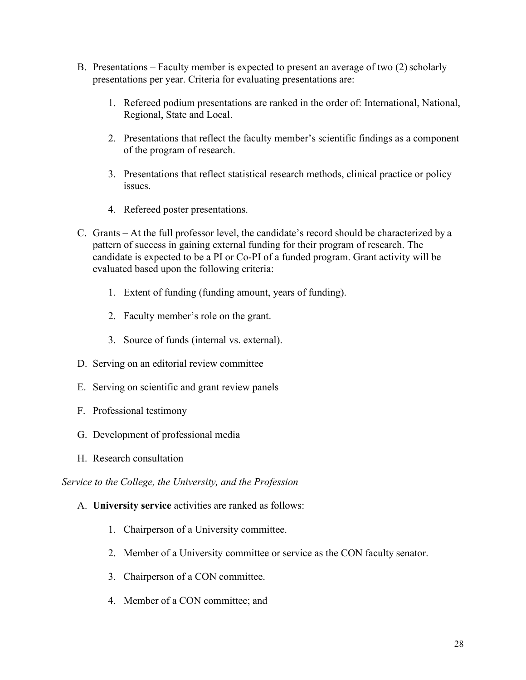- B. Presentations Faculty member is expected to present an average of two  $(2)$  scholarly presentations per year. Criteria for evaluating presentations are:
	- 1. Refereed podium presentations are ranked in the order of: International, National, Regional, State and Local.
	- 2. Presentations that reflect the faculty member's scientific findings as a component of the program of research.
	- 3. Presentations that reflect statistical research methods, clinical practice or policy issues.
	- 4. Refereed poster presentations.
- C. Grants At the full professor level, the candidate's record should be characterized by a pattern of success in gaining external funding for their program of research. The candidate is expected to be a PI or Co-PI of a funded program. Grant activity will be evaluated based upon the following criteria:
	- 1. Extent of funding (funding amount, years of funding).
	- 2. Faculty member's role on the grant.
	- 3. Source of funds (internal vs. external).
- D. Serving on an editorial review committee
- E. Serving on scientific and grant review panels
- F. Professional testimony
- G. Development of professional media
- H. Research consultation

*Service to the College, the University, and the Profession*

- A. **University service** activities are ranked as follows:
	- 1. Chairperson of a University committee.
	- 2. Member of a University committee or service as the CON faculty senator.
	- 3. Chairperson of a CON committee.
	- 4. Member of a CON committee; and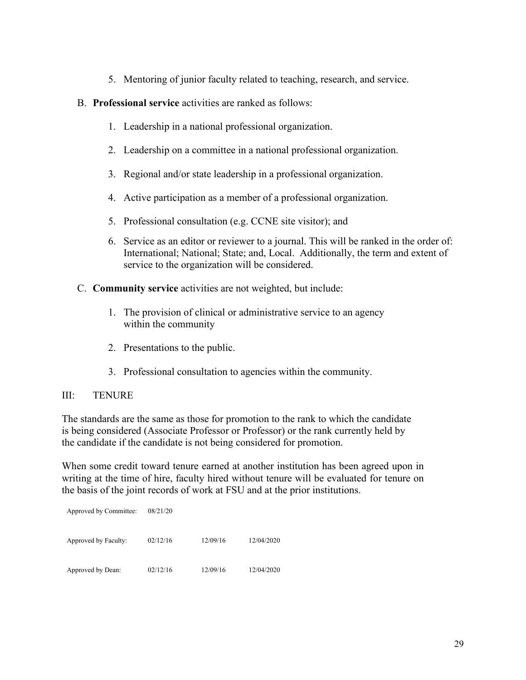- 5. Mentoring of junior faculty related to teaching, research, and service.
- B. **Professional service** activities are ranked as follows:
	- 1. Leadership in a national professional organization.
	- 2. Leadership on a committee in a national professional organization.
	- 3. Regional and/or state leadership in a professional organization.
	- 4. Active participation as a member of a professional organization.
	- 5. Professional consultation (e.g. CCNE site visitor); and
	- 6. Service as an editor or reviewer to a journal. This will be ranked in the order of: International; National; State; and, Local. Additionally, the term and extent of service to the organization will be considered.
- C. **Community service** activities are not weighted, but include:
	- 1. The provision of clinical or administrative service to an agency within the community
	- 2. Presentations to the public.
	- 3. Professional consultation to agencies within the community.

# III: TENURE

The standards are the same as those for promotion to the rank to which the candidate is being considered (Associate Professor or Professor) or the rank currently held by the candidate if the candidate is not being considered for promotion.

When some credit toward tenure earned at another institution has been agreed upon in writing at the time of hire, faculty hired without tenure will be evaluated for tenure on the basis of the joint records of work at FSU and at the prior institutions.

| Approved by Committee: | 08/21/20 |          |            |
|------------------------|----------|----------|------------|
| Approved by Faculty:   | 02/12/16 | 12/09/16 | 12/04/2020 |
| Approved by Dean:      | 02/12/16 | 12/09/16 | 12/04/2020 |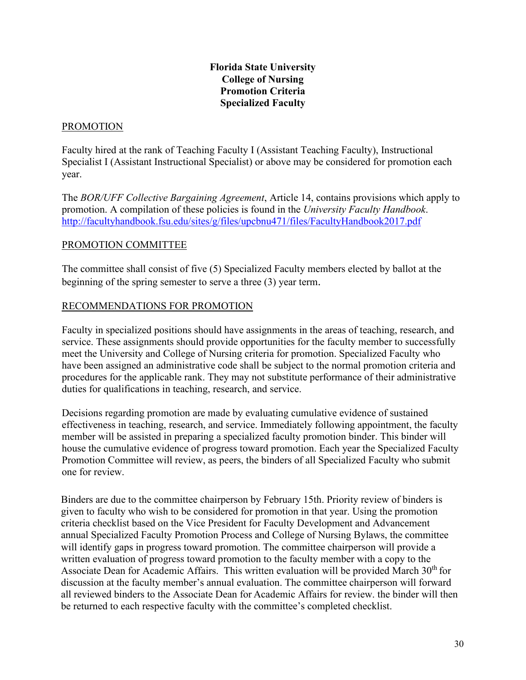# **Florida State University College of Nursing Promotion Criteria Specialized Faculty**

### PROMOTION

Faculty hired at the rank of Teaching Faculty I (Assistant Teaching Faculty), Instructional Specialist I (Assistant Instructional Specialist) or above may be considered for promotion each year.

The *BOR/UFF Collective Bargaining Agreement*, Article 14, contains provisions which apply to promotion. A compilation of these policies is found in the *University Faculty Handbook*. <http://facultyhandbook.fsu.edu/sites/g/files/upcbnu471/files/FacultyHandbook2017.pdf>

# PROMOTION COMMITTEE

The committee shall consist of five (5) Specialized Faculty members elected by ballot at the beginning of the spring semester to serve a three (3) year term.

# RECOMMENDATIONS FOR PROMOTION

Faculty in specialized positions should have assignments in the areas of teaching, research, and service. These assignments should provide opportunities for the faculty member to successfully meet the University and College of Nursing criteria for promotion. Specialized Faculty who have been assigned an administrative code shall be subject to the normal promotion criteria and procedures for the applicable rank. They may not substitute performance of their administrative duties for qualifications in teaching, research, and service.

Decisions regarding promotion are made by evaluating cumulative evidence of sustained effectiveness in teaching, research, and service. Immediately following appointment, the faculty member will be assisted in preparing a specialized faculty promotion binder. This binder will house the cumulative evidence of progress toward promotion. Each year the Specialized Faculty Promotion Committee will review, as peers, the binders of all Specialized Faculty who submit one for review.

Binders are due to the committee chairperson by February 15th. Priority review of binders is given to faculty who wish to be considered for promotion in that year. Using the promotion criteria checklist based on the Vice President for Faculty Development and Advancement annual Specialized Faculty Promotion Process and College of Nursing Bylaws, the committee will identify gaps in progress toward promotion. The committee chairperson will provide a written evaluation of progress toward promotion to the faculty member with a copy to the Associate Dean for Academic Affairs. This written evaluation will be provided March  $30<sup>th</sup>$  for discussion at the faculty member's annual evaluation. The committee chairperson will forward all reviewed binders to the Associate Dean for Academic Affairs for review. the binder will then be returned to each respective faculty with the committee's completed checklist.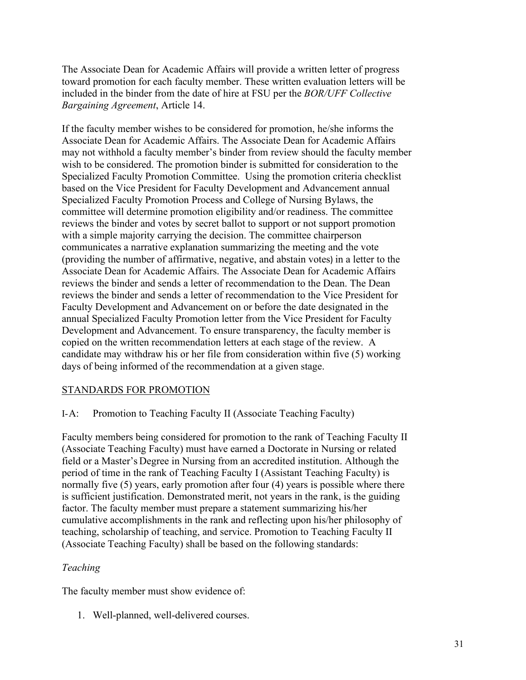The Associate Dean for Academic Affairs will provide a written letter of progress toward promotion for each faculty member. These written evaluation letters will be included in the binder from the date of hire at FSU per the *BOR/UFF Collective Bargaining Agreement*, Article 14.

If the faculty member wishes to be considered for promotion, he/she informs the Associate Dean for Academic Affairs. The Associate Dean for Academic Affairs may not withhold a faculty member's binder from review should the faculty member wish to be considered. The promotion binder is submitted for consideration to the Specialized Faculty Promotion Committee. Using the promotion criteria checklist based on the Vice President for Faculty Development and Advancement annual Specialized Faculty Promotion Process and College of Nursing Bylaws, the committee will determine promotion eligibility and/or readiness. The committee reviews the binder and votes by secret ballot to support or not support promotion with a simple majority carrying the decision. The committee chairperson communicates a narrative explanation summarizing the meeting and the vote (providing the number of affirmative, negative, and abstain votes) in a letter to the Associate Dean for Academic Affairs. The Associate Dean for Academic Affairs reviews the binder and sends a letter of recommendation to the Dean. The Dean reviews the binder and sends a letter of recommendation to the Vice President for Faculty Development and Advancement on or before the date designated in the annual Specialized Faculty Promotion letter from the Vice President for Faculty Development and Advancement. To ensure transparency, the faculty member is copied on the written recommendation letters at each stage of the review. A candidate may withdraw his or her file from consideration within five (5) working days of being informed of the recommendation at a given stage.

### STANDARDS FOR PROMOTION

# I-A: Promotion to Teaching Faculty II (Associate Teaching Faculty)

Faculty members being considered for promotion to the rank of Teaching Faculty II (Associate Teaching Faculty) must have earned a Doctorate in Nursing or related field or a Master's Degree in Nursing from an accredited institution. Although the period of time in the rank of Teaching Faculty I (Assistant Teaching Faculty) is normally five (5) years, early promotion after four (4) years is possible where there is sufficient justification. Demonstrated merit, not years in the rank, is the guiding factor. The faculty member must prepare a statement summarizing his/her cumulative accomplishments in the rank and reflecting upon his/her philosophy of teaching, scholarship of teaching, and service. Promotion to Teaching Faculty II (Associate Teaching Faculty) shall be based on the following standards:

### *Teaching*

The faculty member must show evidence of:

1. Well-planned, well-delivered courses.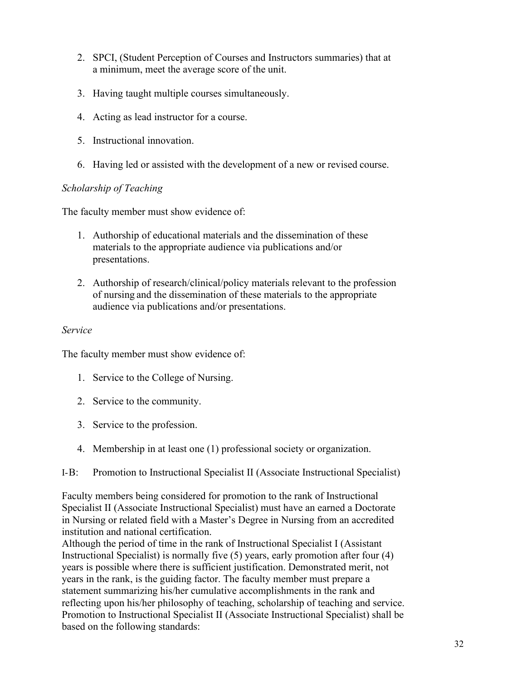- 2. SPCI, (Student Perception of Courses and Instructors summaries) that at a minimum, meet the average score of the unit.
- 3. Having taught multiple courses simultaneously.
- 4. Acting as lead instructor for a course.
- 5. Instructional innovation.
- 6. Having led or assisted with the development of a new or revised course.

### *Scholarship of Teaching*

The faculty member must show evidence of:

- 1. Authorship of educational materials and the dissemination of these materials to the appropriate audience via publications and/or presentations.
- 2. Authorship of research/clinical/policy materials relevant to the profession of nursing and the dissemination of these materials to the appropriate audience via publications and/or presentations.

### *Service*

The faculty member must show evidence of:

- 1. Service to the College of Nursing.
- 2. Service to the community.
- 3. Service to the profession.
- 4. Membership in at least one (1) professional society or organization.
- I-B: Promotion to Instructional Specialist II (Associate Instructional Specialist)

Faculty members being considered for promotion to the rank of Instructional Specialist II (Associate Instructional Specialist) must have an earned a Doctorate in Nursing or related field with a Master's Degree in Nursing from an accredited institution and national certification.

Although the period of time in the rank of Instructional Specialist I (Assistant Instructional Specialist) is normally five (5) years, early promotion after four (4) years is possible where there is sufficient justification. Demonstrated merit, not years in the rank, is the guiding factor. The faculty member must prepare a statement summarizing his/her cumulative accomplishments in the rank and reflecting upon his/her philosophy of teaching, scholarship of teaching and service. Promotion to Instructional Specialist II (Associate Instructional Specialist) shall be based on the following standards: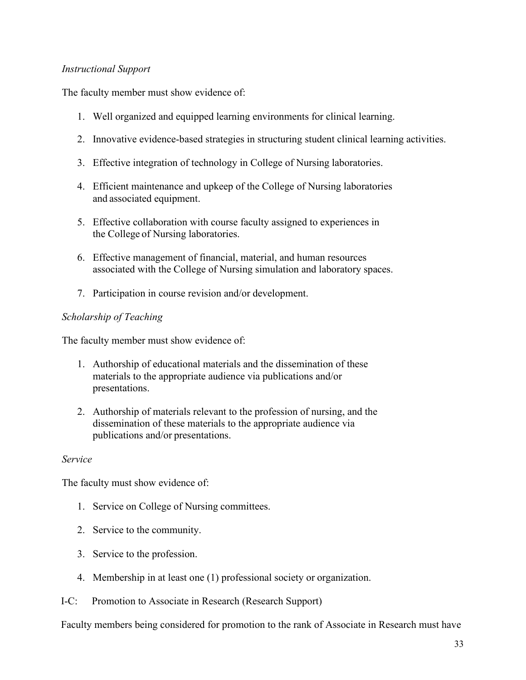# *Instructional Support*

The faculty member must show evidence of:

- 1. Well organized and equipped learning environments for clinical learning.
- 2. Innovative evidence-based strategies in structuring student clinical learning activities.
- 3. Effective integration of technology in College of Nursing laboratories.
- 4. Efficient maintenance and upkeep of the College of Nursing laboratories and associated equipment.
- 5. Effective collaboration with course faculty assigned to experiences in the College of Nursing laboratories.
- 6. Effective management of financial, material, and human resources associated with the College of Nursing simulation and laboratory spaces.
- 7. Participation in course revision and/or development.

### *Scholarship of Teaching*

The faculty member must show evidence of:

- 1. Authorship of educational materials and the dissemination of these materials to the appropriate audience via publications and/or presentations.
- 2. Authorship of materials relevant to the profession of nursing, and the dissemination of these materials to the appropriate audience via publications and/or presentations.

### *Service*

The faculty must show evidence of:

- 1. Service on College of Nursing committees.
- 2. Service to the community.
- 3. Service to the profession.
- 4. Membership in at least one (1) professional society or organization.
- I-C: Promotion to Associate in Research (Research Support)

Faculty members being considered for promotion to the rank of Associate in Research must have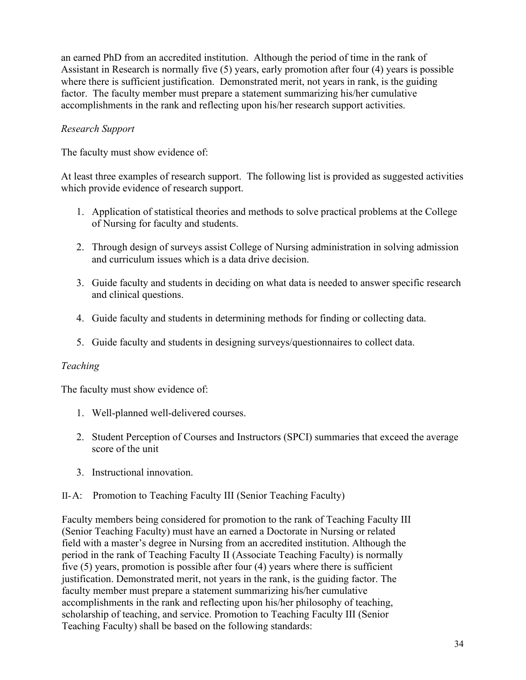an earned PhD from an accredited institution. Although the period of time in the rank of Assistant in Research is normally five (5) years, early promotion after four (4) years is possible where there is sufficient justification. Demonstrated merit, not years in rank, is the guiding factor. The faculty member must prepare a statement summarizing his/her cumulative accomplishments in the rank and reflecting upon his/her research support activities.

# *Research Support*

The faculty must show evidence of:

At least three examples of research support. The following list is provided as suggested activities which provide evidence of research support.

- 1. Application of statistical theories and methods to solve practical problems at the College of Nursing for faculty and students.
- 2. Through design of surveys assist College of Nursing administration in solving admission and curriculum issues which is a data drive decision.
- 3. Guide faculty and students in deciding on what data is needed to answer specific research and clinical questions.
- 4. Guide faculty and students in determining methods for finding or collecting data.
- 5. Guide faculty and students in designing surveys/questionnaires to collect data.

# *Teaching*

The faculty must show evidence of:

- 1. Well-planned well-delivered courses.
- 2. Student Perception of Courses and Instructors (SPCI) summaries that exceed the average score of the unit
- 3. Instructional innovation.
- II-A: Promotion to Teaching Faculty III (Senior Teaching Faculty)

Faculty members being considered for promotion to the rank of Teaching Faculty III (Senior Teaching Faculty) must have an earned a Doctorate in Nursing or related field with a master's degree in Nursing from an accredited institution. Although the period in the rank of Teaching Faculty II (Associate Teaching Faculty) is normally five (5) years, promotion is possible after four (4) years where there is sufficient justification. Demonstrated merit, not years in the rank, is the guiding factor. The faculty member must prepare a statement summarizing his/her cumulative accomplishments in the rank and reflecting upon his/her philosophy of teaching, scholarship of teaching, and service. Promotion to Teaching Faculty III (Senior Teaching Faculty) shall be based on the following standards: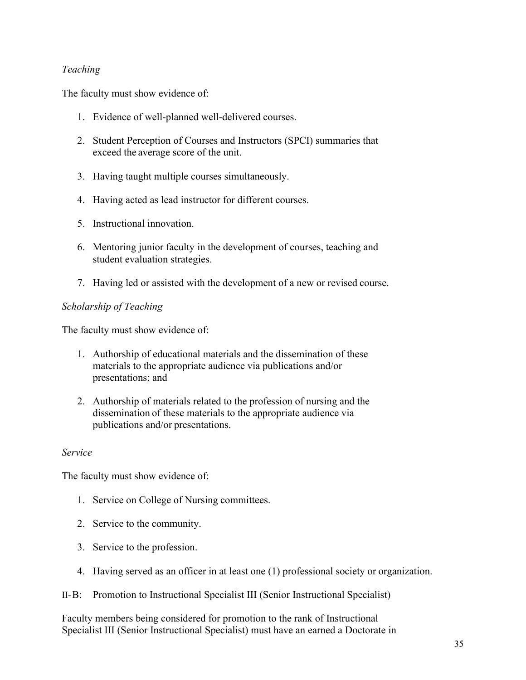# *Teaching*

The faculty must show evidence of:

- 1. Evidence of well-planned well-delivered courses.
- 2. Student Perception of Courses and Instructors (SPCI) summaries that exceed the average score of the unit.
- 3. Having taught multiple courses simultaneously.
- 4. Having acted as lead instructor for different courses.
- 5. Instructional innovation.
- 6. Mentoring junior faculty in the development of courses, teaching and student evaluation strategies.
- 7. Having led or assisted with the development of a new or revised course.

### *Scholarship of Teaching*

The faculty must show evidence of:

- 1. Authorship of educational materials and the dissemination of these materials to the appropriate audience via publications and/or presentations; and
- 2. Authorship of materials related to the profession of nursing and the dissemination of these materials to the appropriate audience via publications and/or presentations.

### *Service*

The faculty must show evidence of:

- 1. Service on College of Nursing committees.
- 2. Service to the community.
- 3. Service to the profession.
- 4. Having served as an officer in at least one (1) professional society or organization.
- II-B: Promotion to Instructional Specialist III (Senior Instructional Specialist)

Faculty members being considered for promotion to the rank of Instructional Specialist III (Senior Instructional Specialist) must have an earned a Doctorate in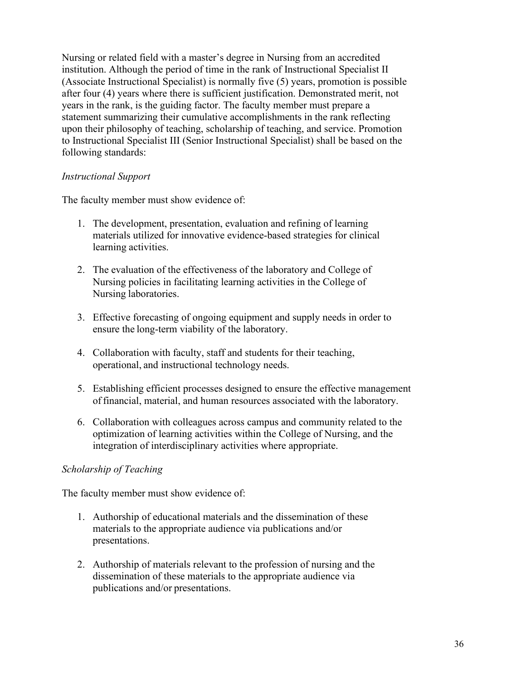Nursing or related field with a master's degree in Nursing from an accredited institution. Although the period of time in the rank of Instructional Specialist II (Associate Instructional Specialist) is normally five (5) years, promotion is possible after four (4) years where there is sufficient justification. Demonstrated merit, not years in the rank, is the guiding factor. The faculty member must prepare a statement summarizing their cumulative accomplishments in the rank reflecting upon their philosophy of teaching, scholarship of teaching, and service. Promotion to Instructional Specialist III (Senior Instructional Specialist) shall be based on the following standards:

### *Instructional Support*

The faculty member must show evidence of:

- 1. The development, presentation, evaluation and refining of learning materials utilized for innovative evidence-based strategies for clinical learning activities.
- 2. The evaluation of the effectiveness of the laboratory and College of Nursing policies in facilitating learning activities in the College of Nursing laboratories.
- 3. Effective forecasting of ongoing equipment and supply needs in order to ensure the long-term viability of the laboratory.
- 4. Collaboration with faculty, staff and students for their teaching, operational, and instructional technology needs.
- 5. Establishing efficient processes designed to ensure the effective management offinancial, material, and human resources associated with the laboratory.
- 6. Collaboration with colleagues across campus and community related to the optimization of learning activities within the College of Nursing, and the integration of interdisciplinary activities where appropriate.

# *Scholarship of Teaching*

The faculty member must show evidence of:

- 1. Authorship of educational materials and the dissemination of these materials to the appropriate audience via publications and/or presentations.
- 2. Authorship of materials relevant to the profession of nursing and the dissemination of these materials to the appropriate audience via publications and/or presentations.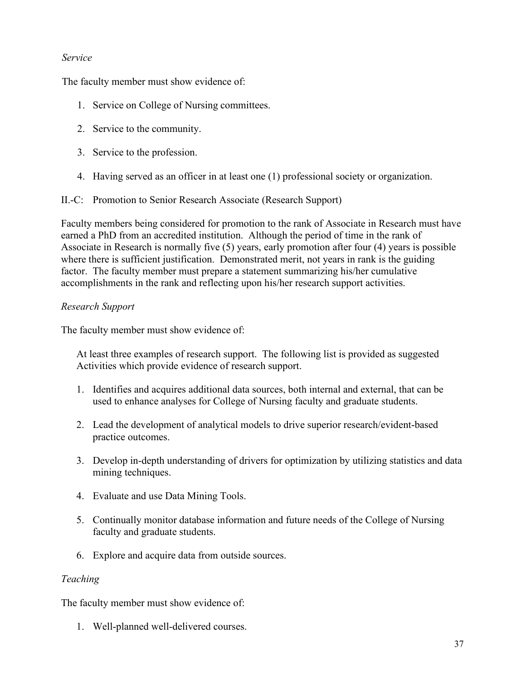## *Service*

The faculty member must show evidence of:

- 1. Service on College of Nursing committees.
- 2. Service to the community.
- 3. Service to the profession.
- 4. Having served as an officer in at least one (1) professional society or organization.

II.-C: Promotion to Senior Research Associate (Research Support)

Faculty members being considered for promotion to the rank of Associate in Research must have earned a PhD from an accredited institution. Although the period of time in the rank of Associate in Research is normally five (5) years, early promotion after four (4) years is possible where there is sufficient justification. Demonstrated merit, not years in rank is the guiding factor. The faculty member must prepare a statement summarizing his/her cumulative accomplishments in the rank and reflecting upon his/her research support activities.

## *Research Support*

The faculty member must show evidence of:

At least three examples of research support. The following list is provided as suggested Activities which provide evidence of research support.

- 1. Identifies and acquires additional data sources, both internal and external, that can be used to enhance analyses for College of Nursing faculty and graduate students.
- 2. Lead the development of analytical models to drive superior research/evident-based practice outcomes.
- 3. Develop in-depth understanding of drivers for optimization by utilizing statistics and data mining techniques.
- 4. Evaluate and use Data Mining Tools.
- 5. Continually monitor database information and future needs of the College of Nursing faculty and graduate students.
- 6. Explore and acquire data from outside sources.

## *Teaching*

The faculty member must show evidence of:

1. Well-planned well-delivered courses.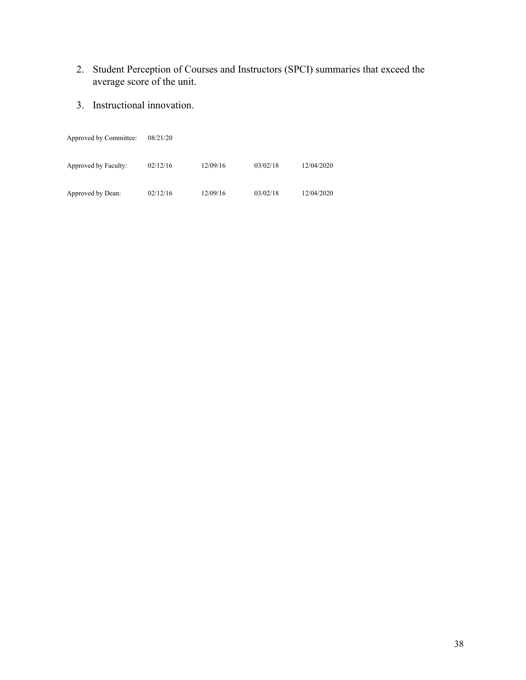- 2. Student Perception of Courses and Instructors (SPCI) summaries that exceed the average score of the unit.
- 3. Instructional innovation.

| Approved by Committee: | 08/21/20 |          |          |            |
|------------------------|----------|----------|----------|------------|
| Approved by Faculty:   | 02/12/16 | 12/09/16 | 03/02/18 | 12/04/2020 |
| Approved by Dean:      | 02/12/16 | 12/09/16 | 03/02/18 | 12/04/2020 |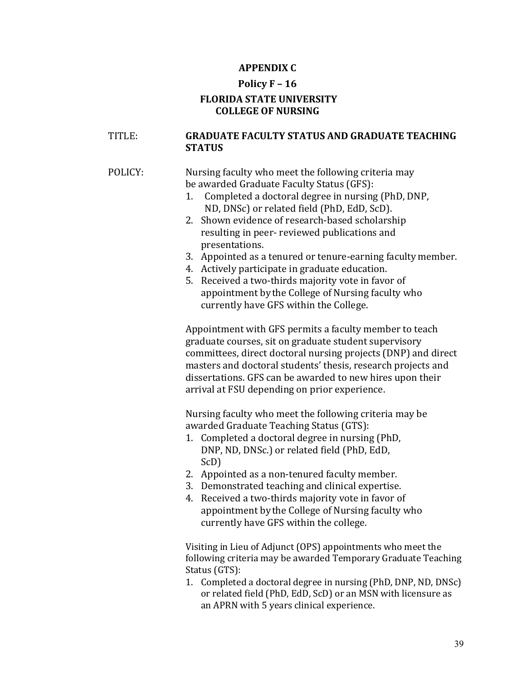## **APPENDIX C**

## **Policy F – 16 FLORIDA STATE UNIVERSITY COLLEGE OF NURSING**

## TITLE: **GRADUATE FACULTY STATUS AND GRADUATE TEACHING STATUS**

#### POLICY: Nursing faculty who meet the following criteria may be awarded Graduate Faculty Status (GFS):

- 1. Completed a doctoral degree in nursing (PhD, DNP, ND, DNSc) or related field (PhD, EdD, ScD).
- 2. Shown evidence of research-based scholarship resulting in peer- reviewed publications and presentations.
- 3. Appointed as a tenured or tenure-earning faculty member.
- 4. Actively participate in graduate education.
- 5. Received a two-thirds majority vote in favor of appointment bythe College of Nursing faculty who currently have GFS within the College.

Appointment with GFS permits a faculty member to teach graduate courses, sit on graduate student supervisory committees, direct doctoral nursing projects (DNP) and direct masters and doctoral students' thesis, research projects and dissertations. GFS can be awarded to new hires upon their arrival at FSU depending on prior experience.

Nursing faculty who meet the following criteria may be awarded Graduate Teaching Status (GTS):

- 1. Completed a doctoral degree in nursing (PhD, DNP, ND, DNSc.) or related field (PhD, EdD, ScD)
- 2. Appointed as a non-tenured faculty member.
- 3. Demonstrated teaching and clinical expertise.
- 4. Received a two-thirds majority vote in favor of appointment bythe College of Nursing faculty who currently have GFS within the college.

Visiting in Lieu of Adjunct (OPS) appointments who meet the following criteria may be awarded Temporary Graduate Teaching Status (GTS):

1. Completed a doctoral degree in nursing (PhD, DNP, ND, DNSc) or related field (PhD, EdD, ScD) or an MSN with licensure as an APRN with 5 years clinical experience.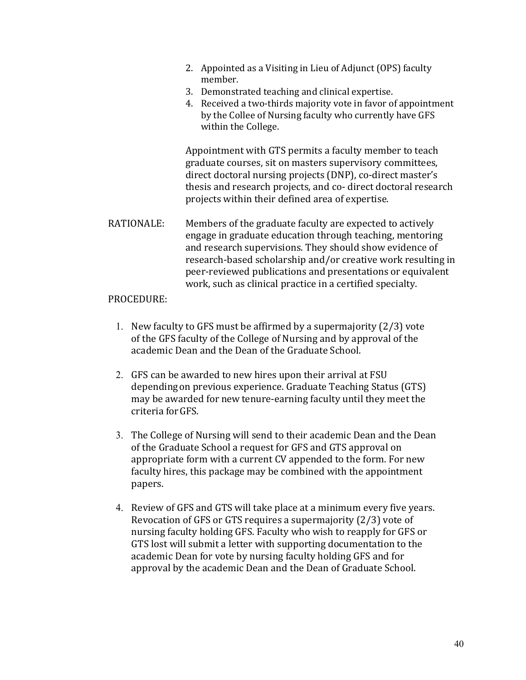- 2. Appointed as a Visiting in Lieu of Adjunct (OPS) faculty member.
- 3. Demonstrated teaching and clinical expertise.
- 4. Received a two-thirds majority vote in favor of appointment by the Collee of Nursing faculty who currently have GFS within the College.

Appointment with GTS permits a faculty member to teach graduate courses, sit on masters supervisory committees, direct doctoral nursing projects (DNP), co-direct master's thesis and research projects, and co- direct doctoral research projects within their defined area of expertise.

RATIONALE: Members of the graduate faculty are expected to actively engage in graduate education through teaching, mentoring and research supervisions. They should show evidence of research-based scholarship and/or creative work resulting in peer-reviewed publications and presentations or equivalent work, such as clinical practice in a certified specialty.

#### PROCEDURE:

- 1. New faculty to GFS must be affirmed by a supermajority (2/3) vote of the GFS faculty of the College of Nursing and by approval of the academic Dean and the Dean of the Graduate School.
- 2. GFS can be awarded to new hires upon their arrival at FSU dependingon previous experience. Graduate Teaching Status (GTS) may be awarded for new tenure-earning faculty until they meet the criteria forGFS.
- 3. The College of Nursing will send to their academic Dean and the Dean of the Graduate School a request for GFS and GTS approval on appropriate form with a current CV appended to the form. For new faculty hires, this package may be combined with the appointment papers.
- 4. Review of GFS and GTS will take place at a minimum every five years. Revocation of GFS or GTS requires a supermajority (2/3) vote of nursing faculty holding GFS. Faculty who wish to reapply for GFS or GTS lost will submit a letter with supporting documentation to the academic Dean for vote by nursing faculty holding GFS and for approval by the academic Dean and the Dean of Graduate School.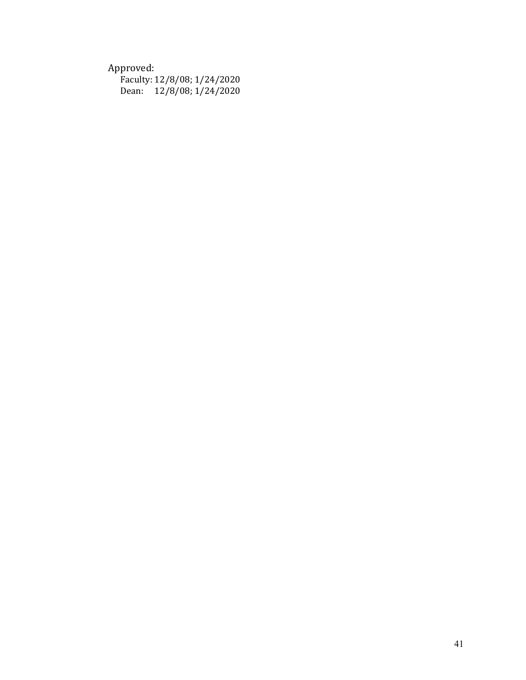## Approved:

|       | Faculty: 12/8/08; 1/24/2020 |
|-------|-----------------------------|
| Dean: | 12/8/08; 1/24/2020          |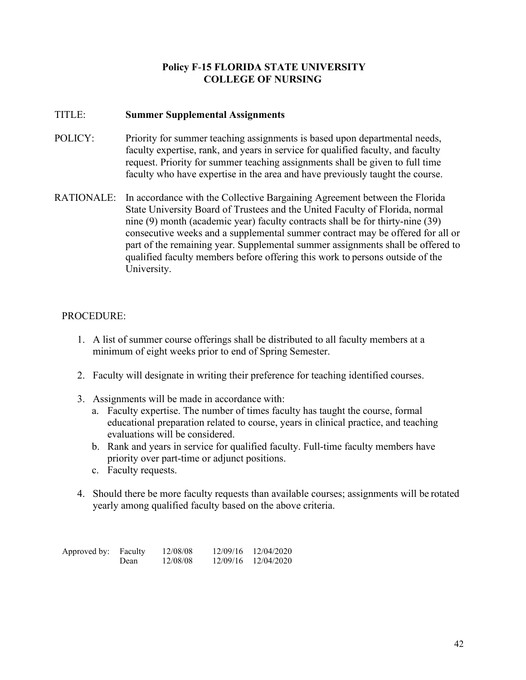## **Policy F**-**15 FLORIDA STATE UNIVERSITY COLLEGE OF NURSING**

## TITLE: **Summer Supplemental Assignments**

- POLICY: Priority for summer teaching assignments is based upon departmental needs, faculty expertise, rank, and years in service for qualified faculty, and faculty request. Priority for summer teaching assignments shall be given to full time faculty who have expertise in the area and have previously taught the course.
- RATIONALE: In accordance with the Collective Bargaining Agreement between the Florida State University Board of Trustees and the United Faculty of Florida, normal nine (9) month (academic year) faculty contracts shall be for thirty-nine (39) consecutive weeks and a supplemental summer contract may be offered for all or part of the remaining year. Supplemental summer assignments shall be offered to qualified faculty members before offering this work to persons outside of the University.

## PROCEDURE:

- 1. A list of summer course offerings shall be distributed to all faculty members at a minimum of eight weeks prior to end of Spring Semester.
- 2. Faculty will designate in writing their preference for teaching identified courses.
- 3. Assignments will be made in accordance with:
	- a. Faculty expertise. The number of times faculty has taught the course, formal educational preparation related to course, years in clinical practice, and teaching evaluations will be considered.
	- b. Rank and years in service for qualified faculty. Full-time faculty members have priority over part-time or adjunct positions.
	- c. Faculty requests.
- 4. Should there be more faculty requests than available courses; assignments will be rotated yearly among qualified faculty based on the above criteria.

| Approved by: Faculty |      | 12/08/08 | 12/09/16 | 12/04/2020 |
|----------------------|------|----------|----------|------------|
|                      | Dean | 12/08/08 | 12/09/16 | 12/04/2020 |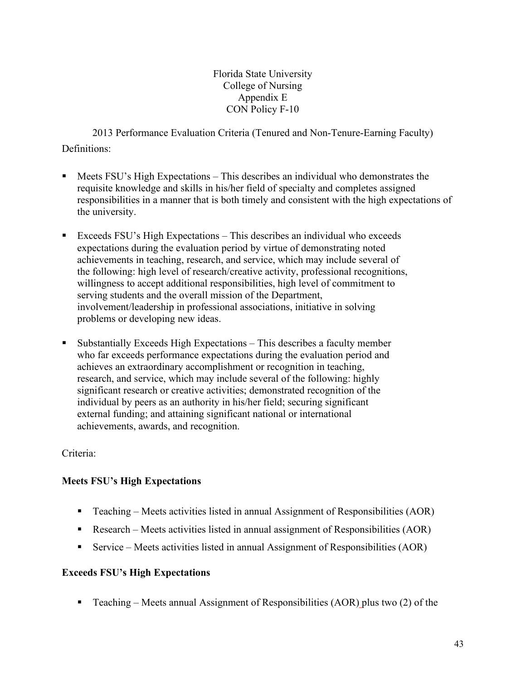Florida State University College of Nursing Appendix E CON Policy F-10

2013 Performance Evaluation Criteria (Tenured and Non-Tenure-Earning Faculty) Definitions:

- Meets FSU's High Expectations This describes an individual who demonstrates the requisite knowledge and skills in his/her field of specialty and completes assigned responsibilities in a manner that is both timely and consistent with the high expectations of the university.
- Exceeds FSU's High Expectations This describes an individual who exceeds expectations during the evaluation period by virtue of demonstrating noted achievements in teaching, research, and service, which may include several of the following: high level of research/creative activity, professional recognitions, willingness to accept additional responsibilities, high level of commitment to serving students and the overall mission of the Department, involvement/leadership in professional associations, initiative in solving problems or developing new ideas.
- Substantially Exceeds High Expectations This describes a faculty member who far exceeds performance expectations during the evaluation period and achieves an extraordinary accomplishment or recognition in teaching, research, and service, which may include several of the following: highly significant research or creative activities; demonstrated recognition of the individual by peers as an authority in his/her field; securing significant external funding; and attaining significant national or international achievements, awards, and recognition.

Criteria:

## **Meets FSU's High Expectations**

- Teaching Meets activities listed in annual Assignment of Responsibilities (AOR)
- Research Meets activities listed in annual assignment of Responsibilities (AOR)
- Service Meets activities listed in annual Assignment of Responsibilities (AOR)

## **Exceeds FSU's High Expectations**

**Teaching – Meets annual Assignment of Responsibilities (AOR) plus two (2) of the**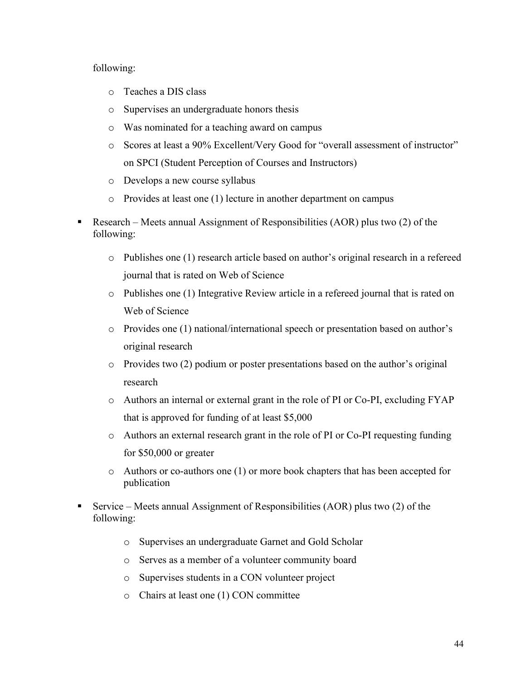#### following:

- o Teaches a DIS class
- o Supervises an undergraduate honors thesis
- o Was nominated for a teaching award on campus
- o Scores at least a 90% Excellent/Very Good for "overall assessment of instructor" on SPCI (Student Perception of Courses and Instructors)
- o Develops a new course syllabus
- o Provides at least one (1) lecture in another department on campus
- Research Meets annual Assignment of Responsibilities (AOR) plus two (2) of the following:
	- o Publishes one (1) research article based on author's original research in a refereed journal that is rated on Web of Science
	- o Publishes one (1) Integrative Review article in a refereed journal that is rated on Web of Science
	- o Provides one (1) national/international speech or presentation based on author's original research
	- $\circ$  Provides two (2) podium or poster presentations based on the author's original research
	- o Authors an internal or external grant in the role of PI or Co-PI, excluding FYAP that is approved for funding of at least \$5,000
	- o Authors an external research grant in the role of PI or Co-PI requesting funding for \$50,000 or greater
	- o Authors or co-authors one (1) or more book chapters that has been accepted for publication
- Service Meets annual Assignment of Responsibilities (AOR) plus two  $(2)$  of the following:
	- o Supervises an undergraduate Garnet and Gold Scholar
	- o Serves as a member of a volunteer community board
	- o Supervises students in a CON volunteer project
	- o Chairs at least one (1) CON committee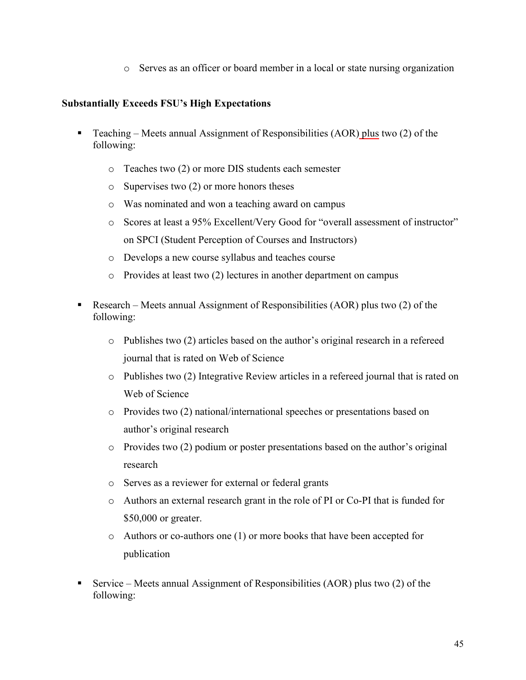o Serves as an officer or board member in a local or state nursing organization

## **Substantially Exceeds FSU's High Expectations**

- **Teaching Meets annual Assignment of Responsibilities (AOR) plus two (2) of the** following:
	- o Teaches two (2) or more DIS students each semester
	- o Supervises two (2) or more honors theses
	- o Was nominated and won a teaching award on campus
	- o Scores at least a 95% Excellent/Very Good for "overall assessment of instructor" on SPCI (Student Perception of Courses and Instructors)
	- o Develops a new course syllabus and teaches course
	- o Provides at least two (2) lectures in another department on campus
- Research Meets annual Assignment of Responsibilities (AOR) plus two  $(2)$  of the following:
	- $\circ$  Publishes two (2) articles based on the author's original research in a refereed journal that is rated on Web of Science
	- o Publishes two (2) Integrative Review articles in a refereed journal that is rated on Web of Science
	- o Provides two (2) national/international speeches or presentations based on author's original research
	- o Provides two (2) podium or poster presentations based on the author's original research
	- o Serves as a reviewer for external or federal grants
	- o Authors an external research grant in the role of PI or Co-PI that is funded for \$50,000 or greater.
	- o Authors or co-authors one (1) or more books that have been accepted for publication
- Service Meets annual Assignment of Responsibilities (AOR) plus two  $(2)$  of the following: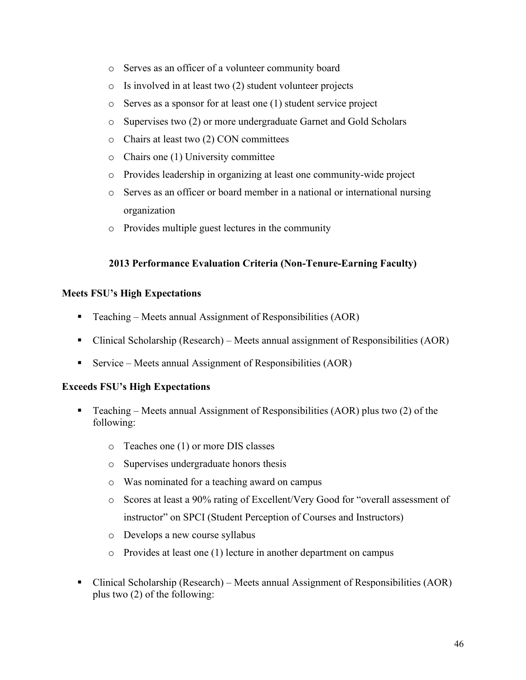- o Serves as an officer of a volunteer community board
- o Is involved in at least two (2) student volunteer projects
- o Serves as a sponsor for at least one (1) student service project
- o Supervises two (2) or more undergraduate Garnet and Gold Scholars
- o Chairs at least two (2) CON committees
- o Chairs one (1) University committee
- o Provides leadership in organizing at least one community-wide project
- o Serves as an officer or board member in a national or international nursing organization
- o Provides multiple guest lectures in the community

## **2013 Performance Evaluation Criteria (Non-Tenure-Earning Faculty)**

## **Meets FSU's High Expectations**

- Teaching Meets annual Assignment of Responsibilities  $(AOR)$
- Clinical Scholarship (Research) Meets annual assignment of Responsibilities (AOR)
- Service Meets annual Assignment of Responsibilities  $(AOR)$

## **Exceeds FSU's High Expectations**

- Teaching Meets annual Assignment of Responsibilities (AOR) plus two  $(2)$  of the following:
	- o Teaches one (1) or more DIS classes
	- o Supervises undergraduate honors thesis
	- o Was nominated for a teaching award on campus
	- o Scores at least a 90% rating of Excellent/Very Good for "overall assessment of instructor" on SPCI (Student Perception of Courses and Instructors)
	- o Develops a new course syllabus
	- o Provides at least one (1) lecture in another department on campus
- Clinical Scholarship (Research) Meets annual Assignment of Responsibilities (AOR) plus two (2) of the following: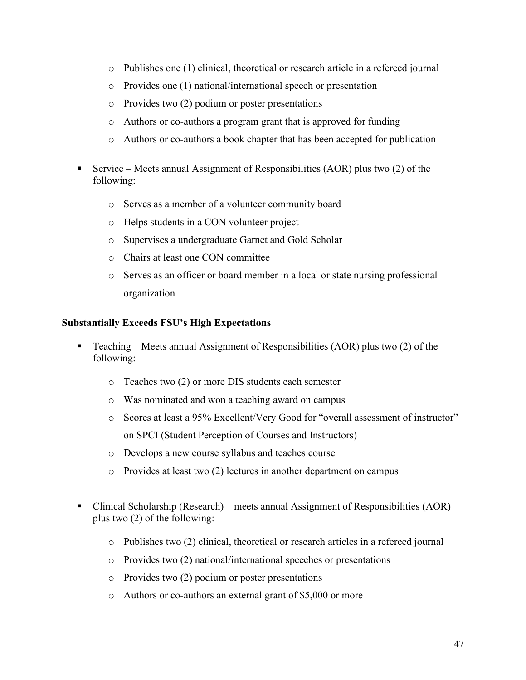- o Publishes one (1) clinical, theoretical or research article in a refereed journal
- o Provides one (1) national/international speech or presentation
- o Provides two (2) podium or poster presentations
- o Authors or co-authors a program grant that is approved for funding
- o Authors or co-authors a book chapter that has been accepted for publication
- Service Meets annual Assignment of Responsibilities (AOR) plus two  $(2)$  of the following:
	- o Serves as a member of a volunteer community board
	- o Helps students in a CON volunteer project
	- o Supervises a undergraduate Garnet and Gold Scholar
	- o Chairs at least one CON committee
	- o Serves as an officer or board member in a local or state nursing professional organization

## **Substantially Exceeds FSU's High Expectations**

- **Teaching Meets annual Assignment of Responsibilities (AOR) plus two (2) of the** following:
	- o Teaches two (2) or more DIS students each semester
	- o Was nominated and won a teaching award on campus
	- o Scores at least a 95% Excellent/Very Good for "overall assessment of instructor" on SPCI (Student Perception of Courses and Instructors)
	- o Develops a new course syllabus and teaches course
	- o Provides at least two (2) lectures in another department on campus
- Clinical Scholarship (Research) meets annual Assignment of Responsibilities (AOR) plus two (2) of the following:
	- o Publishes two (2) clinical, theoretical or research articles in a refereed journal
	- o Provides two (2) national/international speeches or presentations
	- o Provides two (2) podium or poster presentations
	- o Authors or co-authors an external grant of \$5,000 or more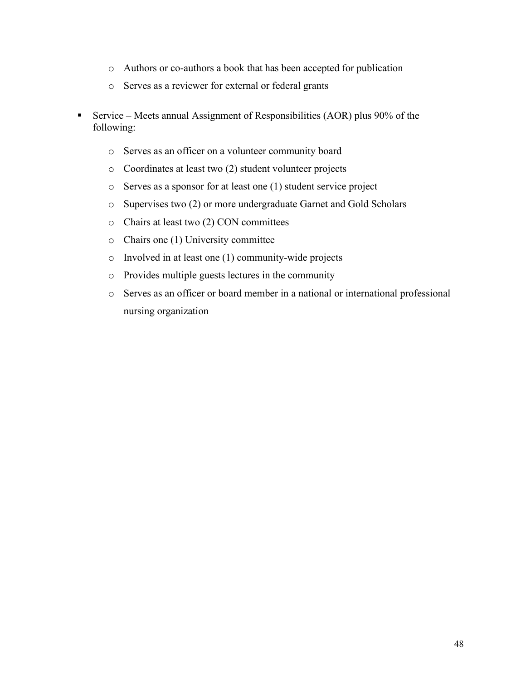- o Authors or co-authors a book that has been accepted for publication
- o Serves as a reviewer for external or federal grants
- Service Meets annual Assignment of Responsibilities (AOR) plus  $90\%$  of the following:
	- o Serves as an officer on a volunteer community board
	- o Coordinates at least two (2) student volunteer projects
	- o Serves as a sponsor for at least one (1) student service project
	- o Supervises two (2) or more undergraduate Garnet and Gold Scholars
	- o Chairs at least two (2) CON committees
	- o Chairs one (1) University committee
	- o Involved in at least one (1) community-wide projects
	- o Provides multiple guests lectures in the community
	- o Serves as an officer or board member in a national or international professional nursing organization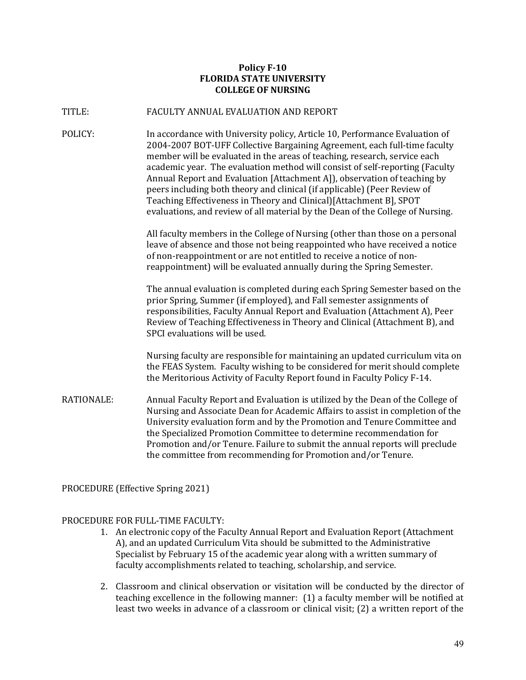#### **Policy F-10 FLORIDA STATE UNIVERSITY COLLEGE OF NURSING**

#### TITLE: FACULTY ANNUAL EVALUATION AND REPORT

POLICY: In accordance with University policy, Article 10, Performance Evaluation of 2004-2007 BOT-UFF Collective Bargaining Agreement, each full-time faculty member will be evaluated in the areas of teaching, research, service each academic year. The evaluation method will consist of self-reporting (Faculty Annual Report and Evaluation [Attachment A]), observation of teaching by peers including both theory and clinical (if applicable) (Peer Review of Teaching Effectiveness in Theory and Clinical)[Attachment B], SPOT evaluations, and review of all material by the Dean of the College of Nursing.

> All faculty members in the College of Nursing (other than those on a personal leave of absence and those not being reappointed who have received a notice of non-reappointment or are not entitled to receive a notice of nonreappointment) will be evaluated annually during the Spring Semester.

The annual evaluation is completed during each Spring Semester based on the prior Spring, Summer (if employed), and Fall semester assignments of responsibilities, Faculty Annual Report and Evaluation (Attachment A), Peer Review of Teaching Effectiveness in Theory and Clinical (Attachment B), and SPCI evaluations will be used.

Nursing faculty are responsible for maintaining an updated curriculum vita on the FEAS System. Faculty wishing to be considered for merit should complete the Meritorious Activity of Faculty Report found in Faculty Policy F-14.

RATIONALE: Annual Faculty Report and Evaluation is utilized by the Dean of the College of Nursing and Associate Dean for Academic Affairs to assist in completion of the University evaluation form and by the Promotion and Tenure Committee and the Specialized Promotion Committee to determine recommendation for Promotion and/or Tenure. Failure to submit the annual reports will preclude the committee from recommending for Promotion and/or Tenure.

PROCEDURE (Effective Spring 2021)

#### PROCEDURE FOR FULL-TIME FACULTY:

- 1. An electronic copy of the Faculty Annual Report and Evaluation Report (Attachment A), and an updated Curriculum Vita should be submitted to the Administrative Specialist by February 15 of the academic year along with a written summary of faculty accomplishments related to teaching, scholarship, and service.
- 2. Classroom and clinical observation or visitation will be conducted by the director of teaching excellence in the following manner: (1) a faculty member will be notified at least two weeks in advance of a classroom or clinical visit; (2) a written report of the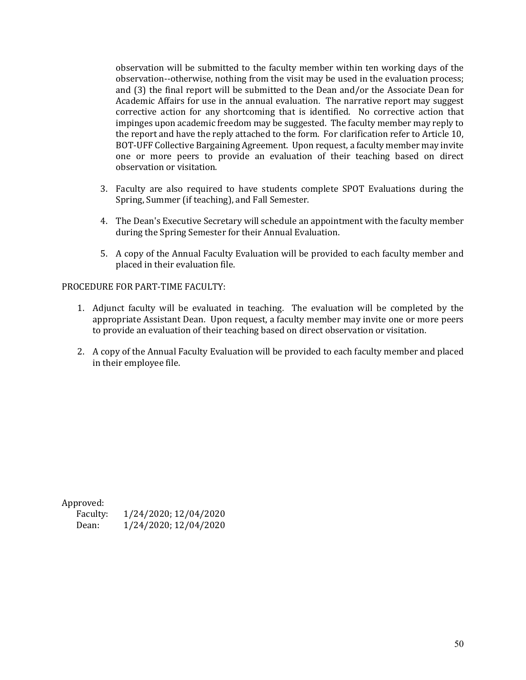observation will be submitted to the faculty member within ten working days of the observation--otherwise, nothing from the visit may be used in the evaluation process; and (3) the final report will be submitted to the Dean and/or the Associate Dean for Academic Affairs for use in the annual evaluation. The narrative report may suggest corrective action for any shortcoming that is identified. No corrective action that impinges upon academic freedom may be suggested. The faculty member may reply to the report and have the reply attached to the form. For clarification refer to Article 10, BOT-UFF Collective Bargaining Agreement. Upon request, a faculty member may invite one or more peers to provide an evaluation of their teaching based on direct observation or visitation.

- 3. Faculty are also required to have students complete SPOT Evaluations during the Spring, Summer (if teaching), and Fall Semester.
- 4. The Dean's Executive Secretary will schedule an appointment with the faculty member during the Spring Semester for their Annual Evaluation.
- 5. A copy of the Annual Faculty Evaluation will be provided to each faculty member and placed in their evaluation file.

#### PROCEDURE FOR PART-TIME FACULTY:

- 1. Adjunct faculty will be evaluated in teaching. The evaluation will be completed by the appropriate Assistant Dean. Upon request, a faculty member may invite one or more peers to provide an evaluation of their teaching based on direct observation or visitation.
- 2. A copy of the Annual Faculty Evaluation will be provided to each faculty member and placed in their employee file.

Approved:

| -----------<br>Faculty: | 1/24/2020; 12/04/2020 |
|-------------------------|-----------------------|
| Dean:                   | 1/24/2020; 12/04/2020 |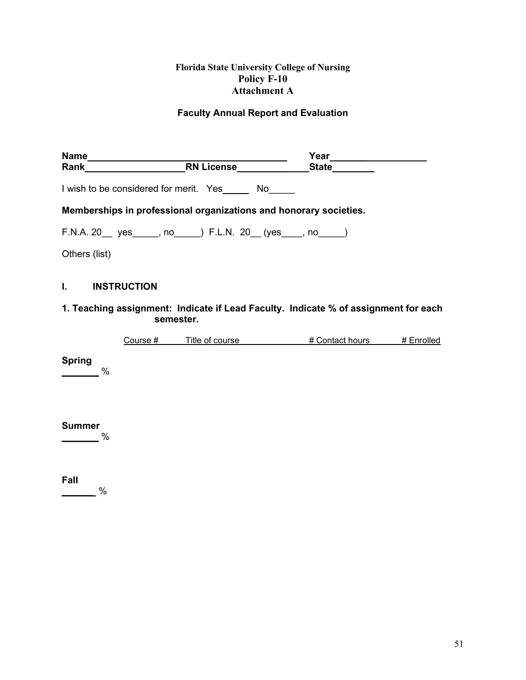## **Florida State University College of Nursing Policy F-10 Attachment A**

## **Faculty Annual Report and Evaluation**

| <b>Name</b>        |                                                                   | Year         |
|--------------------|-------------------------------------------------------------------|--------------|
| Rank               | <b>RN License</b>                                                 | <b>State</b> |
|                    | I wish to be considered for merit. Yes No                         |              |
|                    | Memberships in professional organizations and honorary societies. |              |
|                    | F.N.A. 20 __ yes _____, no ____) F.L.N. 20 __ (yes ____, no ____) |              |
| Others (list)      |                                                                   |              |
| <b>INSTRUCTION</b> |                                                                   |              |

## **1. Teaching assignment: Indicate if Lead Faculty. Indicate % of assignment for each semester.**

|  | こourse # | l itle of course | Contact hours | ·nrolled |
|--|----------|------------------|---------------|----------|
|--|----------|------------------|---------------|----------|

**Spring**

**\_\_\_\_\_\_\_** %

**Summer**

**\_\_\_\_\_\_\_** %

**Fall \_\_\_\_\_\_** %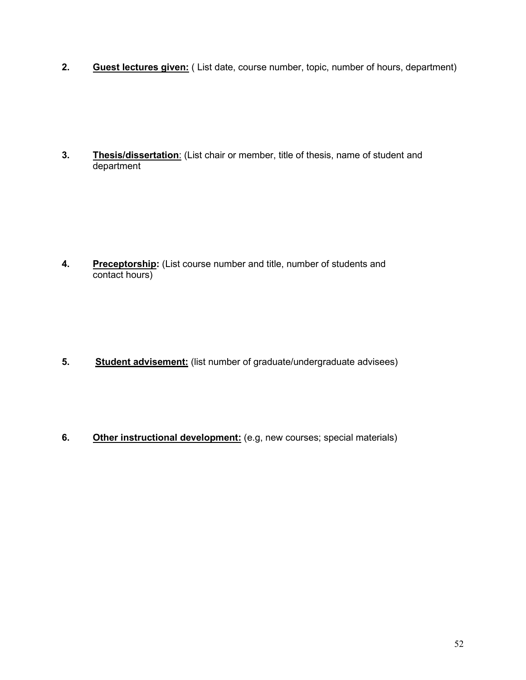**2. Guest lectures given:** ( List date, course number, topic, number of hours, department)

**3. Thesis/dissertation**: (List chair or member, title of thesis, name of student and department

**4.** Preceptorship: (List course number and title, number of students and contact hours)

- **5. Student advisement:** (list number of graduate/undergraduate advisees)
- **6.** Other instructional development: (e.g, new courses; special materials)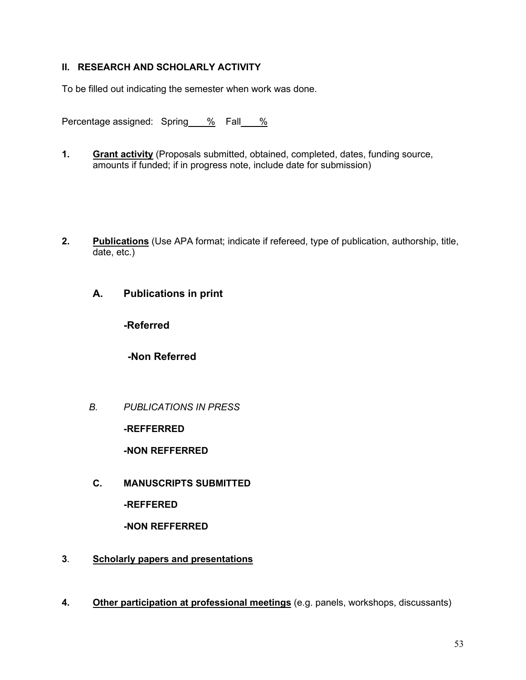## **II. RESEARCH AND SCHOLARLY ACTIVITY**

To be filled out indicating the semester when work was done.

Percentage assigned: Spring % Fall %

- **1. Grant activity** (Proposals submitted, obtained, completed, dates, funding source, amounts if funded; if in progress note, include date for submission)
- **2. Publications** (Use APA format; indicate if refereed, type of publication, authorship, title, date, etc.)
	- **A. Publications in print**

**-Referred**

**-Non Referred**

*B. PUBLICATIONS IN PRESS*

**-REFFERRED**

**-NON REFFERRED**

**C. MANUSCRIPTS SUBMITTED**

**-REFFERED**

**-NON REFFERRED**

- **3**. **Scholarly papers and presentations**
- **4. Other participation at professional meetings** (e.g. panels, workshops, discussants)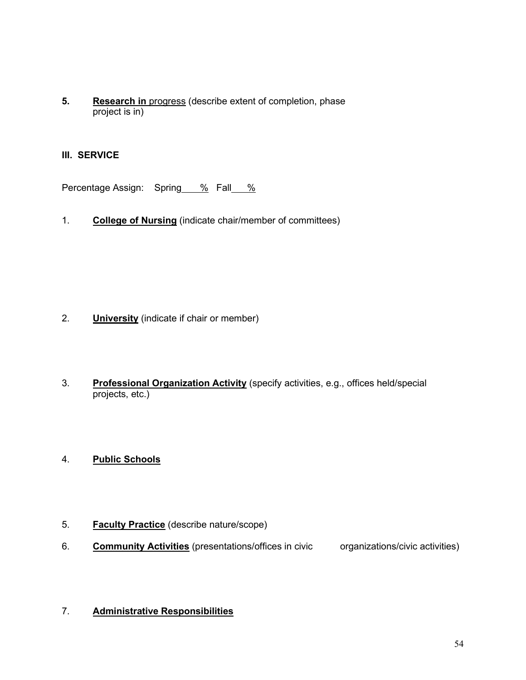**5. Research in** progress (describe extent of completion, phase project is in)

## **III. SERVICE**

Percentage Assign: Spring % Fall %

1. **College of Nursing** (indicate chair/member of committees)

- 2. **University** (indicate if chair or member)
- 3. **Professional Organization Activity** (specify activities, e.g., offices held/special projects, etc.)
- 4. **Public Schools**
- 5. **Faculty Practice** (describe nature/scope)
- 6. **Community Activities** (presentations/offices in civic organizations/civic activities)

## 7. **Administrative Responsibilities**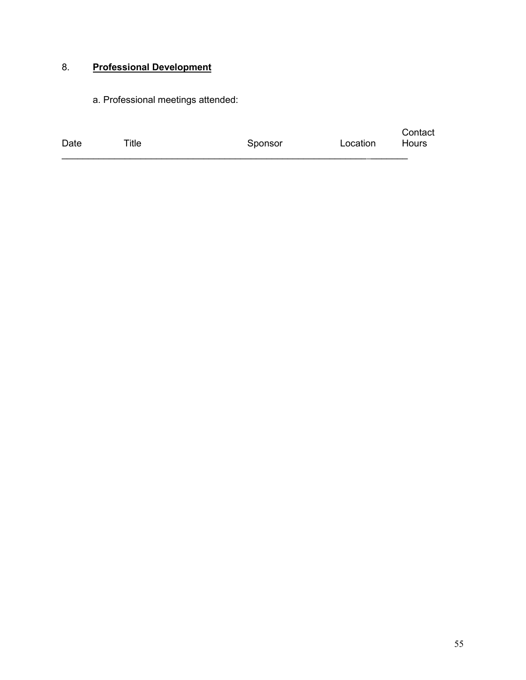## 8. **Professional Development**

a. Professional meetings attended:

| Date | $T$ itle | Sponsor | Location | Contact<br>Hours |
|------|----------|---------|----------|------------------|
|      |          |         |          |                  |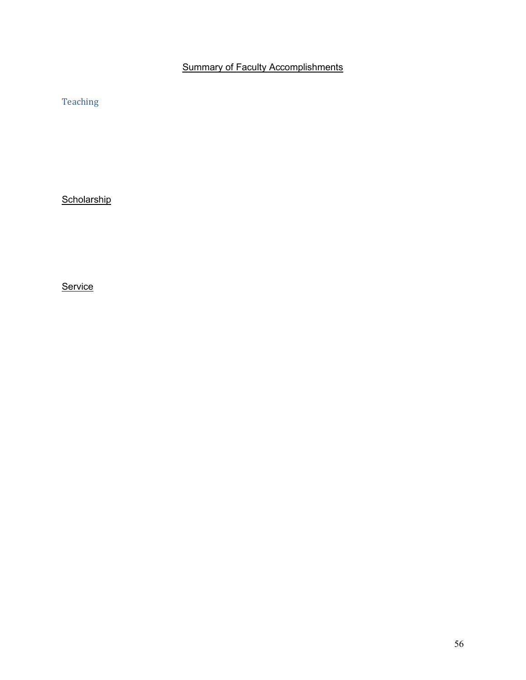# Summary of Faculty Accomplishments

Teaching

**Scholarship** 

**Service**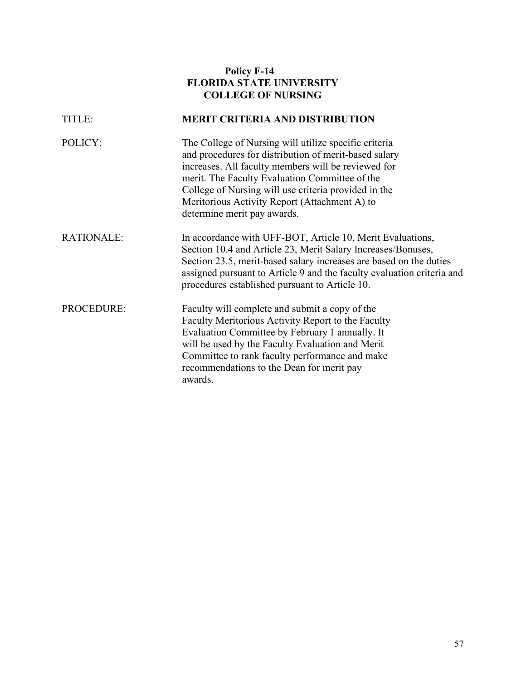|                   | <b>Policy F-14</b><br><b>FLORIDA STATE UNIVERSITY</b><br><b>COLLEGE OF NURSING</b>                                                                                                                                                                                                                                                                              |
|-------------------|-----------------------------------------------------------------------------------------------------------------------------------------------------------------------------------------------------------------------------------------------------------------------------------------------------------------------------------------------------------------|
| TITLE:            | <b>MERIT CRITERIA AND DISTRIBUTION</b>                                                                                                                                                                                                                                                                                                                          |
| POLICY:           | The College of Nursing will utilize specific criteria<br>and procedures for distribution of merit-based salary<br>increases. All faculty members will be reviewed for<br>merit. The Faculty Evaluation Committee of the<br>College of Nursing will use criteria provided in the<br>Meritorious Activity Report (Attachment A) to<br>determine merit pay awards. |
| <b>RATIONALE:</b> | In accordance with UFF-BOT, Article 10, Merit Evaluations,<br>Section 10.4 and Article 23, Merit Salary Increases/Bonuses,<br>Section 23.5, merit-based salary increases are based on the duties<br>assigned pursuant to Article 9 and the faculty evaluation criteria and<br>procedures established pursuant to Article 10.                                    |
| <b>PROCEDURE:</b> | Faculty will complete and submit a copy of the<br>Faculty Meritorious Activity Report to the Faculty<br>Evaluation Committee by February 1 annually. It<br>will be used by the Faculty Evaluation and Merit<br>Committee to rank faculty performance and make<br>recommendations to the Dean for merit pay<br>awards.                                           |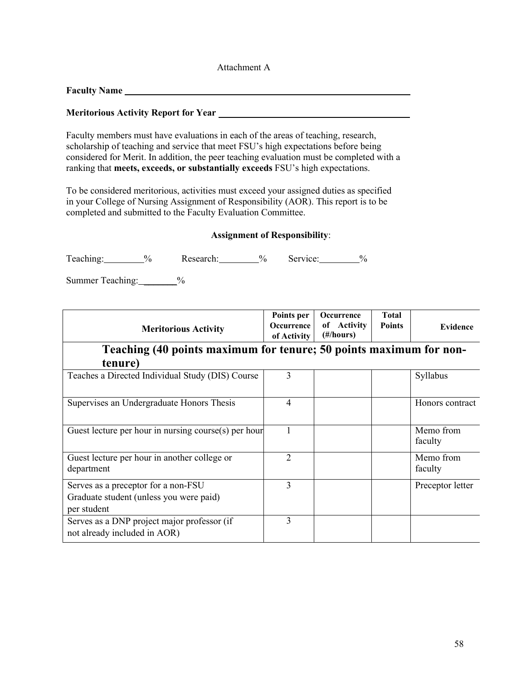| Attachment A |  |
|--------------|--|
|--------------|--|

**Faculty Name**

#### **Meritorious Activity Report for Year**

Faculty members must have evaluations in each of the areas of teaching, research, scholarship of teaching and service that meet FSU's high expectations before being considered for Merit. In addition, the peer teaching evaluation must be completed with a ranking that **meets, exceeds, or substantially exceeds** FSU's high expectations.

To be considered meritorious, activities must exceed your assigned duties as specified in your College of Nursing Assignment of Responsibility (AOR). This report is to be completed and submitted to the Faculty Evaluation Committee.

#### **Assignment of Responsibility**:

| $\mathbf{r}$<br>leaching: | $\sqrt{a}$ | Research: | 0/2 | Service: |  |
|---------------------------|------------|-----------|-----|----------|--|
|---------------------------|------------|-----------|-----|----------|--|

Summer Teaching: \_\_\_\_\_\_\_%

| <b>Meritorious Activity</b>                                                                   | Points per<br>Occurrence<br>of Activity | <b>Occurrence</b><br>of Activity<br>$(\text{\#}/\text{hours})$ | <b>Total</b><br><b>Points</b> | Evidence             |
|-----------------------------------------------------------------------------------------------|-----------------------------------------|----------------------------------------------------------------|-------------------------------|----------------------|
| Teaching (40 points maximum for tenure; 50 points maximum for non-                            |                                         |                                                                |                               |                      |
| tenure)                                                                                       |                                         |                                                                |                               |                      |
| Teaches a Directed Individual Study (DIS) Course                                              | 3                                       |                                                                |                               | Syllabus             |
| Supervises an Undergraduate Honors Thesis                                                     | 4                                       |                                                                |                               | Honors contract      |
| Guest lecture per hour in nursing course(s) per hour                                          |                                         |                                                                |                               | Memo from<br>faculty |
| Guest lecture per hour in another college or<br>department                                    | $\overline{2}$                          |                                                                |                               | Memo from<br>faculty |
| Serves as a preceptor for a non-FSU<br>Graduate student (unless you were paid)<br>per student | 3                                       |                                                                |                               | Preceptor letter     |
| Serves as a DNP project major professor (if<br>not already included in AOR)                   | 3                                       |                                                                |                               |                      |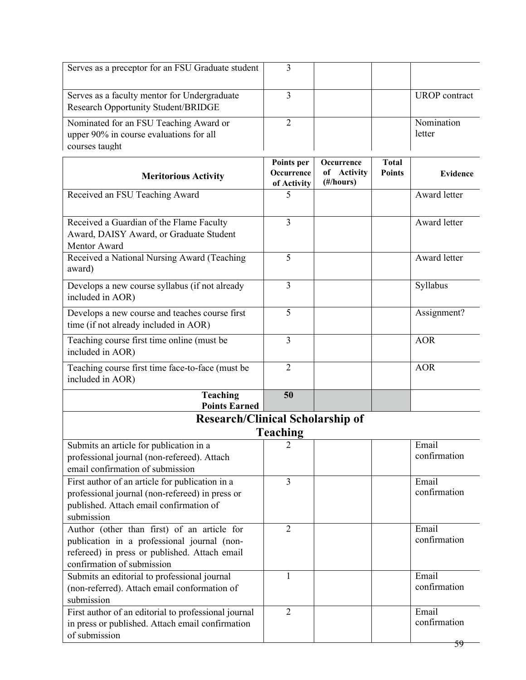| Serves as a preceptor for an FSU Graduate student                                                                                                                         | 3                                              |                                               |                               |                       |
|---------------------------------------------------------------------------------------------------------------------------------------------------------------------------|------------------------------------------------|-----------------------------------------------|-------------------------------|-----------------------|
| Serves as a faculty mentor for Undergraduate<br>Research Opportunity Student/BRIDGE                                                                                       | $\overline{3}$                                 |                                               |                               | <b>UROP</b> contract  |
| Nominated for an FSU Teaching Award or<br>upper 90% in course evaluations for all<br>courses taught                                                                       | $\overline{2}$                                 |                                               |                               | Nomination<br>letter  |
| <b>Meritorious Activity</b>                                                                                                                                               | Points per<br><b>Occurrence</b><br>of Activity | <b>Occurrence</b><br>of Activity<br>(#/hours) | <b>Total</b><br><b>Points</b> | <b>Evidence</b>       |
| Received an FSU Teaching Award                                                                                                                                            | 5                                              |                                               |                               | Award letter          |
| Received a Guardian of the Flame Faculty<br>Award, DAISY Award, or Graduate Student<br>Mentor Award                                                                       | 3                                              |                                               |                               | Award letter          |
| Received a National Nursing Award (Teaching<br>award)                                                                                                                     | 5                                              |                                               |                               | Award letter          |
| Develops a new course syllabus (if not already<br>included in AOR)                                                                                                        | 3                                              |                                               |                               | Syllabus              |
| Develops a new course and teaches course first<br>time (if not already included in AOR)                                                                                   | 5                                              |                                               |                               | Assignment?           |
| Teaching course first time online (must be<br>included in AOR)                                                                                                            | 3                                              |                                               |                               | <b>AOR</b>            |
| Teaching course first time face-to-face (must be<br>included in AOR)                                                                                                      | $\overline{2}$                                 |                                               |                               | <b>AOR</b>            |
| <b>Teaching</b><br><b>Points Earned</b>                                                                                                                                   | 50                                             |                                               |                               |                       |
| <b>Research/Clinical Scholarship of</b>                                                                                                                                   |                                                |                                               |                               |                       |
| Submits an article for publication in a                                                                                                                                   | <b>Teaching</b>                                |                                               |                               | Email                 |
| professional journal (non-refereed). Attach<br>email confirmation of submission                                                                                           |                                                |                                               |                               | confirmation          |
| First author of an article for publication in a<br>professional journal (non-refereed) in press or<br>published. Attach email confirmation of<br>submission               | $\overline{3}$                                 |                                               |                               | Email<br>confirmation |
| Author (other than first) of an article for<br>publication in a professional journal (non-<br>refereed) in press or published. Attach email<br>confirmation of submission | $\overline{2}$                                 |                                               |                               | Email<br>confirmation |
| Submits an editorial to professional journal<br>(non-referred). Attach email conformation of<br>submission                                                                | $\mathbf{1}$                                   |                                               |                               | Email<br>confirmation |
| First author of an editorial to professional journal<br>in press or published. Attach email confirmation<br>of submission                                                 | $\overline{2}$                                 |                                               |                               | Email<br>confirmation |
|                                                                                                                                                                           |                                                |                                               |                               | 59                    |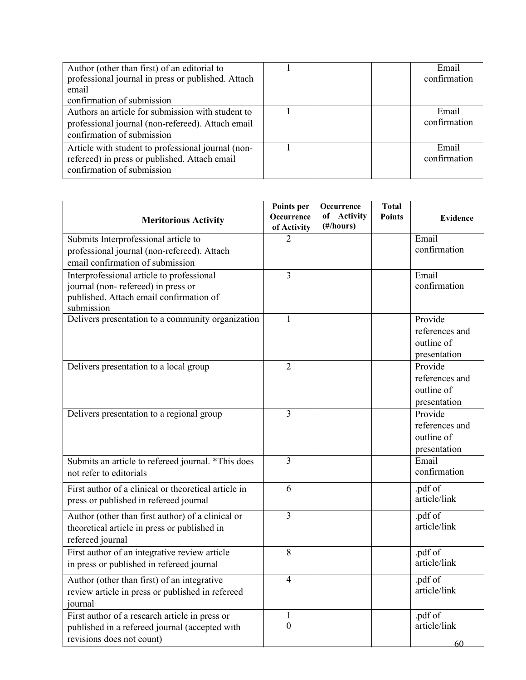| Author (other than first) of an editorial to<br>professional journal in press or published. Attach |  | Email<br>confirmation |
|----------------------------------------------------------------------------------------------------|--|-----------------------|
| email                                                                                              |  |                       |
| confirmation of submission                                                                         |  |                       |
| Authors an article for submission with student to                                                  |  | Email                 |
| professional journal (non-refereed). Attach email                                                  |  | confirmation          |
| confirmation of submission                                                                         |  |                       |
| Article with student to professional journal (non-                                                 |  | Email                 |
| refereed) in press or published. Attach email                                                      |  | confirmation          |
| confirmation of submission                                                                         |  |                       |

|                                                      | Points per              | Occurrence  | <b>Total</b>  |                 |
|------------------------------------------------------|-------------------------|-------------|---------------|-----------------|
| <b>Meritorious Activity</b>                          | Occurrence              | of Activity | <b>Points</b> | <b>Evidence</b> |
|                                                      | of Activity             | (#/hours)   |               |                 |
| Submits Interprofessional article to                 | 2                       |             |               | Email           |
| professional journal (non-refereed). Attach          |                         |             |               | confirmation    |
| email confirmation of submission                     |                         |             |               |                 |
| Interprofessional article to professional            | 3                       |             |               | Email           |
| journal (non-refereed) in press or                   |                         |             |               | confirmation    |
| published. Attach email confirmation of              |                         |             |               |                 |
| submission                                           |                         |             |               |                 |
| Delivers presentation to a community organization    | $\mathbf{1}$            |             |               | Provide         |
|                                                      |                         |             |               | references and  |
|                                                      |                         |             |               | outline of      |
|                                                      |                         |             |               | presentation    |
| Delivers presentation to a local group               | $\overline{2}$          |             |               | Provide         |
|                                                      |                         |             |               | references and  |
|                                                      |                         |             |               | outline of      |
|                                                      |                         |             |               | presentation    |
| Delivers presentation to a regional group            | 3                       |             |               | Provide         |
|                                                      |                         |             |               | references and  |
|                                                      |                         |             |               | outline of      |
|                                                      |                         |             |               | presentation    |
| Submits an article to refereed journal. *This does   | $\overline{\mathbf{3}}$ |             |               | Email           |
| not refer to editorials                              |                         |             |               | confirmation    |
| First author of a clinical or theoretical article in | 6                       |             |               | .pdf of         |
| press or published in refereed journal               |                         |             |               | article/link    |
| Author (other than first author) of a clinical or    | $\overline{3}$          |             |               | .pdf of         |
| theoretical article in press or published in         |                         |             |               | article/link    |
| refereed journal                                     |                         |             |               |                 |
| First author of an integrative review article        | 8                       |             |               | .pdf of         |
| in press or published in refereed journal            |                         |             |               | article/link    |
| Author (other than first) of an integrative          | $\overline{4}$          |             |               | .pdf of         |
| review article in press or published in refereed     |                         |             |               | article/link    |
| journal                                              |                         |             |               |                 |
| First author of a research article in press or       | $\mathbf{1}$            |             |               | .pdf of         |
| published in a refereed journal (accepted with       | $\boldsymbol{0}$        |             |               | article/link    |
| revisions does not count)                            |                         |             |               |                 |
|                                                      |                         |             |               | 60              |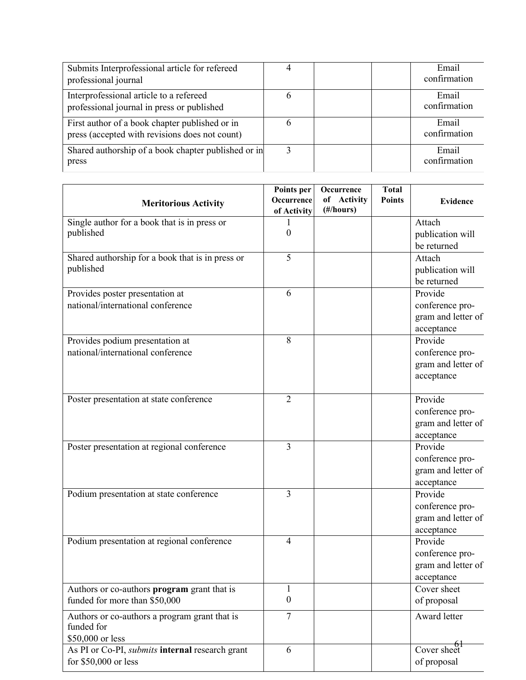| Submits Interprofessional article for refereed<br>professional journal                           |              | Email<br>confirmation |
|--------------------------------------------------------------------------------------------------|--------------|-----------------------|
| Interprofessional article to a refereed<br>professional journal in press or published            |              | Email<br>confirmation |
| First author of a book chapter published or in<br>press (accepted with revisions does not count) | 6            | Email<br>confirmation |
| Shared authorship of a book chapter published or in<br>press                                     | $\mathbf{3}$ | Email<br>confirmation |

| <b>Meritorious Activity</b>                                 | Points per<br>Occurrence | Occurrence<br><b>Activity</b><br>of | <b>Total</b><br><b>Points</b> | <b>Evidence</b>    |
|-------------------------------------------------------------|--------------------------|-------------------------------------|-------------------------------|--------------------|
|                                                             | of Activity              | (#/hours)                           |                               |                    |
| Single author for a book that is in press or                |                          |                                     |                               | Attach             |
| published                                                   | 0                        |                                     |                               | publication will   |
|                                                             |                          |                                     |                               | be returned        |
| Shared authorship for a book that is in press or            | 5                        |                                     |                               | Attach             |
| published                                                   |                          |                                     |                               | publication will   |
|                                                             |                          |                                     |                               | be returned        |
| Provides poster presentation at                             | 6                        |                                     |                               | Provide            |
| national/international conference                           |                          |                                     |                               | conference pro-    |
|                                                             |                          |                                     |                               | gram and letter of |
|                                                             |                          |                                     |                               | acceptance         |
| Provides podium presentation at                             | 8                        |                                     |                               | Provide            |
| national/international conference                           |                          |                                     |                               | conference pro-    |
|                                                             |                          |                                     |                               | gram and letter of |
|                                                             |                          |                                     |                               | acceptance         |
| Poster presentation at state conference                     | $\overline{2}$           |                                     |                               | Provide            |
|                                                             |                          |                                     |                               | conference pro-    |
|                                                             |                          |                                     |                               | gram and letter of |
|                                                             |                          |                                     |                               | acceptance         |
| Poster presentation at regional conference                  | 3                        |                                     |                               | Provide            |
|                                                             |                          |                                     |                               | conference pro-    |
|                                                             |                          |                                     |                               | gram and letter of |
|                                                             |                          |                                     |                               | acceptance         |
| Podium presentation at state conference                     | $\overline{3}$           |                                     |                               | Provide            |
|                                                             |                          |                                     |                               | conference pro-    |
|                                                             |                          |                                     |                               | gram and letter of |
|                                                             |                          |                                     |                               | acceptance         |
| Podium presentation at regional conference                  | $\overline{4}$           |                                     |                               | Provide            |
|                                                             |                          |                                     |                               | conference pro-    |
|                                                             |                          |                                     |                               | gram and letter of |
|                                                             |                          |                                     |                               | acceptance         |
| Authors or co-authors program grant that is                 | 1                        |                                     |                               | Cover sheet        |
| funded for more than \$50,000                               | $\boldsymbol{0}$         |                                     |                               | of proposal        |
| Authors or co-authors a program grant that is<br>funded for | $\overline{7}$           |                                     |                               | Award letter       |
| \$50,000 or less                                            |                          |                                     |                               |                    |
| As PI or Co-PI, submits internal research grant             | 6                        |                                     |                               | Cover sheet        |
| for \$50,000 or less                                        |                          |                                     |                               | of proposal        |
|                                                             |                          |                                     |                               |                    |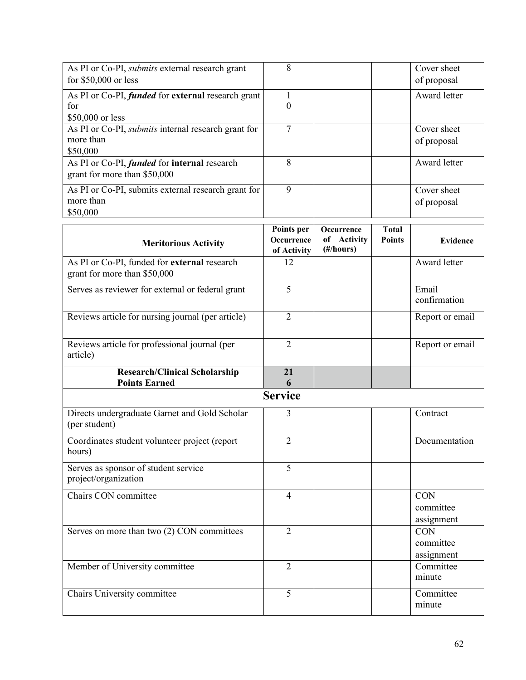| As PI or Co-PI, submits external research grant<br>for \$50,000 or less             | 8                                       |                                        |                               | Cover sheet<br>of proposal            |
|-------------------------------------------------------------------------------------|-----------------------------------------|----------------------------------------|-------------------------------|---------------------------------------|
| As PI or Co-PI, funded for external research grant<br>for<br>\$50,000 or less       | $\mathbf{1}$<br>0                       |                                        |                               | Award letter                          |
| As PI or Co-PI, submits internal research grant for<br>more than<br>\$50,000        | $\tau$                                  |                                        |                               | Cover sheet<br>of proposal            |
| As PI or Co-PI, <i>funded</i> for internal research<br>grant for more than \$50,000 | 8                                       |                                        |                               | Award letter                          |
| As PI or Co-PI, submits external research grant for<br>more than<br>\$50,000        | 9                                       |                                        |                               | Cover sheet<br>of proposal            |
| <b>Meritorious Activity</b>                                                         | Points per<br>Occurrence<br>of Activity | Occurrence<br>of Activity<br>(#/hours) | <b>Total</b><br><b>Points</b> | <b>Evidence</b>                       |
| As PI or Co-PI, funded for external research<br>grant for more than \$50,000        | 12                                      |                                        |                               | Award letter                          |
| Serves as reviewer for external or federal grant                                    | $\overline{5}$                          |                                        |                               | Email<br>confirmation                 |
| Reviews article for nursing journal (per article)                                   | $\overline{2}$                          |                                        |                               | Report or email                       |
| Reviews article for professional journal (per<br>article)                           | $\overline{2}$                          |                                        |                               | Report or email                       |
| <b>Research/Clinical Scholarship</b><br><b>Points Earned</b>                        | 21<br>6                                 |                                        |                               |                                       |
|                                                                                     | <b>Service</b>                          |                                        |                               |                                       |
| Directs undergraduate Garnet and Gold Scholar<br>(per student)                      | 3                                       |                                        |                               | Contract                              |
| Coordinates student volunteer project (report<br>hours)                             | $\overline{2}$                          |                                        |                               | Documentation                         |
| Serves as sponsor of student service<br>project/organization                        | 5                                       |                                        |                               |                                       |
| Chairs CON committee                                                                | $\overline{4}$                          |                                        |                               | <b>CON</b><br>committee<br>assignment |
| Serves on more than two (2) CON committees                                          | $\overline{2}$                          |                                        |                               | <b>CON</b><br>committee<br>assignment |
| Member of University committee                                                      | $\overline{2}$                          |                                        |                               | Committee<br>minute                   |
| Chairs University committee                                                         | 5                                       |                                        |                               | Committee<br>minute                   |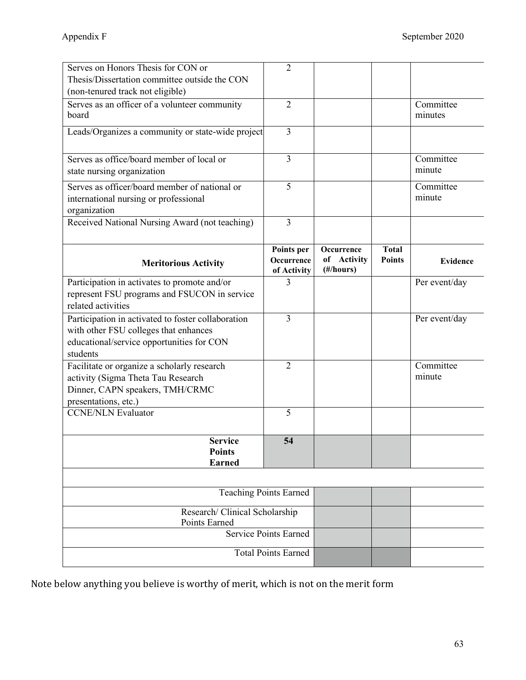| Serves on Honors Thesis for CON or                                                                                                                   | $\overline{2}$                                             |                                        |                               |                      |
|------------------------------------------------------------------------------------------------------------------------------------------------------|------------------------------------------------------------|----------------------------------------|-------------------------------|----------------------|
| Thesis/Dissertation committee outside the CON                                                                                                        |                                                            |                                        |                               |                      |
| (non-tenured track not eligible)                                                                                                                     |                                                            |                                        |                               |                      |
| Serves as an officer of a volunteer community<br>board                                                                                               | $\overline{2}$                                             |                                        |                               | Committee<br>minutes |
| Leads/Organizes a community or state-wide project                                                                                                    | 3                                                          |                                        |                               |                      |
| Serves as office/board member of local or<br>state nursing organization                                                                              | 3                                                          |                                        |                               | Committee<br>minute  |
| Serves as officer/board member of national or<br>international nursing or professional<br>organization                                               | 5                                                          |                                        |                               | Committee<br>minute  |
| Received National Nursing Award (not teaching)                                                                                                       | $\overline{3}$                                             |                                        |                               |                      |
| <b>Meritorious Activity</b>                                                                                                                          | Points per<br>Occurrence<br>of Activity                    | Occurrence<br>of Activity<br>(#/hours) | <b>Total</b><br><b>Points</b> | Evidence             |
| Participation in activates to promote and/or<br>represent FSU programs and FSUCON in service<br>related activities                                   | 3                                                          |                                        |                               | Per event/day        |
|                                                                                                                                                      |                                                            |                                        |                               |                      |
| Participation in activated to foster collaboration<br>with other FSU colleges that enhances<br>educational/service opportunities for CON<br>students | $\overline{3}$                                             |                                        |                               | Per event/day        |
| Facilitate or organize a scholarly research<br>activity (Sigma Theta Tau Research<br>Dinner, CAPN speakers, TMH/CRMC<br>presentations, etc.)         | $\overline{2}$                                             |                                        |                               | Committee<br>minute  |
| <b>CCNE/NLN Evaluator</b>                                                                                                                            | 5                                                          |                                        |                               |                      |
| <b>Service</b><br><b>Points</b><br><b>Earned</b>                                                                                                     | 54                                                         |                                        |                               |                      |
|                                                                                                                                                      |                                                            |                                        |                               |                      |
|                                                                                                                                                      | <b>Teaching Points Earned</b>                              |                                        |                               |                      |
| Research/ Clinical Scholarship<br>Points Earned                                                                                                      |                                                            |                                        |                               |                      |
|                                                                                                                                                      | <b>Service Points Earned</b><br><b>Total Points Earned</b> |                                        |                               |                      |

Note below anything you believe is worthy of merit, which is not on the merit form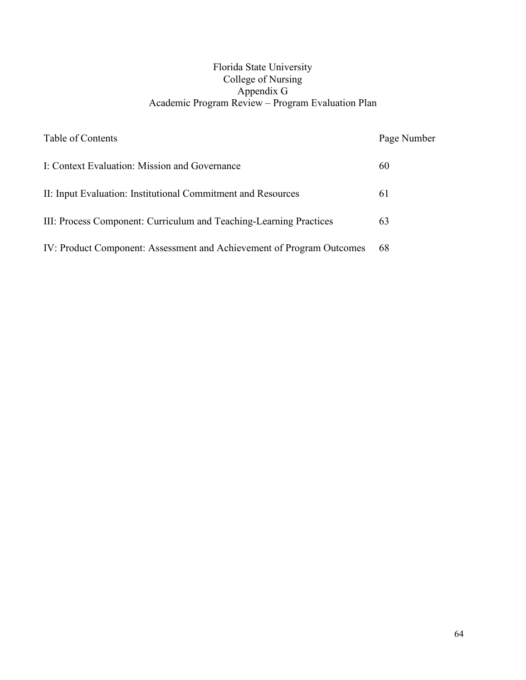### Florida State University College of Nursing Appendix G Academic Program Review – Program Evaluation Plan

| Table of Contents                                                     | Page Number |
|-----------------------------------------------------------------------|-------------|
| I: Context Evaluation: Mission and Governance                         | 60          |
| II: Input Evaluation: Institutional Commitment and Resources          | 61          |
| III: Process Component: Curriculum and Teaching-Learning Practices    | 63          |
| IV: Product Component: Assessment and Achievement of Program Outcomes | -68         |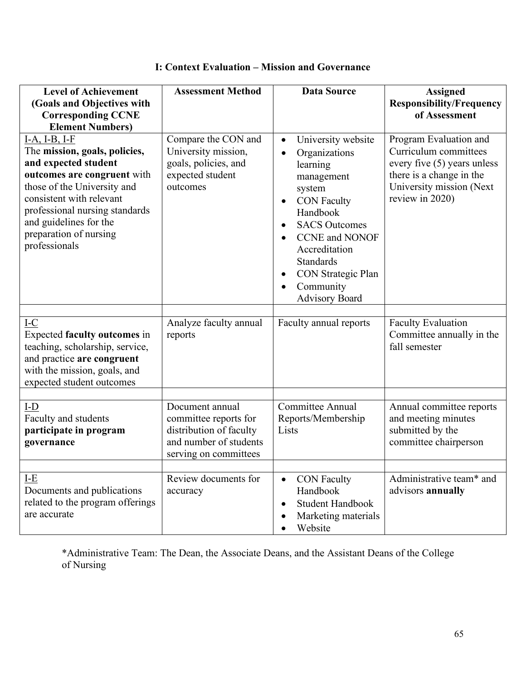| <b>Level of Achievement</b><br>(Goals and Objectives with<br><b>Corresponding CCNE</b><br><b>Element Numbers)</b>                                                                                                                                                       | <b>Assessment Method</b>                                                                                               | <b>Data Source</b>                                                                                                                                                                                                                                                                                                                                    | <b>Assigned</b><br><b>Responsibility/Frequency</b><br>of Assessment                                                                                       |
|-------------------------------------------------------------------------------------------------------------------------------------------------------------------------------------------------------------------------------------------------------------------------|------------------------------------------------------------------------------------------------------------------------|-------------------------------------------------------------------------------------------------------------------------------------------------------------------------------------------------------------------------------------------------------------------------------------------------------------------------------------------------------|-----------------------------------------------------------------------------------------------------------------------------------------------------------|
| I-A, I-B, I-F<br>The mission, goals, policies,<br>and expected student<br>outcomes are congruent with<br>those of the University and<br>consistent with relevant<br>professional nursing standards<br>and guidelines for the<br>preparation of nursing<br>professionals | Compare the CON and<br>University mission,<br>goals, policies, and<br>expected student<br>outcomes                     | University website<br>$\bullet$<br>Organizations<br>$\bullet$<br>learning<br>management<br>system<br><b>CON Faculty</b><br>٠<br>Handbook<br><b>SACS Outcomes</b><br>$\bullet$<br><b>CCNE</b> and <b>NONOF</b><br>$\bullet$<br>Accreditation<br><b>Standards</b><br>CON Strategic Plan<br>$\bullet$<br>Community<br>$\bullet$<br><b>Advisory Board</b> | Program Evaluation and<br>Curriculum committees<br>every five (5) years unless<br>there is a change in the<br>University mission (Next<br>review in 2020) |
| $I-C$<br>Expected faculty outcomes in<br>teaching, scholarship, service,<br>and practice are congruent<br>with the mission, goals, and<br>expected student outcomes                                                                                                     | Analyze faculty annual<br>reports                                                                                      | Faculty annual reports                                                                                                                                                                                                                                                                                                                                | Faculty Evaluation<br>Committee annually in the<br>fall semester                                                                                          |
| $I-D$<br>Faculty and students<br>participate in program<br>governance                                                                                                                                                                                                   | Document annual<br>committee reports for<br>distribution of faculty<br>and number of students<br>serving on committees | <b>Committee Annual</b><br>Reports/Membership<br>Lists                                                                                                                                                                                                                                                                                                | Annual committee reports<br>and meeting minutes<br>submitted by the<br>committee chairperson                                                              |
| $I-E$<br>Documents and publications<br>related to the program offerings<br>are accurate                                                                                                                                                                                 | Review documents for<br>accuracy                                                                                       | <b>CON Faculty</b><br>$\bullet$<br>Handbook<br><b>Student Handbook</b><br>$\bullet$<br>Marketing materials<br>Website                                                                                                                                                                                                                                 | Administrative team* and<br>advisors annually                                                                                                             |

## **I: Context Evaluation – Mission and Governance**

\*Administrative Team: The Dean, the Associate Deans, and the Assistant Deans of the College of Nursing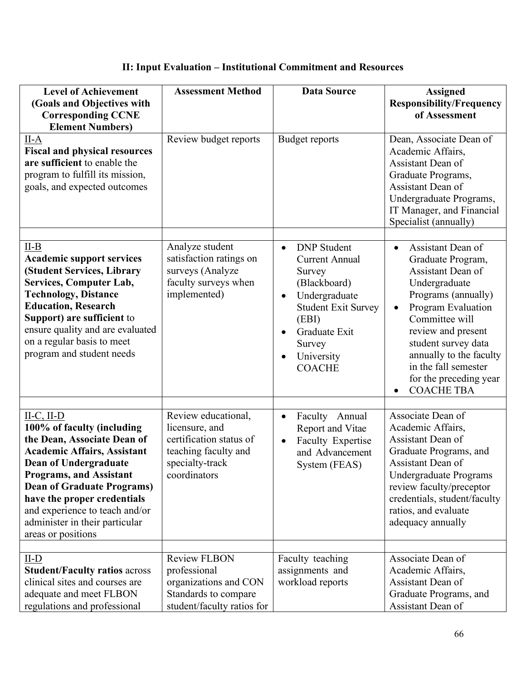## **II: Input Evaluation – Institutional Commitment and Resources**

| <b>Level of Achievement</b>                                                                                                                                                                                                                                                                                                                     | <b>Assessment Method</b>                                                                                                    | <b>Data Source</b>                                                                                                                                                                                                                          | <b>Assigned</b>                                                                                                                                                                                                                                                                                         |
|-------------------------------------------------------------------------------------------------------------------------------------------------------------------------------------------------------------------------------------------------------------------------------------------------------------------------------------------------|-----------------------------------------------------------------------------------------------------------------------------|---------------------------------------------------------------------------------------------------------------------------------------------------------------------------------------------------------------------------------------------|---------------------------------------------------------------------------------------------------------------------------------------------------------------------------------------------------------------------------------------------------------------------------------------------------------|
| (Goals and Objectives with<br><b>Corresponding CCNE</b><br><b>Element Numbers)</b>                                                                                                                                                                                                                                                              |                                                                                                                             |                                                                                                                                                                                                                                             | <b>Responsibility/Frequency</b><br>of Assessment                                                                                                                                                                                                                                                        |
| $II-A$<br><b>Fiscal and physical resources</b><br>are sufficient to enable the<br>program to fulfill its mission,<br>goals, and expected outcomes                                                                                                                                                                                               | Review budget reports                                                                                                       | <b>Budget reports</b>                                                                                                                                                                                                                       | Dean, Associate Dean of<br>Academic Affairs,<br>Assistant Dean of<br>Graduate Programs,<br>Assistant Dean of<br>Undergraduate Programs,<br>IT Manager, and Financial<br>Specialist (annually)                                                                                                           |
| $II-B$<br><b>Academic support services</b><br>(Student Services, Library<br><b>Services, Computer Lab,</b><br><b>Technology, Distance</b><br><b>Education, Research</b><br>Support) are sufficient to<br>ensure quality and are evaluated<br>on a regular basis to meet<br>program and student needs                                            | Analyze student<br>satisfaction ratings on<br>surveys (Analyze<br>faculty surveys when<br>implemented)                      | <b>DNP</b> Student<br>$\bullet$<br><b>Current Annual</b><br>Survey<br>(Blackboard)<br>Undergraduate<br>$\bullet$<br><b>Student Exit Survey</b><br>(EBI)<br>Graduate Exit<br>$\bullet$<br>Survey<br>University<br>$\bullet$<br><b>COACHE</b> | Assistant Dean of<br>$\bullet$<br>Graduate Program,<br>Assistant Dean of<br>Undergraduate<br>Programs (annually)<br>Program Evaluation<br>Committee will<br>review and present<br>student survey data<br>annually to the faculty<br>in the fall semester<br>for the preceding year<br><b>COACHE TBA</b> |
| $II-C, II-D$<br>100% of faculty (including<br>the Dean, Associate Dean of<br><b>Academic Affairs, Assistant</b><br><b>Dean of Undergraduate</b><br><b>Programs, and Assistant</b><br><b>Dean of Graduate Programs)</b><br>have the proper credentials<br>and experience to teach and/or<br>administer in their particular<br>areas or positions | Review educational,<br>licensure, and<br>certification status of<br>teaching faculty and<br>specialty-track<br>coordinators | Faculty Annual<br>$\bullet$<br>Report and Vitae<br>Faculty Expertise<br>$\bullet$<br>and Advancement<br>System (FEAS)                                                                                                                       | Associate Dean of<br>Academic Affairs,<br>Assistant Dean of<br>Graduate Programs, and<br>Assistant Dean of<br><b>Undergraduate Programs</b><br>review faculty/preceptor<br>credentials, student/faculty<br>ratios, and evaluate<br>adequacy annually                                                    |
| $II-D$<br><b>Student/Faculty ratios across</b><br>clinical sites and courses are<br>adequate and meet FLBON<br>regulations and professional                                                                                                                                                                                                     | <b>Review FLBON</b><br>professional<br>organizations and CON<br>Standards to compare<br>student/faculty ratios for          | Faculty teaching<br>assignments and<br>workload reports                                                                                                                                                                                     | Associate Dean of<br>Academic Affairs,<br>Assistant Dean of<br>Graduate Programs, and<br>Assistant Dean of                                                                                                                                                                                              |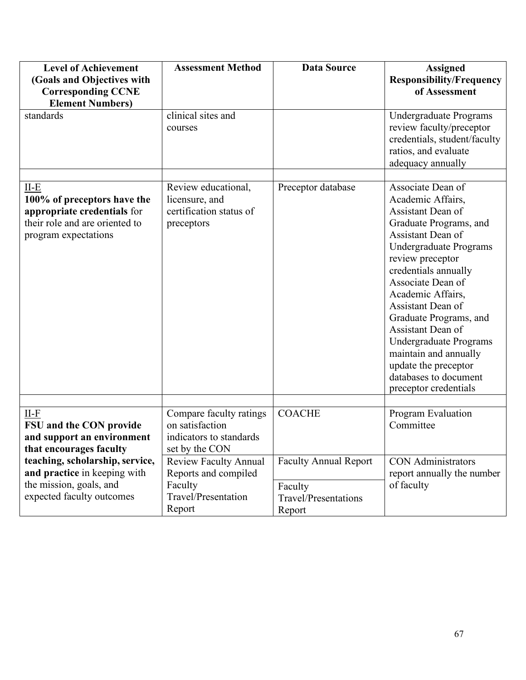| <b>Level of Achievement</b><br>(Goals and Objectives with<br><b>Corresponding CCNE</b>                                         | <b>Assessment Method</b>                                                                         | <b>Data Source</b>                                                               | <b>Assigned</b><br><b>Responsibility/Frequency</b><br>of Assessment                                                                                                                                                                                                                                                                                                                                                         |
|--------------------------------------------------------------------------------------------------------------------------------|--------------------------------------------------------------------------------------------------|----------------------------------------------------------------------------------|-----------------------------------------------------------------------------------------------------------------------------------------------------------------------------------------------------------------------------------------------------------------------------------------------------------------------------------------------------------------------------------------------------------------------------|
| <b>Element Numbers)</b>                                                                                                        |                                                                                                  |                                                                                  |                                                                                                                                                                                                                                                                                                                                                                                                                             |
| standards                                                                                                                      | clinical sites and<br>courses                                                                    |                                                                                  | Undergraduate Programs<br>review faculty/preceptor<br>credentials, student/faculty<br>ratios, and evaluate<br>adequacy annually                                                                                                                                                                                                                                                                                             |
| $II-E$<br>100% of preceptors have the<br>appropriate credentials for<br>their role and are oriented to<br>program expectations | Review educational,<br>licensure, and<br>certification status of<br>preceptors                   | Preceptor database                                                               | Associate Dean of<br>Academic Affairs,<br>Assistant Dean of<br>Graduate Programs, and<br>Assistant Dean of<br>Undergraduate Programs<br>review preceptor<br>credentials annually<br>Associate Dean of<br>Academic Affairs,<br>Assistant Dean of<br>Graduate Programs, and<br>Assistant Dean of<br>Undergraduate Programs<br>maintain and annually<br>update the preceptor<br>databases to document<br>preceptor credentials |
| $II-F$<br>FSU and the CON provide<br>and support an environment<br>that encourages faculty                                     | Compare faculty ratings<br>on satisfaction<br>indicators to standards<br>set by the CON          | <b>COACHE</b>                                                                    | Program Evaluation<br>Committee                                                                                                                                                                                                                                                                                                                                                                                             |
| teaching, scholarship, service,<br>and practice in keeping with<br>the mission, goals, and<br>expected faculty outcomes        | <b>Review Faculty Annual</b><br>Reports and compiled<br>Faculty<br>Travel/Presentation<br>Report | <b>Faculty Annual Report</b><br>Faculty<br><b>Travel/Presentations</b><br>Report | <b>CON</b> Administrators<br>report annually the number<br>of faculty                                                                                                                                                                                                                                                                                                                                                       |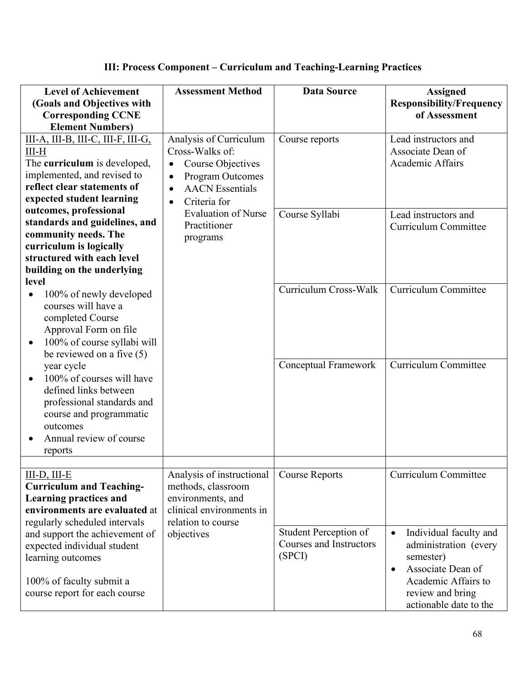| <b>Level of Achievement</b><br>(Goals and Objectives with                                                                                                                                                                                                                                                                                          | <b>Assessment Method</b>                                                                                                                                                                                 | <b>Data Source</b>                                         | <b>Assigned</b><br><b>Responsibility/Frequency</b>                                                                                                                               |
|----------------------------------------------------------------------------------------------------------------------------------------------------------------------------------------------------------------------------------------------------------------------------------------------------------------------------------------------------|----------------------------------------------------------------------------------------------------------------------------------------------------------------------------------------------------------|------------------------------------------------------------|----------------------------------------------------------------------------------------------------------------------------------------------------------------------------------|
| <b>Corresponding CCNE</b><br><b>Element Numbers)</b>                                                                                                                                                                                                                                                                                               |                                                                                                                                                                                                          |                                                            | of Assessment                                                                                                                                                                    |
| III-A, III-B, III-C, III-F, III-G,<br>$III-H$<br>The curriculum is developed,<br>implemented, and revised to<br>reflect clear statements of<br>expected student learning<br>outcomes, professional<br>standards and guidelines, and<br>community needs. The<br>curriculum is logically<br>structured with each level<br>building on the underlying | Analysis of Curriculum<br>Cross-Walks of:<br>Course Objectives<br>$\bullet$<br>Program Outcomes<br>٠<br><b>AACN</b> Essentials<br>Criteria for<br><b>Evaluation of Nurse</b><br>Practitioner<br>programs | Course reports<br>Course Syllabi                           | Lead instructors and<br>Associate Dean of<br>Academic Affairs<br>Lead instructors and<br>Curriculum Committee                                                                    |
| level<br>100% of newly developed<br>$\bullet$<br>courses will have a<br>completed Course<br>Approval Form on file<br>100% of course syllabi will<br>$\bullet$<br>be reviewed on a five (5)<br>year cycle<br>100% of courses will have<br>$\bullet$<br>defined links between<br>professional standards and<br>course and programmatic<br>outcomes   |                                                                                                                                                                                                          | Curriculum Cross-Walk<br><b>Conceptual Framework</b>       | Curriculum Committee<br>Curriculum Committee                                                                                                                                     |
| Annual review of course<br>reports                                                                                                                                                                                                                                                                                                                 |                                                                                                                                                                                                          |                                                            |                                                                                                                                                                                  |
| III-D, III-E<br><b>Curriculum and Teaching-</b><br><b>Learning practices and</b><br>environments are evaluated at                                                                                                                                                                                                                                  | Analysis of instructional<br>methods, classroom<br>environments, and<br>clinical environments in                                                                                                         | <b>Course Reports</b>                                      | Curriculum Committee                                                                                                                                                             |
| regularly scheduled intervals<br>and support the achievement of<br>expected individual student<br>learning outcomes<br>100% of faculty submit a<br>course report for each course                                                                                                                                                                   | relation to course<br>objectives                                                                                                                                                                         | Student Perception of<br>Courses and Instructors<br>(SPCI) | Individual faculty and<br>$\bullet$<br>administration (every<br>semester)<br>Associate Dean of<br>$\bullet$<br>Academic Affairs to<br>review and bring<br>actionable date to the |

# **III: Process Component – Curriculum and Teaching-Learning Practices**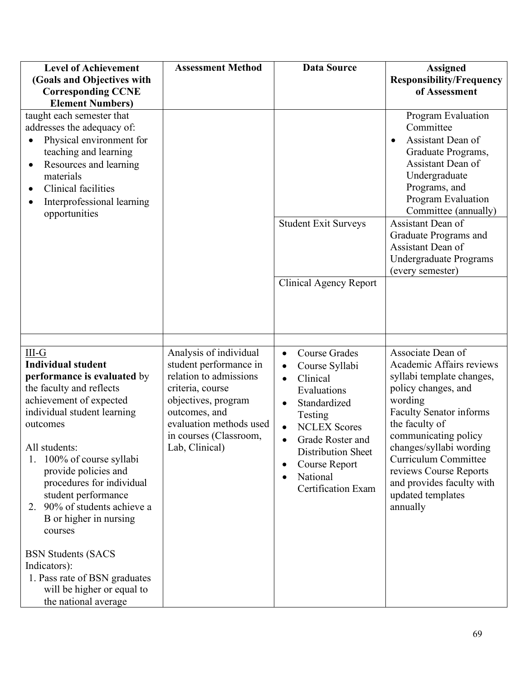| <b>Level of Achievement</b>                                                                                                                                                                                                                                                                                                                                                                          | <b>Assessment Method</b>                                                                                                                                                                                      | <b>Data Source</b>                                                                                                                                                                                                                                                                                                                     | <b>Assigned</b>                                                                                                                                                                                                                                                                                                                            |
|------------------------------------------------------------------------------------------------------------------------------------------------------------------------------------------------------------------------------------------------------------------------------------------------------------------------------------------------------------------------------------------------------|---------------------------------------------------------------------------------------------------------------------------------------------------------------------------------------------------------------|----------------------------------------------------------------------------------------------------------------------------------------------------------------------------------------------------------------------------------------------------------------------------------------------------------------------------------------|--------------------------------------------------------------------------------------------------------------------------------------------------------------------------------------------------------------------------------------------------------------------------------------------------------------------------------------------|
| (Goals and Objectives with<br><b>Corresponding CCNE</b>                                                                                                                                                                                                                                                                                                                                              |                                                                                                                                                                                                               |                                                                                                                                                                                                                                                                                                                                        | <b>Responsibility/Frequency</b><br>of Assessment                                                                                                                                                                                                                                                                                           |
| <b>Element Numbers)</b>                                                                                                                                                                                                                                                                                                                                                                              |                                                                                                                                                                                                               |                                                                                                                                                                                                                                                                                                                                        |                                                                                                                                                                                                                                                                                                                                            |
| taught each semester that<br>addresses the adequacy of:<br>Physical environment for<br>teaching and learning<br>Resources and learning<br>materials<br>Clinical facilities<br>Interprofessional learning<br>opportunities                                                                                                                                                                            |                                                                                                                                                                                                               | <b>Student Exit Surveys</b><br><b>Clinical Agency Report</b>                                                                                                                                                                                                                                                                           | Program Evaluation<br>Committee<br>Assistant Dean of<br>$\bullet$<br>Graduate Programs,<br>Assistant Dean of<br>Undergraduate<br>Programs, and<br>Program Evaluation<br>Committee (annually)<br>Assistant Dean of<br>Graduate Programs and<br>Assistant Dean of<br>Undergraduate Programs<br>(every semester)                              |
|                                                                                                                                                                                                                                                                                                                                                                                                      |                                                                                                                                                                                                               |                                                                                                                                                                                                                                                                                                                                        |                                                                                                                                                                                                                                                                                                                                            |
| $III-G$<br><b>Individual student</b><br>performance is evaluated by<br>the faculty and reflects<br>achievement of expected<br>individual student learning<br>outcomes<br>All students:<br>100% of course syllabi<br>1.<br>provide policies and<br>procedures for individual<br>student performance<br>2. 90% of students achieve a<br>B or higher in nursing<br>courses<br><b>BSN Students (SACS</b> | Analysis of individual<br>student performance in<br>relation to admissions<br>criteria, course<br>objectives, program<br>outcomes, and<br>evaluation methods used<br>in courses (Classroom,<br>Lab, Clinical) | <b>Course Grades</b><br>$\bullet$<br>Course Syllabi<br>$\bullet$<br>Clinical<br>$\bullet$<br>Evaluations<br>Standardized<br>$\bullet$<br>Testing<br><b>NCLEX Scores</b><br>$\bullet$<br>Grade Roster and<br>$\bullet$<br><b>Distribution Sheet</b><br>Course Report<br>$\bullet$<br>National<br>$\bullet$<br><b>Certification Exam</b> | Associate Dean of<br>Academic Affairs reviews<br>syllabi template changes,<br>policy changes, and<br>wording<br><b>Faculty Senator informs</b><br>the faculty of<br>communicating policy<br>changes/syllabi wording<br><b>Curriculum Committee</b><br>reviews Course Reports<br>and provides faculty with<br>updated templates<br>annually |
| Indicators):<br>1. Pass rate of BSN graduates<br>will be higher or equal to<br>the national average                                                                                                                                                                                                                                                                                                  |                                                                                                                                                                                                               |                                                                                                                                                                                                                                                                                                                                        |                                                                                                                                                                                                                                                                                                                                            |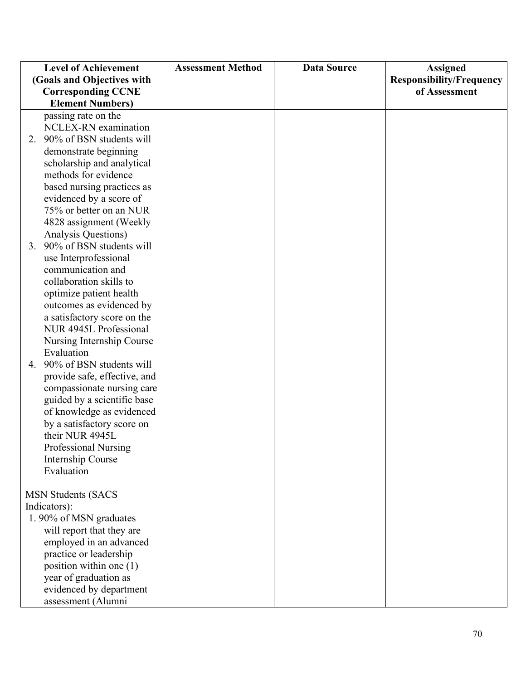|                            | <b>Level of Achievement</b>                   | <b>Assessment Method</b> | <b>Data Source</b> | <b>Assigned</b>                 |
|----------------------------|-----------------------------------------------|--------------------------|--------------------|---------------------------------|
| (Goals and Objectives with |                                               |                          |                    | <b>Responsibility/Frequency</b> |
|                            | <b>Corresponding CCNE</b>                     |                          |                    | of Assessment                   |
|                            | <b>Element Numbers)</b>                       |                          |                    |                                 |
|                            | passing rate on the                           |                          |                    |                                 |
|                            | NCLEX-RN examination                          |                          |                    |                                 |
| 2.                         | 90% of BSN students will                      |                          |                    |                                 |
|                            | demonstrate beginning                         |                          |                    |                                 |
|                            | scholarship and analytical                    |                          |                    |                                 |
|                            | methods for evidence                          |                          |                    |                                 |
|                            | based nursing practices as                    |                          |                    |                                 |
|                            | evidenced by a score of                       |                          |                    |                                 |
|                            | 75% or better on an NUR                       |                          |                    |                                 |
|                            | 4828 assignment (Weekly                       |                          |                    |                                 |
|                            | Analysis Questions)                           |                          |                    |                                 |
|                            | 3. 90% of BSN students will                   |                          |                    |                                 |
|                            | use Interprofessional                         |                          |                    |                                 |
|                            | communication and                             |                          |                    |                                 |
|                            | collaboration skills to                       |                          |                    |                                 |
|                            | optimize patient health                       |                          |                    |                                 |
|                            | outcomes as evidenced by                      |                          |                    |                                 |
|                            | a satisfactory score on the                   |                          |                    |                                 |
|                            | NUR 4945L Professional                        |                          |                    |                                 |
|                            | Nursing Internship Course                     |                          |                    |                                 |
|                            | Evaluation                                    |                          |                    |                                 |
|                            | 4. 90% of BSN students will                   |                          |                    |                                 |
|                            | provide safe, effective, and                  |                          |                    |                                 |
|                            | compassionate nursing care                    |                          |                    |                                 |
|                            | guided by a scientific base                   |                          |                    |                                 |
|                            | of knowledge as evidenced                     |                          |                    |                                 |
|                            | by a satisfactory score on<br>their NUR 4945L |                          |                    |                                 |
|                            | Professional Nursing                          |                          |                    |                                 |
|                            | <b>Internship Course</b>                      |                          |                    |                                 |
|                            | Evaluation                                    |                          |                    |                                 |
|                            |                                               |                          |                    |                                 |
|                            | <b>MSN Students (SACS</b>                     |                          |                    |                                 |
|                            | Indicators):                                  |                          |                    |                                 |
|                            | 1.90% of MSN graduates                        |                          |                    |                                 |
|                            | will report that they are                     |                          |                    |                                 |
|                            | employed in an advanced                       |                          |                    |                                 |
|                            | practice or leadership                        |                          |                    |                                 |
|                            | position within one (1)                       |                          |                    |                                 |
|                            | year of graduation as                         |                          |                    |                                 |
|                            | evidenced by department                       |                          |                    |                                 |
|                            | assessment (Alumni                            |                          |                    |                                 |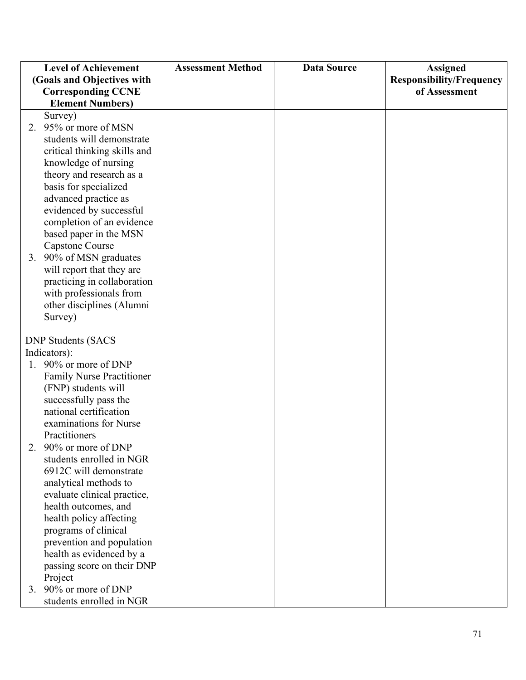| <b>Level of Achievement</b>      | <b>Assessment Method</b> | <b>Data Source</b> | <b>Assigned</b>                 |
|----------------------------------|--------------------------|--------------------|---------------------------------|
| (Goals and Objectives with       |                          |                    | <b>Responsibility/Frequency</b> |
| <b>Corresponding CCNE</b>        |                          |                    | of Assessment                   |
| <b>Element Numbers)</b>          |                          |                    |                                 |
| Survey)                          |                          |                    |                                 |
| 2. 95% or more of MSN            |                          |                    |                                 |
| students will demonstrate        |                          |                    |                                 |
| critical thinking skills and     |                          |                    |                                 |
| knowledge of nursing             |                          |                    |                                 |
| theory and research as a         |                          |                    |                                 |
| basis for specialized            |                          |                    |                                 |
| advanced practice as             |                          |                    |                                 |
| evidenced by successful          |                          |                    |                                 |
| completion of an evidence        |                          |                    |                                 |
| based paper in the MSN           |                          |                    |                                 |
| <b>Capstone Course</b>           |                          |                    |                                 |
| 3. 90% of MSN graduates          |                          |                    |                                 |
| will report that they are        |                          |                    |                                 |
| practicing in collaboration      |                          |                    |                                 |
| with professionals from          |                          |                    |                                 |
| other disciplines (Alumni        |                          |                    |                                 |
| Survey)                          |                          |                    |                                 |
|                                  |                          |                    |                                 |
| <b>DNP Students (SACS</b>        |                          |                    |                                 |
| Indicators):                     |                          |                    |                                 |
| 1. 90% or more of DNP            |                          |                    |                                 |
| <b>Family Nurse Practitioner</b> |                          |                    |                                 |
| (FNP) students will              |                          |                    |                                 |
| successfully pass the            |                          |                    |                                 |
| national certification           |                          |                    |                                 |
| examinations for Nurse           |                          |                    |                                 |
| Practitioners                    |                          |                    |                                 |
| 90% or more of DNP               |                          |                    |                                 |
| students enrolled in NGR         |                          |                    |                                 |
| 6912C will demonstrate           |                          |                    |                                 |
| analytical methods to            |                          |                    |                                 |
| evaluate clinical practice,      |                          |                    |                                 |
| health outcomes, and             |                          |                    |                                 |
| health policy affecting          |                          |                    |                                 |
| programs of clinical             |                          |                    |                                 |
| prevention and population        |                          |                    |                                 |
| health as evidenced by a         |                          |                    |                                 |
| passing score on their DNP       |                          |                    |                                 |
| Project                          |                          |                    |                                 |
| 3. 90% or more of DNP            |                          |                    |                                 |
| students enrolled in NGR         |                          |                    |                                 |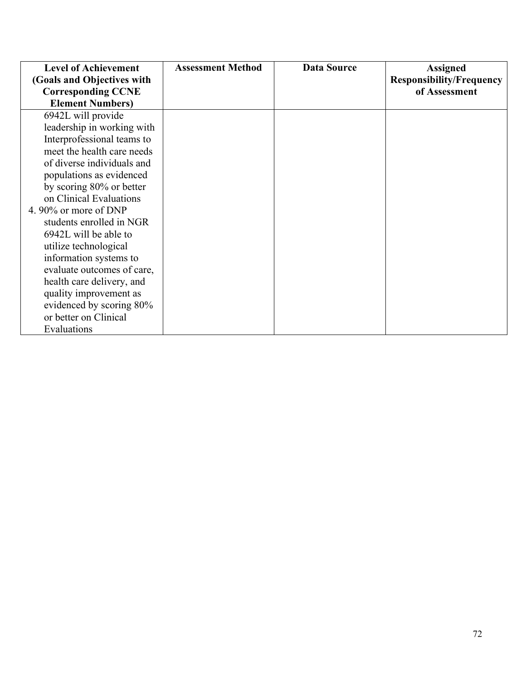| <b>Level of Achievement</b> | <b>Assessment Method</b> | <b>Data Source</b> | <b>Assigned</b>                 |
|-----------------------------|--------------------------|--------------------|---------------------------------|
| (Goals and Objectives with  |                          |                    | <b>Responsibility/Frequency</b> |
| <b>Corresponding CCNE</b>   |                          |                    | of Assessment                   |
| <b>Element Numbers)</b>     |                          |                    |                                 |
| 6942L will provide          |                          |                    |                                 |
| leadership in working with  |                          |                    |                                 |
| Interprofessional teams to  |                          |                    |                                 |
| meet the health care needs  |                          |                    |                                 |
| of diverse individuals and  |                          |                    |                                 |
| populations as evidenced    |                          |                    |                                 |
| by scoring 80% or better    |                          |                    |                                 |
| on Clinical Evaluations     |                          |                    |                                 |
| 4.90% or more of DNP        |                          |                    |                                 |
| students enrolled in NGR    |                          |                    |                                 |
| 6942L will be able to       |                          |                    |                                 |
| utilize technological       |                          |                    |                                 |
| information systems to      |                          |                    |                                 |
| evaluate outcomes of care,  |                          |                    |                                 |
| health care delivery, and   |                          |                    |                                 |
| quality improvement as      |                          |                    |                                 |
| evidenced by scoring 80%    |                          |                    |                                 |
| or better on Clinical       |                          |                    |                                 |
| Evaluations                 |                          |                    |                                 |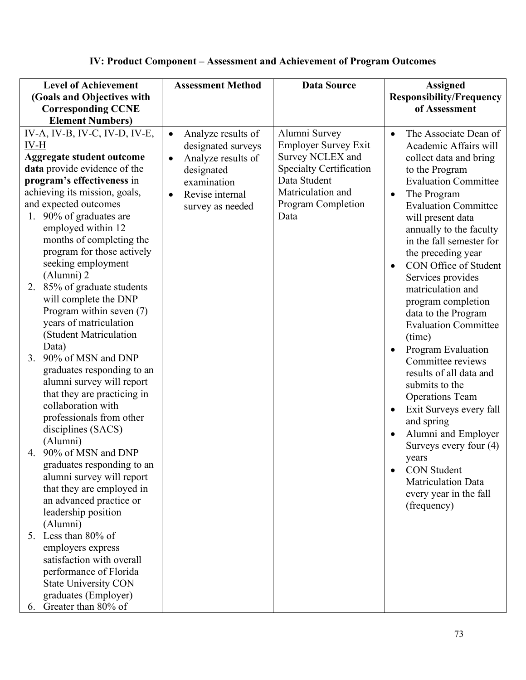## **IV: Product Component – Assessment and Achievement of Program Outcomes**

| <b>Level of Achievement</b>                            | <b>Assessment Method</b>        | <b>Data Source</b>             | <b>Assigned</b>                           |
|--------------------------------------------------------|---------------------------------|--------------------------------|-------------------------------------------|
| (Goals and Objectives with                             |                                 |                                | <b>Responsibility/Frequency</b>           |
| <b>Corresponding CCNE</b>                              |                                 |                                | of Assessment                             |
| <b>Element Numbers)</b>                                |                                 |                                |                                           |
| $IV-A, IV-B, IV-C, IV-D, IV-E,$                        | Analyze results of<br>$\bullet$ | Alumni Survey                  | The Associate Dean of<br>$\bullet$        |
| IV-H                                                   | designated surveys              | <b>Employer Survey Exit</b>    | Academic Affairs will                     |
| <b>Aggregate student outcome</b>                       | Analyze results of              | Survey NCLEX and               | collect data and bring                    |
| data provide evidence of the                           | designated                      | <b>Specialty Certification</b> | to the Program                            |
| program's effectiveness in                             | examination                     | Data Student                   | <b>Evaluation Committee</b>               |
| achieving its mission, goals,                          | Revise internal                 | Matriculation and              | The Program<br>$\bullet$                  |
| and expected outcomes                                  | survey as needed                | Program Completion             | <b>Evaluation Committee</b>               |
| 90% of graduates are<br>1.                             |                                 | Data                           | will present data                         |
| employed within 12                                     |                                 |                                | annually to the faculty                   |
| months of completing the<br>program for those actively |                                 |                                | in the fall semester for                  |
| seeking employment                                     |                                 |                                | the preceding year                        |
| (Alumni) 2                                             |                                 |                                | CON Office of Student                     |
| 2. 85% of graduate students                            |                                 |                                | Services provides                         |
| will complete the DNP                                  |                                 |                                | matriculation and                         |
| Program within seven (7)                               |                                 |                                | program completion<br>data to the Program |
| years of matriculation                                 |                                 |                                | <b>Evaluation Committee</b>               |
| (Student Matriculation                                 |                                 |                                | (time)                                    |
| Data)                                                  |                                 |                                | Program Evaluation                        |
| 90% of MSN and DNP<br>3.                               |                                 |                                | Committee reviews                         |
| graduates responding to an                             |                                 |                                | results of all data and                   |
| alumni survey will report                              |                                 |                                | submits to the                            |
| that they are practicing in                            |                                 |                                | <b>Operations Team</b>                    |
| collaboration with                                     |                                 |                                | Exit Surveys every fall<br>$\bullet$      |
| professionals from other                               |                                 |                                | and spring                                |
| disciplines (SACS)                                     |                                 |                                | Alumni and Employer<br>$\bullet$          |
| (Alumni)                                               |                                 |                                | Surveys every four (4)                    |
| 4. 90% of MSN and DNP                                  |                                 |                                | years                                     |
| graduates responding to an                             |                                 |                                | <b>CON Student</b>                        |
| alumni survey will report                              |                                 |                                | Matriculation Data                        |
| that they are employed in                              |                                 |                                | every year in the fall                    |
| an advanced practice or                                |                                 |                                | (frequency)                               |
| leadership position                                    |                                 |                                |                                           |
| (Alumni)<br>5. Less than 80% of                        |                                 |                                |                                           |
|                                                        |                                 |                                |                                           |
| employers express<br>satisfaction with overall         |                                 |                                |                                           |
| performance of Florida                                 |                                 |                                |                                           |
| <b>State University CON</b>                            |                                 |                                |                                           |
| graduates (Employer)                                   |                                 |                                |                                           |
| Greater than 80% of<br>6.                              |                                 |                                |                                           |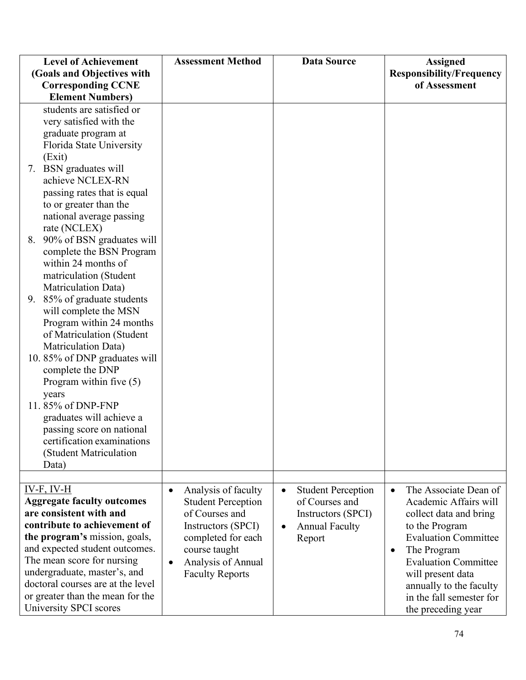| <b>Level of Achievement</b>                                       | <b>Assessment Method</b>         | <b>Data Source</b>                     | <b>Assigned</b>                                     |
|-------------------------------------------------------------------|----------------------------------|----------------------------------------|-----------------------------------------------------|
| (Goals and Objectives with                                        |                                  |                                        | <b>Responsibility/Frequency</b>                     |
| <b>Corresponding CCNE</b>                                         |                                  |                                        | of Assessment                                       |
| <b>Element Numbers)</b>                                           |                                  |                                        |                                                     |
| students are satisfied or                                         |                                  |                                        |                                                     |
| very satisfied with the                                           |                                  |                                        |                                                     |
| graduate program at                                               |                                  |                                        |                                                     |
| Florida State University                                          |                                  |                                        |                                                     |
| (Exit)                                                            |                                  |                                        |                                                     |
| 7. BSN graduates will                                             |                                  |                                        |                                                     |
| achieve NCLEX-RN                                                  |                                  |                                        |                                                     |
| passing rates that is equal                                       |                                  |                                        |                                                     |
| to or greater than the                                            |                                  |                                        |                                                     |
| national average passing                                          |                                  |                                        |                                                     |
| rate (NCLEX)                                                      |                                  |                                        |                                                     |
| 8. 90% of BSN graduates will                                      |                                  |                                        |                                                     |
| complete the BSN Program                                          |                                  |                                        |                                                     |
| within 24 months of                                               |                                  |                                        |                                                     |
| matriculation (Student                                            |                                  |                                        |                                                     |
| Matriculation Data)                                               |                                  |                                        |                                                     |
| 9. 85% of graduate students                                       |                                  |                                        |                                                     |
| will complete the MSN<br>Program within 24 months                 |                                  |                                        |                                                     |
| of Matriculation (Student                                         |                                  |                                        |                                                     |
| Matriculation Data)                                               |                                  |                                        |                                                     |
| 10.85% of DNP graduates will                                      |                                  |                                        |                                                     |
| complete the DNP                                                  |                                  |                                        |                                                     |
| Program within five $(5)$                                         |                                  |                                        |                                                     |
| years                                                             |                                  |                                        |                                                     |
| 11.85% of DNP-FNP                                                 |                                  |                                        |                                                     |
| graduates will achieve a                                          |                                  |                                        |                                                     |
| passing score on national                                         |                                  |                                        |                                                     |
| certification examinations                                        |                                  |                                        |                                                     |
| (Student Matriculation                                            |                                  |                                        |                                                     |
| Data)                                                             |                                  |                                        |                                                     |
|                                                                   |                                  |                                        |                                                     |
| $IV-F, IV-H$                                                      | Analysis of faculty<br>$\bullet$ | <b>Student Perception</b><br>$\bullet$ | The Associate Dean of<br>$\bullet$                  |
| <b>Aggregate faculty outcomes</b>                                 | <b>Student Perception</b>        | of Courses and                         | Academic Affairs will                               |
| are consistent with and                                           | of Courses and                   | <b>Instructors (SPCI)</b>              | collect data and bring                              |
| contribute to achievement of                                      | Instructors (SPCI)               | <b>Annual Faculty</b><br>٠             | to the Program                                      |
| the program's mission, goals,                                     | completed for each               | Report                                 | <b>Evaluation Committee</b>                         |
| and expected student outcomes.                                    | course taught                    |                                        | The Program<br>$\bullet$                            |
| The mean score for nursing                                        | Analysis of Annual               |                                        | <b>Evaluation Committee</b>                         |
| undergraduate, master's, and<br>doctoral courses are at the level | <b>Faculty Reports</b>           |                                        | will present data                                   |
| or greater than the mean for the                                  |                                  |                                        | annually to the faculty<br>in the fall semester for |
| University SPCI scores                                            |                                  |                                        | the preceding year                                  |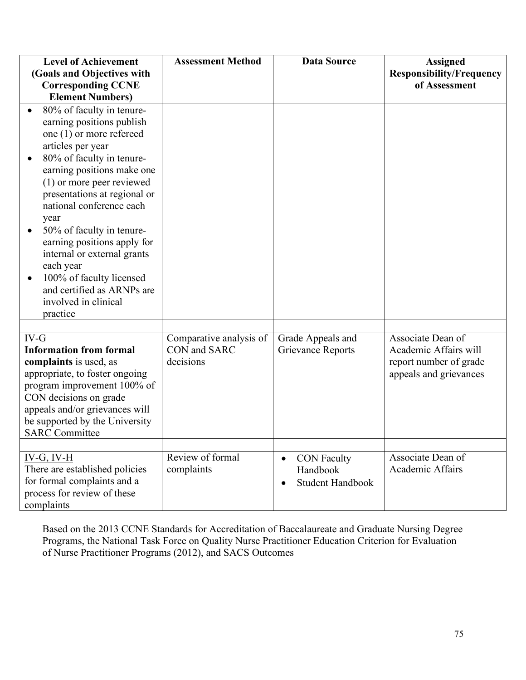| <b>Level of Achievement</b>                                                                                                                                                                                                                                            | <b>Assessment Method</b>                             | <b>Data Source</b>                                                                  | <b>Assigned</b>                                                                                |
|------------------------------------------------------------------------------------------------------------------------------------------------------------------------------------------------------------------------------------------------------------------------|------------------------------------------------------|-------------------------------------------------------------------------------------|------------------------------------------------------------------------------------------------|
| (Goals and Objectives with                                                                                                                                                                                                                                             |                                                      |                                                                                     | <b>Responsibility/Frequency</b>                                                                |
| <b>Corresponding CCNE</b>                                                                                                                                                                                                                                              |                                                      |                                                                                     | of Assessment                                                                                  |
| <b>Element Numbers)</b>                                                                                                                                                                                                                                                |                                                      |                                                                                     |                                                                                                |
| 80% of faculty in tenure-<br>earning positions publish<br>one (1) or more refereed<br>articles per year<br>80% of faculty in tenure-<br>earning positions make one<br>(1) or more peer reviewed                                                                        |                                                      |                                                                                     |                                                                                                |
| presentations at regional or<br>national conference each<br>year<br>50% of faculty in tenure-<br>earning positions apply for<br>internal or external grants<br>each year<br>100% of faculty licensed<br>and certified as ARNPs are<br>involved in clinical<br>practice |                                                      |                                                                                     |                                                                                                |
|                                                                                                                                                                                                                                                                        |                                                      |                                                                                     |                                                                                                |
| IV-G<br><b>Information from formal</b><br>complaints is used, as<br>appropriate, to foster ongoing<br>program improvement 100% of<br>CON decisions on grade<br>appeals and/or grievances will<br>be supported by the University<br><b>SARC</b> Committee               | Comparative analysis of<br>CON and SARC<br>decisions | Grade Appeals and<br><b>Grievance Reports</b>                                       | Associate Dean of<br>Academic Affairs will<br>report number of grade<br>appeals and grievances |
| $IV-G, IV-H$<br>There are established policies<br>for formal complaints and a<br>process for review of these<br>complaints                                                                                                                                             | Review of formal<br>complaints                       | <b>CON Faculty</b><br>$\bullet$<br>Handbook<br><b>Student Handbook</b><br>$\bullet$ | Associate Dean of<br>Academic Affairs                                                          |

Based on the 2013 CCNE Standards for Accreditation of Baccalaureate and Graduate Nursing Degree Programs, the National Task Force on Quality Nurse Practitioner Education Criterion for Evaluation of Nurse Practitioner Programs (2012), and SACS Outcomes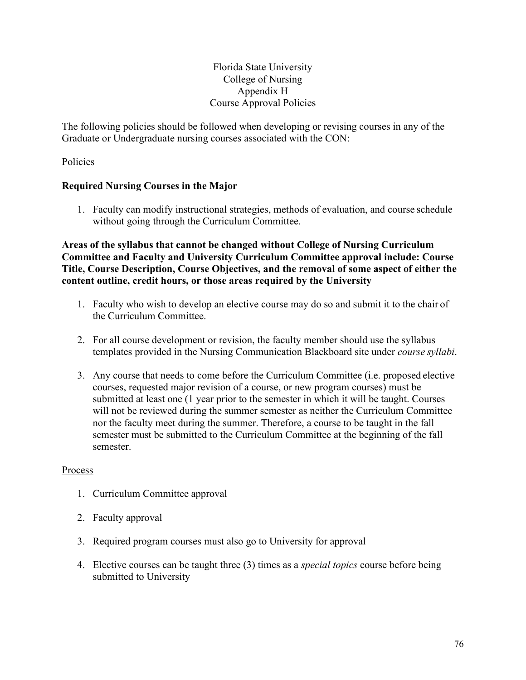#### Florida State University College of Nursing Appendix H Course Approval Policies

The following policies should be followed when developing or revising courses in any of the Graduate or Undergraduate nursing courses associated with the CON:

#### Policies

#### **Required Nursing Courses in the Major**

1. Faculty can modify instructional strategies, methods of evaluation, and course schedule without going through the Curriculum Committee.

**Areas of the syllabus that cannot be changed without College of Nursing Curriculum Committee and Faculty and University Curriculum Committee approval include: Course Title, Course Description, Course Objectives, and the removal of some aspect of either the content outline, credit hours, or those areas required by the University**

- 1. Faculty who wish to develop an elective course may do so and submit it to the chair of the Curriculum Committee.
- 2. For all course development or revision, the faculty member should use the syllabus templates provided in the Nursing Communication Blackboard site under *course syllabi*.
- 3. Any course that needs to come before the Curriculum Committee (i.e. proposed elective courses, requested major revision of a course, or new program courses) must be submitted at least one (1 year prior to the semester in which it will be taught. Courses will not be reviewed during the summer semester as neither the Curriculum Committee nor the faculty meet during the summer. Therefore, a course to be taught in the fall semester must be submitted to the Curriculum Committee at the beginning of the fall semester.

#### Process

- 1. Curriculum Committee approval
- 2. Faculty approval
- 3. Required program courses must also go to University for approval
- 4. Elective courses can be taught three (3) times as a *special topics* course before being submitted to University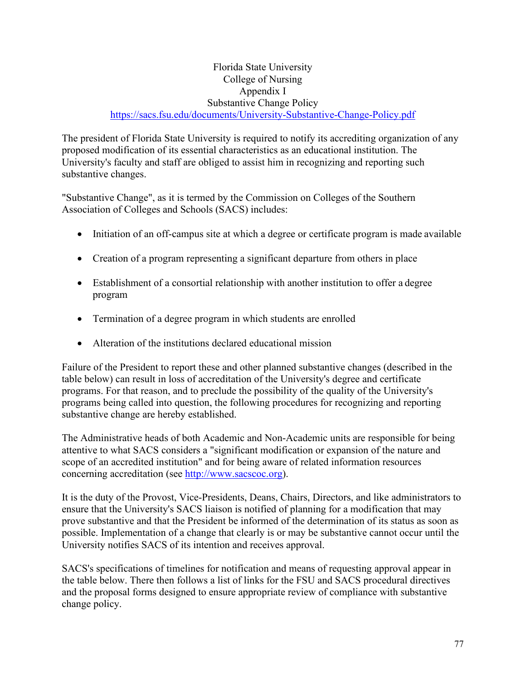#### Florida State University College of Nursing Appendix I Substantive Change Policy <https://sacs.fsu.edu/documents/University-Substantive-Change-Policy.pdf>

The president of Florida State University is required to notify its accrediting organization of any proposed modification of its essential characteristics as an educational institution. The University's faculty and staff are obliged to assist him in recognizing and reporting such substantive changes.

"Substantive Change", as it is termed by the Commission on Colleges of the Southern Association of Colleges and Schools (SACS) includes:

- Initiation of an off-campus site at which a degree or certificate program is made available
- Creation of a program representing a significant departure from others in place
- Establishment of a consortial relationship with another institution to offer a degree program
- Termination of a degree program in which students are enrolled
- Alteration of the institutions declared educational mission

Failure of the President to report these and other planned substantive changes (described in the table below) can result in loss of accreditation of the University's degree and certificate programs. For that reason, and to preclude the possibility of the quality of the University's programs being called into question, the following procedures for recognizing and reporting substantive change are hereby established.

The Administrative heads of both Academic and Non-Academic units are responsible for being attentive to what SACS considers a "significant modification or expansion of the nature and scope of an accredited institution" and for being aware of related information resources concerning accreditation (see [http://www.sacscoc.org\)](http://www.sacscoc.org/).

It is the duty of the Provost, Vice-Presidents, Deans, Chairs, Directors, and like administrators to ensure that the University's SACS liaison is notified of planning for a modification that may prove substantive and that the President be informed of the determination of its status as soon as possible. Implementation of a change that clearly is or may be substantive cannot occur until the University notifies SACS of its intention and receives approval.

SACS's specifications of timelines for notification and means of requesting approval appear in the table below. There then follows a list of links for the FSU and SACS procedural directives and the proposal forms designed to ensure appropriate review of compliance with substantive change policy.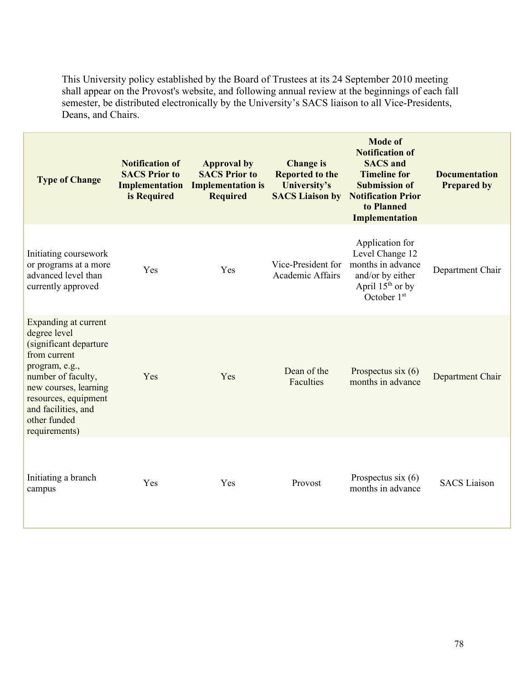This University policy established by the Board of Trustees at its 24 September 2010 meeting shall appear on the Provost's website, and following annual review at the beginnings of each fall semester, be distributed electronically by the University's SACS liaison to all Vice-Presidents, Deans, and Chairs.

| <b>Type of Change</b>                                                                                                                                                                                                           | <b>Notification of</b><br><b>SACS Prior to</b><br>Implementation<br>is Required | <b>Approval by</b><br><b>SACS Prior to</b><br><b>Implementation is</b><br><b>Required</b> | <b>Change is</b><br><b>Reported to the</b><br>University's<br><b>SACS Liaison by</b> | <b>Mode of</b><br><b>Notification of</b><br><b>SACS</b> and<br><b>Timeline for</b><br><b>Submission of</b><br><b>Notification Prior</b><br>to Planned<br>Implementation | <b>Documentation</b><br><b>Prepared by</b> |
|---------------------------------------------------------------------------------------------------------------------------------------------------------------------------------------------------------------------------------|---------------------------------------------------------------------------------|-------------------------------------------------------------------------------------------|--------------------------------------------------------------------------------------|-------------------------------------------------------------------------------------------------------------------------------------------------------------------------|--------------------------------------------|
| Initiating coursework<br>or programs at a more<br>advanced level than<br>currently approved                                                                                                                                     | Yes                                                                             | Yes                                                                                       | Vice-President for<br>Academic Affairs                                               | Application for<br>Level Change 12<br>months in advance<br>and/or by either<br>April $15th$ or by<br>October 1st                                                        | Department Chair                           |
| Expanding at current<br>degree level<br>(significant departure<br>from current<br>program, e.g.,<br>number of faculty,<br>new courses, learning<br>resources, equipment<br>and facilities, and<br>other funded<br>requirements) | Yes                                                                             | Yes                                                                                       | Dean of the<br>Faculties                                                             | Prospectus six $(6)$<br>months in advance                                                                                                                               | Department Chair                           |
| Initiating a branch<br>campus                                                                                                                                                                                                   | Yes                                                                             | Yes                                                                                       | Provost                                                                              | Prospectus six $(6)$<br>months in advance                                                                                                                               | <b>SACS</b> Liaison                        |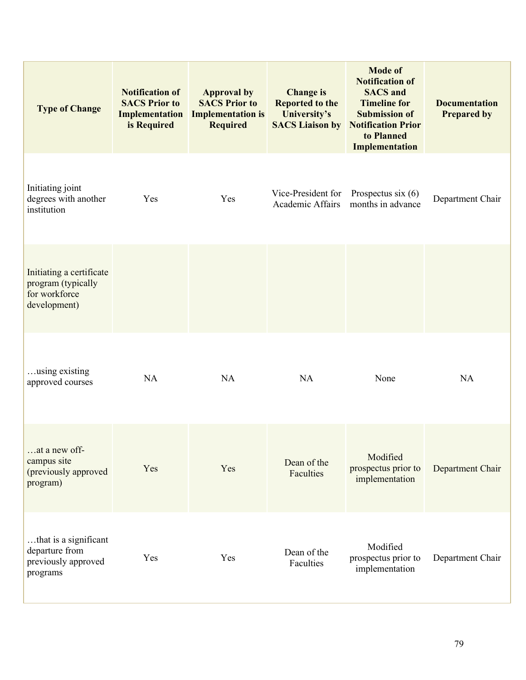| <b>Type of Change</b>                                                           | <b>Notification of</b><br><b>SACS Prior to</b><br>Implementation<br>is Required | <b>Approval by</b><br><b>SACS Prior to</b><br><b>Implementation is</b><br><b>Required</b> | <b>Change is</b><br><b>Reported to the</b><br>University's | <b>Mode of</b><br><b>Notification of</b><br><b>SACS</b> and<br><b>Timeline for</b><br><b>Submission of</b><br><b>SACS Liaison by Notification Prior</b><br>to Planned<br>Implementation | <b>Documentation</b><br><b>Prepared by</b> |
|---------------------------------------------------------------------------------|---------------------------------------------------------------------------------|-------------------------------------------------------------------------------------------|------------------------------------------------------------|-----------------------------------------------------------------------------------------------------------------------------------------------------------------------------------------|--------------------------------------------|
| Initiating joint<br>degrees with another<br>institution                         | Yes                                                                             | Yes                                                                                       | Vice-President for<br>Academic Affairs                     | Prospectus six $(6)$<br>months in advance                                                                                                                                               | Department Chair                           |
| Initiating a certificate<br>program (typically<br>for workforce<br>development) |                                                                                 |                                                                                           |                                                            |                                                                                                                                                                                         |                                            |
| using existing<br>approved courses                                              | <b>NA</b>                                                                       | NA                                                                                        | <b>NA</b>                                                  | None                                                                                                                                                                                    | <b>NA</b>                                  |
| at a new off-<br>campus site<br>(previously approved<br>program)                | Yes                                                                             | Yes                                                                                       | Dean of the<br>Faculties                                   | Modified<br>prospectus prior to<br>implementation                                                                                                                                       | Department Chair                           |
| that is a significant<br>departure from<br>previously approved<br>programs      | Yes                                                                             | Yes                                                                                       | Dean of the<br>Faculties                                   | Modified<br>prospectus prior to<br>implementation                                                                                                                                       | Department Chair                           |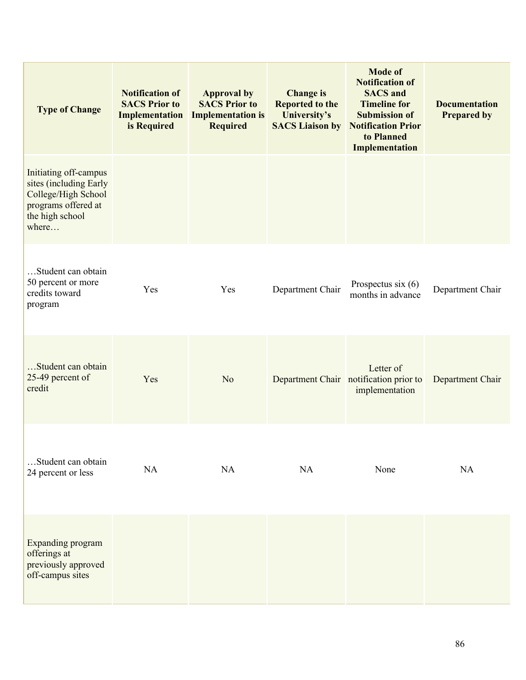| <b>Type of Change</b>                                                                                                     | <b>Notification of</b><br><b>SACS Prior to</b><br>Implementation<br>is Required | <b>Approval by</b><br><b>SACS Prior to</b><br><b>Implementation is</b><br><b>Required</b> | <b>Change is</b><br><b>Reported to the</b><br>University's<br><b>SACS Liaison by</b> | <b>Mode of</b><br><b>Notification of</b><br><b>SACS</b> and<br><b>Timeline for</b><br><b>Submission of</b><br><b>Notification Prior</b><br>to Planned<br><b>Implementation</b> | <b>Documentation</b><br><b>Prepared by</b> |
|---------------------------------------------------------------------------------------------------------------------------|---------------------------------------------------------------------------------|-------------------------------------------------------------------------------------------|--------------------------------------------------------------------------------------|--------------------------------------------------------------------------------------------------------------------------------------------------------------------------------|--------------------------------------------|
| Initiating off-campus<br>sites (including Early<br>College/High School<br>programs offered at<br>the high school<br>where |                                                                                 |                                                                                           |                                                                                      |                                                                                                                                                                                |                                            |
| Student can obtain<br>50 percent or more<br>credits toward<br>program                                                     | Yes                                                                             | Yes                                                                                       | Department Chair                                                                     | Prospectus six $(6)$<br>months in advance                                                                                                                                      | Department Chair                           |
| Student can obtain<br>25-49 percent of<br>credit                                                                          | Yes                                                                             | N <sub>o</sub>                                                                            |                                                                                      | Letter of<br>Department Chair notification prior to<br>implementation                                                                                                          | Department Chair                           |
| Student can obtain<br>24 percent or less                                                                                  | NA                                                                              | NA                                                                                        | NA                                                                                   | None                                                                                                                                                                           | NA                                         |
| Expanding program<br>offerings at<br>previously approved<br>off-campus sites                                              |                                                                                 |                                                                                           |                                                                                      |                                                                                                                                                                                |                                            |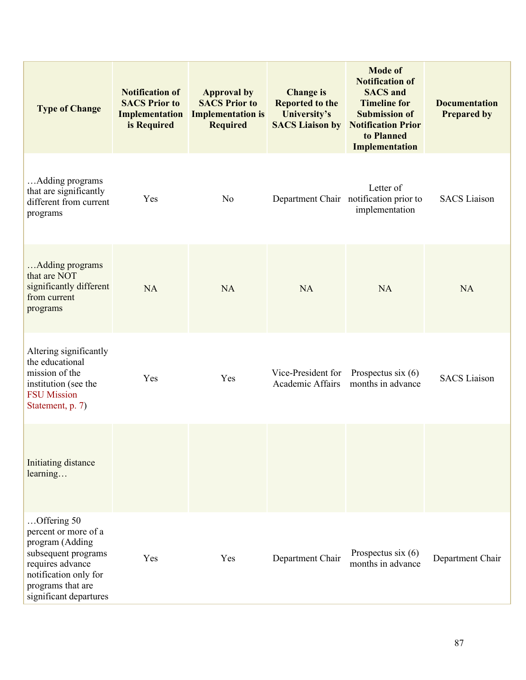| <b>Type of Change</b>                                                                                                                                                     | <b>Notification of</b><br><b>SACS Prior to</b><br>Implementation<br>is Required | <b>Approval by</b><br><b>SACS Prior to</b><br><b>Implementation is</b><br><b>Required</b> | <b>Change is</b><br><b>Reported to the</b><br>University's<br><b>SACS Liaison by</b> | <b>Mode of</b><br><b>Notification of</b><br><b>SACS</b> and<br><b>Timeline for</b><br><b>Submission of</b><br><b>Notification Prior</b><br>to Planned<br>Implementation | <b>Documentation</b><br><b>Prepared by</b> |
|---------------------------------------------------------------------------------------------------------------------------------------------------------------------------|---------------------------------------------------------------------------------|-------------------------------------------------------------------------------------------|--------------------------------------------------------------------------------------|-------------------------------------------------------------------------------------------------------------------------------------------------------------------------|--------------------------------------------|
| Adding programs<br>that are significantly<br>different from current<br>programs                                                                                           | Yes                                                                             | N <sub>o</sub>                                                                            |                                                                                      | Letter of<br>Department Chair notification prior to<br>implementation                                                                                                   | <b>SACS</b> Liaison                        |
| Adding programs<br>that are NOT<br>significantly different<br>from current<br>programs                                                                                    | <b>NA</b>                                                                       | NA                                                                                        | <b>NA</b>                                                                            | <b>NA</b>                                                                                                                                                               | <b>NA</b>                                  |
| Altering significantly<br>the educational<br>mission of the<br>institution (see the<br><b>FSU</b> Mission<br>Statement, p. 7)                                             | Yes                                                                             | Yes                                                                                       | Vice-President for<br>Academic Affairs                                               | Prospectus six $(6)$<br>months in advance                                                                                                                               | <b>SACS</b> Liaison                        |
| Initiating distance<br>learning                                                                                                                                           |                                                                                 |                                                                                           |                                                                                      |                                                                                                                                                                         |                                            |
| Offering 50<br>percent or more of a<br>program (Adding<br>subsequent programs<br>requires advance<br>notification only for<br>programs that are<br>significant departures | Yes                                                                             | Yes                                                                                       | Department Chair                                                                     | Prospectus six $(6)$<br>months in advance                                                                                                                               | Department Chair                           |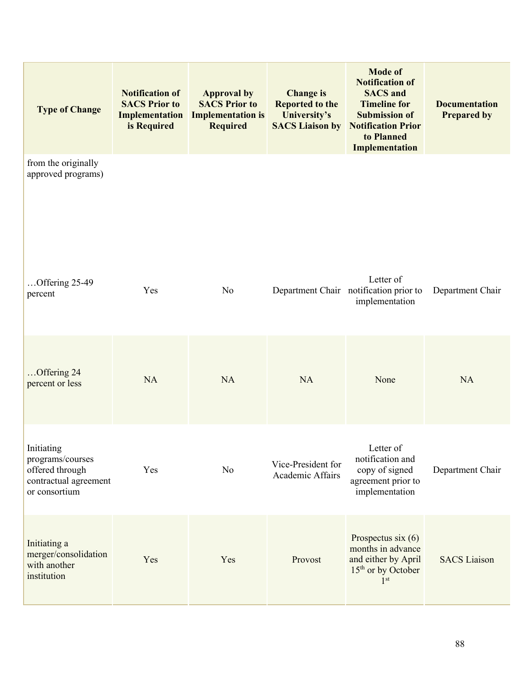| <b>Type of Change</b>                                                                       | <b>Notification of</b><br><b>SACS Prior to</b><br>Implementation<br>is Required | <b>Approval by</b><br><b>SACS Prior to</b><br><b>Implementation is</b><br><b>Required</b> | <b>Change is</b><br><b>Reported to the</b><br>University's | <b>Mode of</b><br><b>Notification of</b><br><b>SACS</b> and<br><b>Timeline for</b><br><b>Submission of</b><br><b>SACS Liaison by Notification Prior</b><br>to Planned<br>Implementation | <b>Documentation</b><br><b>Prepared by</b> |
|---------------------------------------------------------------------------------------------|---------------------------------------------------------------------------------|-------------------------------------------------------------------------------------------|------------------------------------------------------------|-----------------------------------------------------------------------------------------------------------------------------------------------------------------------------------------|--------------------------------------------|
| from the originally<br>approved programs)                                                   |                                                                                 |                                                                                           |                                                            |                                                                                                                                                                                         |                                            |
| Offering 25-49<br>percent                                                                   | Yes                                                                             | N <sub>o</sub>                                                                            |                                                            | Letter of<br>Department Chair notification prior to<br>implementation                                                                                                                   | Department Chair                           |
| Offering 24<br>percent or less                                                              | <b>NA</b>                                                                       | <b>NA</b>                                                                                 | <b>NA</b>                                                  | None                                                                                                                                                                                    | <b>NA</b>                                  |
| Initiating<br>programs/courses<br>offered through<br>contractual agreement<br>or consortium | Yes                                                                             | N <sub>o</sub>                                                                            | Vice-President for<br>Academic Affairs                     | Letter of<br>notification and<br>copy of signed<br>agreement prior to<br>implementation                                                                                                 | Department Chair                           |
| Initiating a<br>merger/consolidation<br>with another<br>institution                         | Yes                                                                             | Yes                                                                                       | Provost                                                    | Prospectus six $(6)$<br>months in advance<br>and either by April<br>$15th$ or by October<br>1 <sup>st</sup>                                                                             | <b>SACS</b> Liaison                        |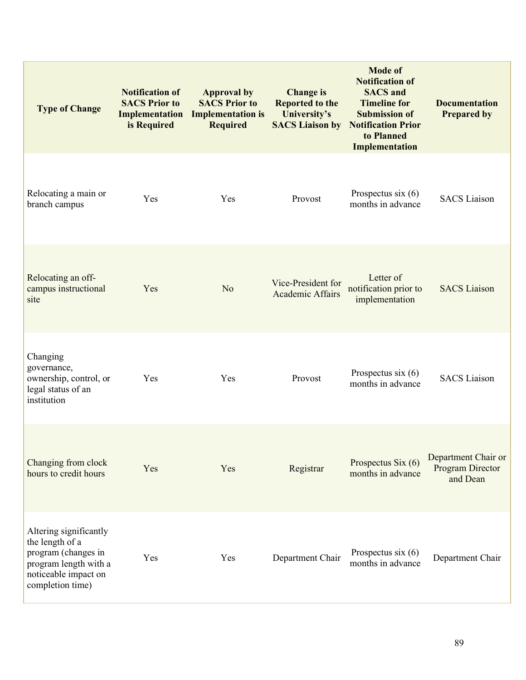| <b>Type of Change</b>                                                                                                                 | <b>Notification of</b><br><b>SACS Prior to</b><br>Implementation<br>is Required | <b>Approval by</b><br><b>SACS Prior to</b><br><b>Implementation is</b><br><b>Required</b> | <b>Change is</b><br><b>Reported to the</b><br>University's<br><b>SACS Liaison by</b> | <b>Mode of</b><br><b>Notification of</b><br><b>SACS</b> and<br><b>Timeline for</b><br><b>Submission of</b><br><b>Notification Prior</b><br>to Planned<br>Implementation | <b>Documentation</b><br><b>Prepared by</b>          |
|---------------------------------------------------------------------------------------------------------------------------------------|---------------------------------------------------------------------------------|-------------------------------------------------------------------------------------------|--------------------------------------------------------------------------------------|-------------------------------------------------------------------------------------------------------------------------------------------------------------------------|-----------------------------------------------------|
| Relocating a main or<br>branch campus                                                                                                 | Yes                                                                             | Yes                                                                                       | Provost                                                                              | Prospectus six $(6)$<br>months in advance                                                                                                                               | <b>SACS</b> Liaison                                 |
| Relocating an off-<br>campus instructional<br>site                                                                                    | Yes                                                                             | No                                                                                        | Vice-President for<br>Academic Affairs                                               | Letter of<br>notification prior to<br>implementation                                                                                                                    | <b>SACS</b> Liaison                                 |
| Changing<br>governance,<br>ownership, control, or<br>legal status of an<br>institution                                                | Yes                                                                             | Yes                                                                                       | Provost                                                                              | Prospectus six $(6)$<br>months in advance                                                                                                                               | <b>SACS</b> Liaison                                 |
| Changing from clock<br>hours to credit hours                                                                                          | Yes                                                                             | Yes                                                                                       | Registrar                                                                            | Prospectus Six (6)<br>months in advance                                                                                                                                 | Department Chair or<br>Program Director<br>and Dean |
| Altering significantly<br>the length of a<br>program (changes in<br>program length with a<br>noticeable impact on<br>completion time) | Yes                                                                             | Yes                                                                                       | Department Chair                                                                     | Prospectus six $(6)$<br>months in advance                                                                                                                               | Department Chair                                    |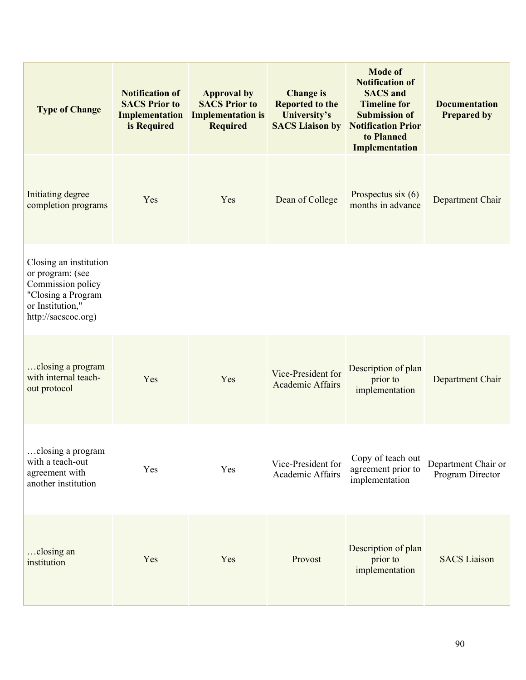| <b>Type of Change</b>                                                                                                            | <b>Notification of</b><br><b>SACS Prior to</b><br>Implementation<br>is Required | <b>Approval by</b><br><b>SACS Prior to</b><br><b>Implementation is</b><br><b>Required</b> | <b>Change is</b><br><b>Reported to the</b><br>University's<br><b>SACS Liaison by</b> | <b>Mode of</b><br><b>Notification of</b><br><b>SACS</b> and<br><b>Timeline for</b><br><b>Submission of</b><br><b>Notification Prior</b><br>to Planned<br>Implementation | <b>Documentation</b><br><b>Prepared by</b> |
|----------------------------------------------------------------------------------------------------------------------------------|---------------------------------------------------------------------------------|-------------------------------------------------------------------------------------------|--------------------------------------------------------------------------------------|-------------------------------------------------------------------------------------------------------------------------------------------------------------------------|--------------------------------------------|
| Initiating degree<br>completion programs                                                                                         | Yes                                                                             | Yes                                                                                       | Dean of College                                                                      | Prospectus six $(6)$<br>months in advance                                                                                                                               | Department Chair                           |
| Closing an institution<br>or program: (see<br>Commission policy<br>"Closing a Program<br>or Institution,"<br>http://sacscoc.org) |                                                                                 |                                                                                           |                                                                                      |                                                                                                                                                                         |                                            |
| closing a program<br>with internal teach-<br>out protocol                                                                        | Yes                                                                             | Yes                                                                                       | Vice-President for<br>Academic Affairs                                               | Description of plan<br>prior to<br>implementation                                                                                                                       | Department Chair                           |
| closing a program<br>with a teach-out<br>agreement with<br>another institution                                                   | Yes                                                                             | Yes                                                                                       | Vice-President for<br>Academic Affairs                                               | Copy of teach out<br>agreement prior to<br>implementation                                                                                                               | Department Chair or<br>Program Director    |
| closing an<br>institution                                                                                                        | Yes                                                                             | Yes                                                                                       | Provost                                                                              | Description of plan<br>prior to<br>implementation                                                                                                                       | <b>SACS</b> Liaison                        |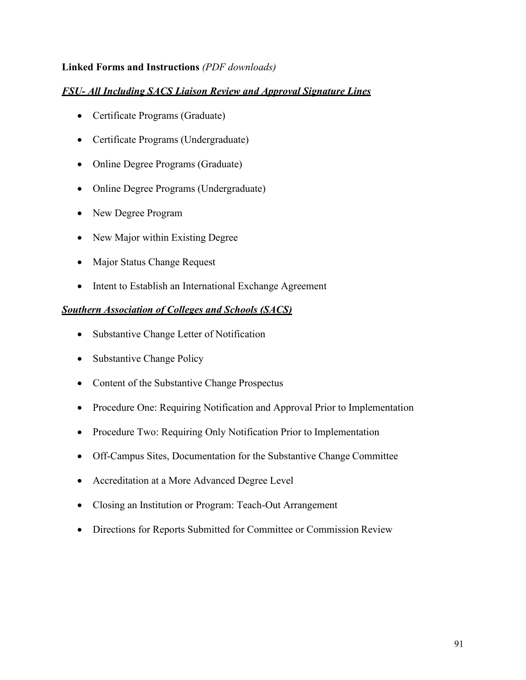#### **Linked Forms and Instructions** *(PDF downloads)*

#### *FSU- All Including SACS Liaison Review and Approval Signature Lines*

- [Certificate Programs](http://provost.fsu.edu/sacs/graduate_certificate_program.pdf) (Graduate)
- [Certificate Programs](http://provost.fsu.edu/sacs/undergraduate_certificate_program.pdf) (Undergraduate)
- [Online Degree Programs](http://provost.fsu.edu/sacs/online_graduate_degree.pdf) (Graduate)
- [Online Degree Programs](http://provost.fsu.edu/sacs/online_undergrad_degree.pdf) (Undergraduate)
- [New Degree](http://provost.fsu.edu/sacs/New_Degree_Proposal_Form.pdf) Program
- [New Major within Existing](http://provost.fsu.edu/sacs/New_Major_Proposal.pdf) Degree
- [Major Status Change](http://provost.fsu.edu/sacs/MajorStatusChangeRequestForm.pdf) Request
- [Intent to Establish an International Exchange](http://provost.fsu.edu/sacs/international_exchange_agreement.pdf) Agreement

#### *Southern Association of Colleges and Schools (SACS)*

- [Substantive Change Letter of](http://provost.fsu.edu/sacs/Substantive_Change_Letter_of_Notification.pdf) Notification
- [Substantive Change](http://provost.fsu.edu/sacs/Substantive_change_policy.pdf) Policy
- [Content of the Substantive Change](http://provost.fsu.edu/sacs/Content_of_Substative_Change_Prospectus.pdf) Prospectus
- [Procedure One: Requiring Notification and Approval Prior to](http://provost.fsu.edu/sacs/Procedure_One_Requiring_Notification_and_Approval.pdf) Implementation
- [Procedure Two: Requiring Only Notification Prior to](http://provost.fsu.edu/sacs/Procedure_Two_Requiring_Only_Notification.pdf) Implementation
- [Off-Campus Sites, Documentation for the Substantive Change](http://provost.fsu.edu/sacs/Off_Campus_Sites_Documentation.pdf) Committee
- [Accreditation at a More Advanced Degree Level](http://provost.fsu.edu/sacs/Accreditation_at_a_More_Advanced_Degree_Level.pdf)
- [Closing an Institution or Program: Teach-Out](http://provost.fsu.edu/sacs/Closing_an_Institution_or_Program_Teach_Out_Arrangement.pdf) Arrangement
- [Directions for Reports Submitted for Committee or Commission](http://provost.fsu.edu/sacs/Dirctions_for_Committee_or_Commission_Review_Reports.pdf) Review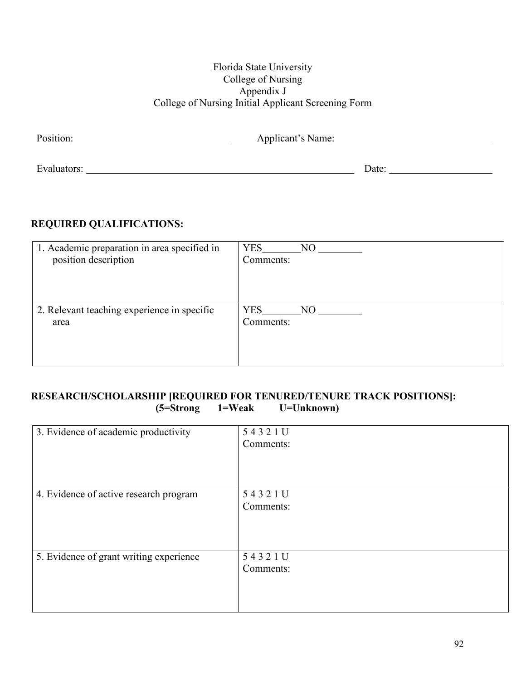#### Florida State University College of Nursing Appendix J College of Nursing Initial Applicant Screening Form

| Position:   | Applicant's Name: |       |
|-------------|-------------------|-------|
|             |                   |       |
| Evaluators: |                   | Date: |

## **REQUIRED QUALIFICATIONS:**

| 1. Academic preparation in area specified in<br>position description | <b>YES</b><br>$N$ O<br>Comments: |
|----------------------------------------------------------------------|----------------------------------|
|                                                                      |                                  |
| 2. Relevant teaching experience in specific<br>area                  | <b>YES</b><br>NO.<br>Comments:   |

#### **RESEARCH/SCHOLARSHIP [REQUIRED FOR TENURED/TENURE TRACK POSITIONS]:**<br>(5=Strong 1=Weak U=Unknown) **(5=Strong 1=Weak U=Unknown)**

| 3. Evidence of academic productivity    | 54321U<br>Comments: |
|-----------------------------------------|---------------------|
| 4. Evidence of active research program  | 54321U<br>Comments: |
| 5. Evidence of grant writing experience | 54321U<br>Comments: |